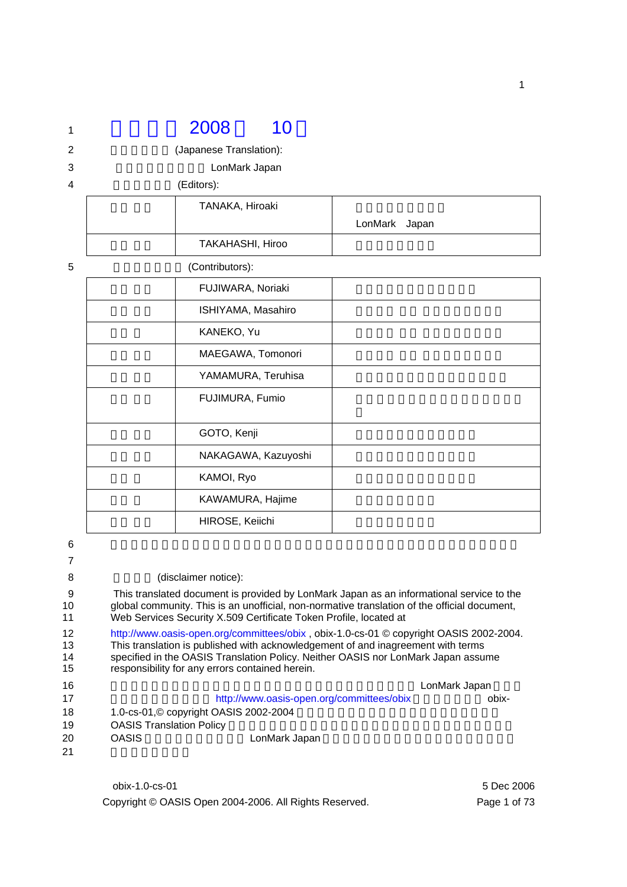# 1 2008 10 2 (Japanese Translation):

3 **12 September 2018** LonMark Japan

4 (Editors):

| TANAKA, Hiroaki  |               |  |
|------------------|---------------|--|
|                  | LonMark Japan |  |
| TAKAHASHI, Hiroo |               |  |

| 5 | (Contributors):     |
|---|---------------------|
|   | FUJIWARA, Noriaki   |
|   | ISHIYAMA, Masahiro  |
|   | KANEKO, Yu          |
|   | MAEGAWA, Tomonori   |
|   | YAMAMURA, Teruhisa  |
|   | FUJIMURA, Fumio     |
|   | GOTO, Kenji         |
|   | NAKAGAWA, Kazuyoshi |
|   | KAMOI, Ryo          |
|   | KAWAMURA, Hajime    |
|   | HIROSE, Keiichi     |

 $6$ 

7

#### 8 (disclaimer notice):

9 This translated document is provided by LonMark Japan as an informational service to the qlobal community. This is an unofficial, non-normative translation of the official document, 10 global community. This is an unofficial, non-normative translation of the official document, 11 Web Services Security X.509 Certificate Token Profile, located at

12 http://www.oasis-open.org/committees/obix , obix-1.0-cs-01 © copyright OASIS 2002-2004. 13 This translation is published with acknowledgement of and inagreement with terms 14 specified in the OASIS Translation Policy. Neither OASIS nor LonMark Japan assume 15 responsibility for any errors contained herein.

| 16 |                                 |                                           | LonMark Japan |
|----|---------------------------------|-------------------------------------------|---------------|
| 17 |                                 | http://www.oasis-open.org/committees/obix | obix-         |
| 18 |                                 | 1.0-cs-01, © copyright OASIS 2002-2004    |               |
| 19 | <b>OASIS Translation Policy</b> |                                           |               |
| 20 | <b>OASIS</b>                    | LonMark Japan                             |               |
| 21 |                                 |                                           |               |

obix-1.0-cs-01 5 Dec 2006 Copyright © OASIS Open 2004-2006. All Rights Reserved. Page 1 of 73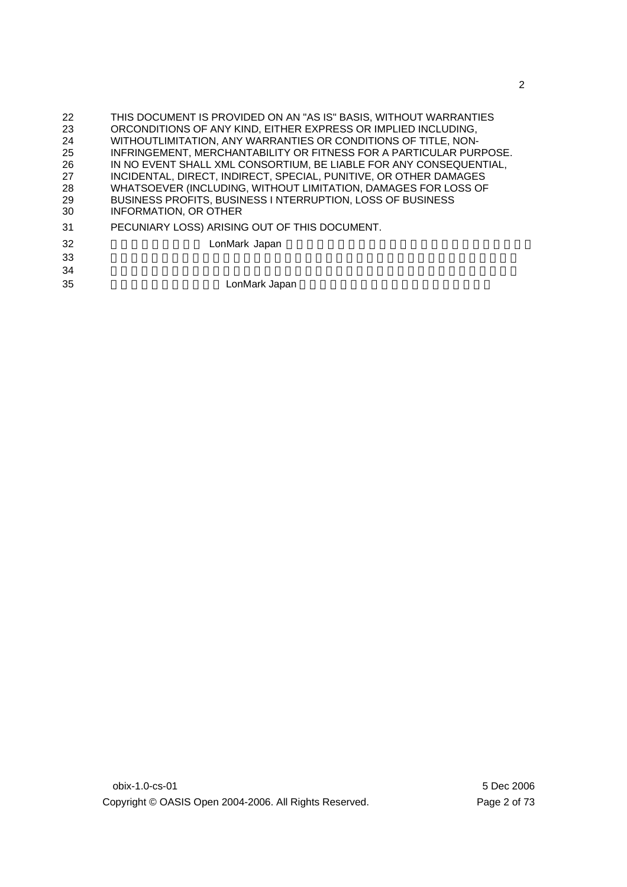| 22 | THIS DOCUMENT IS PROVIDED ON AN "AS IS" BASIS, WITHOUT WARRANTIES  |
|----|--------------------------------------------------------------------|
| 23 | ORCONDITIONS OF ANY KIND, EITHER EXPRESS OR IMPLIED INCLUDING,     |
| 24 | WITHOUTLIMITATION, ANY WARRANTIES OR CONDITIONS OF TITLE, NON-     |
| 25 | INFRINGEMENT, MERCHANTABILITY OR FITNESS FOR A PARTICULAR PURPOSE. |
| 26 | IN NO EVENT SHALL XML CONSORTIUM, BE LIABLE FOR ANY CONSEQUENTIAL, |
| 27 | INCIDENTAL, DIRECT, INDIRECT, SPECIAL, PUNITIVE, OR OTHER DAMAGES  |
| 28 | WHATSOEVER (INCLUDING, WITHOUT LIMITATION, DAMAGES FOR LOSS OF     |
| 29 | BUSINESS PROFITS, BUSINESS I NTERRUPTION, LOSS OF BUSINESS         |
| 30 | <b>INFORMATION, OR OTHER</b>                                       |
| 31 | PECUNIARY LOSS) ARISING OUT OF THIS DOCUMENT.                      |
| 32 | LonMark Japan                                                      |
| 33 |                                                                    |
| 34 |                                                                    |
| 35 | LonMark Japan                                                      |
|    |                                                                    |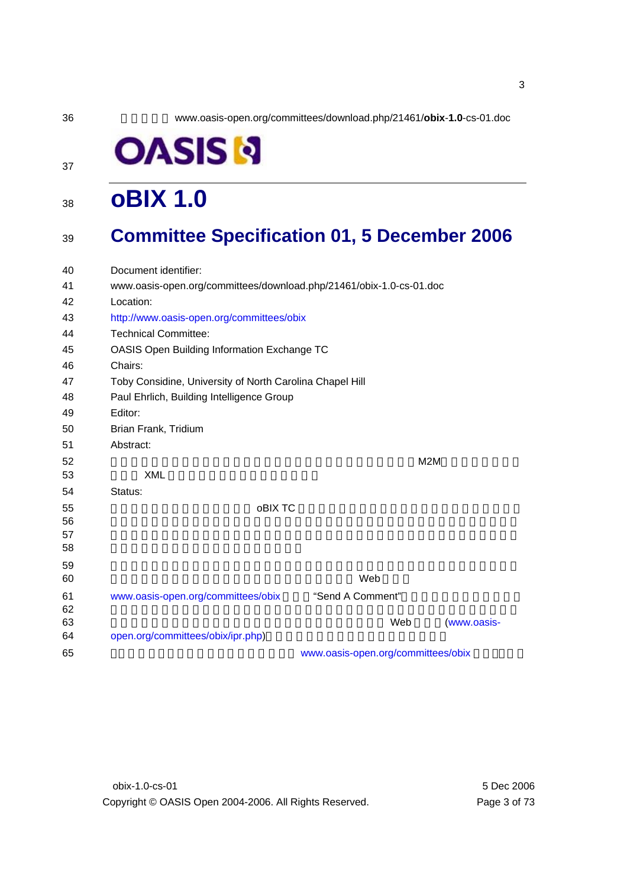36 英文文書所在 www.oasis-open.org/committees/download.php/21461/**obix**-**1.0**-cs-01.doc

# **OASISI**

# <sup>38</sup>**oBIX 1.0**

### <sup>39</sup>**Committee Specification 01, 5 December 2006**

| 40       | Document identifier:                                                |                                    |             |
|----------|---------------------------------------------------------------------|------------------------------------|-------------|
| 41       | www.oasis-open.org/committees/download.php/21461/obix-1.0-cs-01.doc |                                    |             |
| 42       | Location:                                                           |                                    |             |
| 43       | http://www.oasis-open.org/committees/obix                           |                                    |             |
| 44       | <b>Technical Committee:</b>                                         |                                    |             |
| 45       | OASIS Open Building Information Exchange TC                         |                                    |             |
| 46       | Chairs:                                                             |                                    |             |
| 47       | Toby Considine, University of North Carolina Chapel Hill            |                                    |             |
| 48       | Paul Ehrlich, Building Intelligence Group                           |                                    |             |
| 49       | Editor:                                                             |                                    |             |
| 50       | Brian Frank, Tridium                                                |                                    |             |
| 51       | Abstract:                                                           |                                    |             |
| 52       |                                                                     |                                    | M2M         |
| 53       | <b>XML</b>                                                          |                                    |             |
| 54       | Status:                                                             |                                    |             |
| 55       | oBIX TC                                                             |                                    |             |
| 56       |                                                                     |                                    |             |
| 57       |                                                                     |                                    |             |
| 58       |                                                                     |                                    |             |
| 59<br>60 |                                                                     | Web                                |             |
|          |                                                                     |                                    |             |
| 61<br>62 | www.oasis-open.org/committees/obix                                  | "Send A Comment"                   |             |
| 63       |                                                                     | Web                                | (www.oasis- |
| 64       | open.org/committees/obix/ipr.php)                                   |                                    |             |
| 65       |                                                                     | www.oasis-open.org/committees/obix |             |
|          |                                                                     |                                    |             |

37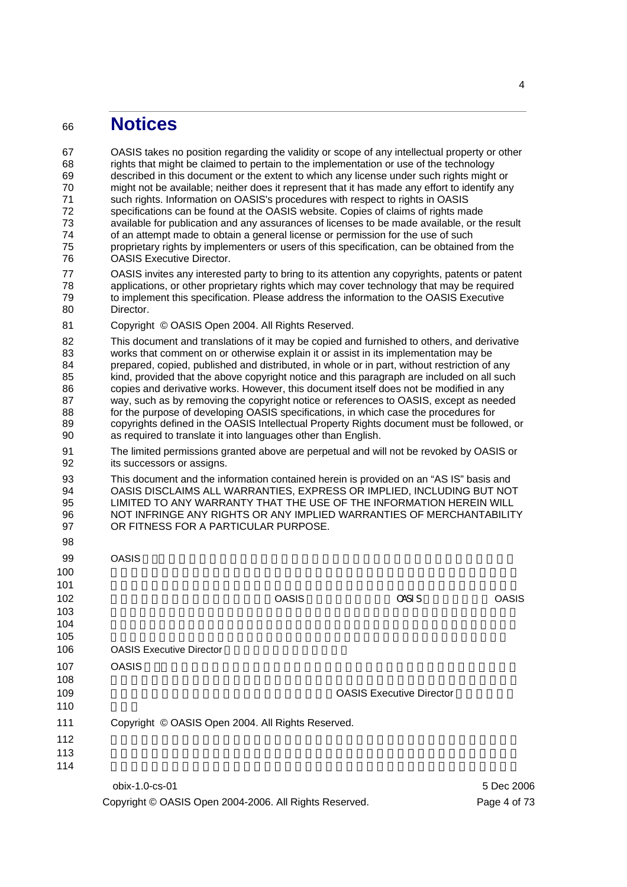# <sup>66</sup>**Notices**

| 67<br>68<br>69<br>70<br>71<br>72<br>73<br>74<br>75<br>76 | OASIS takes no position regarding the validity or scope of any intellectual property or other<br>rights that might be claimed to pertain to the implementation or use of the technology<br>described in this document or the extent to which any license under such rights might or<br>might not be available; neither does it represent that it has made any effort to identify any<br>such rights. Information on OASIS's procedures with respect to rights in OASIS<br>specifications can be found at the OASIS website. Copies of claims of rights made<br>available for publication and any assurances of licenses to be made available, or the result<br>of an attempt made to obtain a general license or permission for the use of such<br>proprietary rights by implementers or users of this specification, can be obtained from the<br><b>OASIS Executive Director.</b> |              |                                 |              |
|----------------------------------------------------------|------------------------------------------------------------------------------------------------------------------------------------------------------------------------------------------------------------------------------------------------------------------------------------------------------------------------------------------------------------------------------------------------------------------------------------------------------------------------------------------------------------------------------------------------------------------------------------------------------------------------------------------------------------------------------------------------------------------------------------------------------------------------------------------------------------------------------------------------------------------------------------|--------------|---------------------------------|--------------|
| 77<br>78<br>79<br>80                                     | OASIS invites any interested party to bring to its attention any copyrights, patents or patent<br>applications, or other proprietary rights which may cover technology that may be required<br>to implement this specification. Please address the information to the OASIS Executive<br>Director.                                                                                                                                                                                                                                                                                                                                                                                                                                                                                                                                                                                 |              |                                 |              |
| 81                                                       | Copyright © OASIS Open 2004. All Rights Reserved.                                                                                                                                                                                                                                                                                                                                                                                                                                                                                                                                                                                                                                                                                                                                                                                                                                  |              |                                 |              |
| 82<br>83<br>84<br>85<br>86<br>87<br>88<br>89<br>90       | This document and translations of it may be copied and furnished to others, and derivative<br>works that comment on or otherwise explain it or assist in its implementation may be<br>prepared, copied, published and distributed, in whole or in part, without restriction of any<br>kind, provided that the above copyright notice and this paragraph are included on all such<br>copies and derivative works. However, this document itself does not be modified in any<br>way, such as by removing the copyright notice or references to OASIS, except as needed<br>for the purpose of developing OASIS specifications, in which case the procedures for<br>copyrights defined in the OASIS Intellectual Property Rights document must be followed, or<br>as required to translate it into languages other than English.                                                       |              |                                 |              |
| 91<br>92                                                 | The limited permissions granted above are perpetual and will not be revoked by OASIS or<br>its successors or assigns.                                                                                                                                                                                                                                                                                                                                                                                                                                                                                                                                                                                                                                                                                                                                                              |              |                                 |              |
| 93<br>94<br>95<br>96<br>97<br>98                         | This document and the information contained herein is provided on an "AS IS" basis and<br>OASIS DISCLAIMS ALL WARRANTIES, EXPRESS OR IMPLIED, INCLUDING BUT NOT<br>LIMITED TO ANY WARRANTY THAT THE USE OF THE INFORMATION HEREIN WILL<br>NOT INFRINGE ANY RIGHTS OR ANY IMPLIED WARRANTIES OF MERCHANTABILITY<br>OR FITNESS FOR A PARTICULAR PURPOSE.                                                                                                                                                                                                                                                                                                                                                                                                                                                                                                                             |              |                                 |              |
| 99                                                       | <b>OASIS</b>                                                                                                                                                                                                                                                                                                                                                                                                                                                                                                                                                                                                                                                                                                                                                                                                                                                                       |              |                                 |              |
| 100                                                      |                                                                                                                                                                                                                                                                                                                                                                                                                                                                                                                                                                                                                                                                                                                                                                                                                                                                                    |              |                                 |              |
| 101<br>102<br>103<br>104<br>105                          |                                                                                                                                                                                                                                                                                                                                                                                                                                                                                                                                                                                                                                                                                                                                                                                                                                                                                    | <b>OASIS</b> | <b>CASI S</b>                   | <b>OASIS</b> |
| 106                                                      | <b>OASIS Executive Director</b>                                                                                                                                                                                                                                                                                                                                                                                                                                                                                                                                                                                                                                                                                                                                                                                                                                                    |              |                                 |              |
| 107<br>108                                               | <b>OASIS</b>                                                                                                                                                                                                                                                                                                                                                                                                                                                                                                                                                                                                                                                                                                                                                                                                                                                                       |              |                                 |              |
| 109<br>110                                               |                                                                                                                                                                                                                                                                                                                                                                                                                                                                                                                                                                                                                                                                                                                                                                                                                                                                                    |              | <b>OASIS Executive Director</b> |              |
| 111<br>112<br>113<br>114                                 | Copyright © OASIS Open 2004. All Rights Reserved.                                                                                                                                                                                                                                                                                                                                                                                                                                                                                                                                                                                                                                                                                                                                                                                                                                  |              |                                 |              |
|                                                          | obix-1.0-cs-01                                                                                                                                                                                                                                                                                                                                                                                                                                                                                                                                                                                                                                                                                                                                                                                                                                                                     |              |                                 | 5 Dec 2006   |
|                                                          | Copyright © OASIS Open 2004-2006. All Rights Reserved.                                                                                                                                                                                                                                                                                                                                                                                                                                                                                                                                                                                                                                                                                                                                                                                                                             |              |                                 | Page 4 of 73 |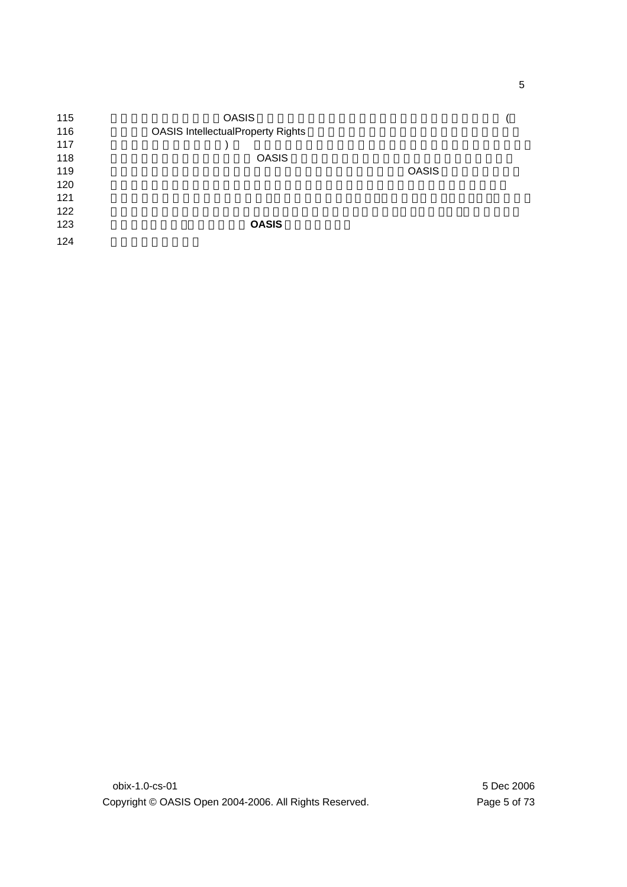| 115 | <b>OASIS</b>                             |              |  |
|-----|------------------------------------------|--------------|--|
| 116 | <b>OASIS IntellectualProperty Rights</b> |              |  |
| 117 |                                          |              |  |
| 118 | <b>OASIS</b>                             |              |  |
| 119 |                                          | <b>OASIS</b> |  |
| 120 |                                          |              |  |
| 121 |                                          |              |  |
| 122 |                                          |              |  |
| 123 | <b>OASIS</b>                             |              |  |
| 124 |                                          |              |  |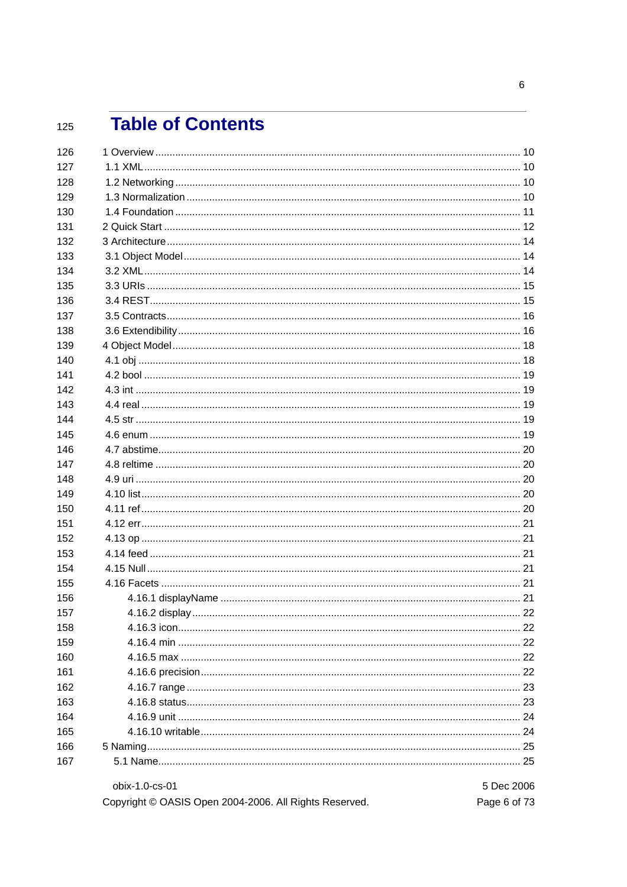#### **Table of Contents** 125

| 126 |                                                        |              |
|-----|--------------------------------------------------------|--------------|
| 127 |                                                        |              |
| 128 |                                                        |              |
| 129 |                                                        |              |
| 130 |                                                        |              |
| 131 |                                                        |              |
| 132 |                                                        |              |
| 133 |                                                        |              |
| 134 |                                                        |              |
| 135 |                                                        |              |
| 136 |                                                        |              |
| 137 |                                                        |              |
| 138 |                                                        |              |
| 139 |                                                        |              |
| 140 |                                                        |              |
| 141 |                                                        |              |
| 142 |                                                        |              |
| 143 |                                                        |              |
| 144 |                                                        |              |
| 145 |                                                        |              |
| 146 |                                                        |              |
| 147 |                                                        |              |
| 148 |                                                        |              |
| 149 |                                                        |              |
| 150 |                                                        |              |
| 151 |                                                        |              |
| 152 |                                                        |              |
| 153 |                                                        |              |
| 154 |                                                        |              |
| 155 |                                                        |              |
| 156 |                                                        |              |
| 157 |                                                        |              |
| 158 |                                                        |              |
| 159 |                                                        |              |
| 160 |                                                        |              |
| 161 |                                                        |              |
| 162 |                                                        |              |
| 163 |                                                        |              |
| 164 |                                                        |              |
| 165 |                                                        |              |
| 166 |                                                        |              |
| 167 |                                                        |              |
|     | obix-1.0-cs-01                                         | 5 Dec 2006   |
|     | Copyright © OASIS Open 2004-2006. All Rights Reserved. | Page 6 of 73 |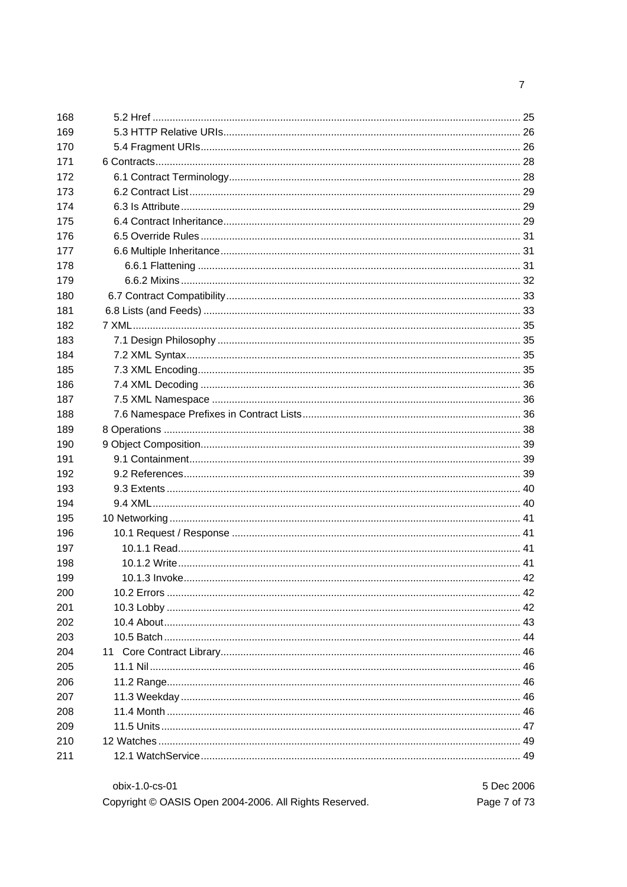| 168 |  |
|-----|--|
| 169 |  |
| 170 |  |
| 171 |  |
| 172 |  |
| 173 |  |
| 174 |  |
| 175 |  |
| 176 |  |
| 177 |  |
| 178 |  |
| 179 |  |
| 180 |  |
| 181 |  |
| 182 |  |
| 183 |  |
| 184 |  |
| 185 |  |
| 186 |  |
| 187 |  |
| 188 |  |
| 189 |  |
| 190 |  |
| 191 |  |
| 192 |  |
| 193 |  |
| 194 |  |
| 195 |  |
| 196 |  |
| 197 |  |
| 198 |  |
| 199 |  |
| 200 |  |
| 201 |  |
| 202 |  |
| 203 |  |
| 204 |  |
| 205 |  |
| 206 |  |
| 207 |  |
| 208 |  |
| 209 |  |
| 210 |  |
| 211 |  |

| obix-1.0-cs-01                                         | 5 Dec 2006   |
|--------------------------------------------------------|--------------|
| Copyright © OASIS Open 2004-2006. All Rights Reserved. | Page 7 of 73 |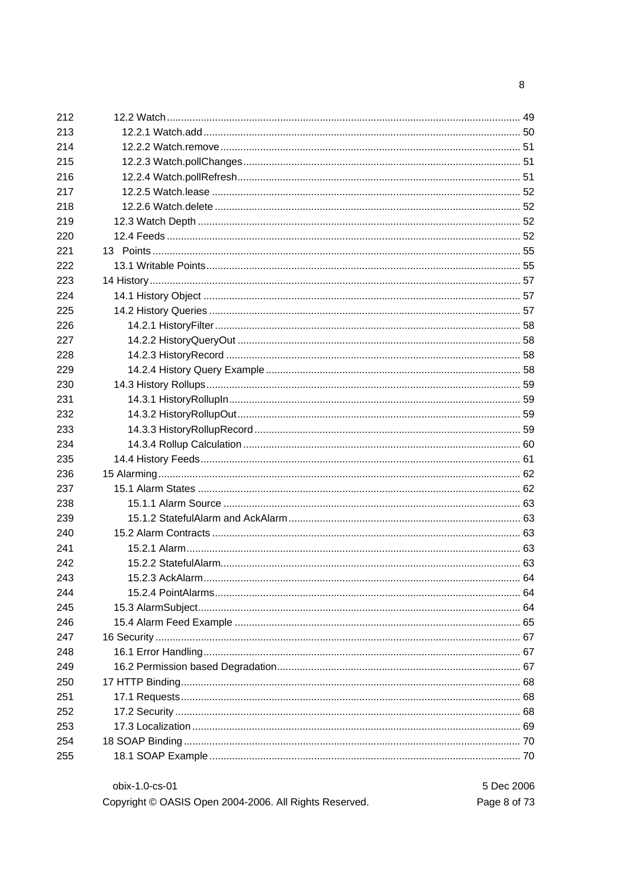| obix-1.0-cs-01                                         | 5 Dec 2006   |
|--------------------------------------------------------|--------------|
| Copyright © OASIS Open 2004-2006. All Rights Reserved. | Page 8 of 73 |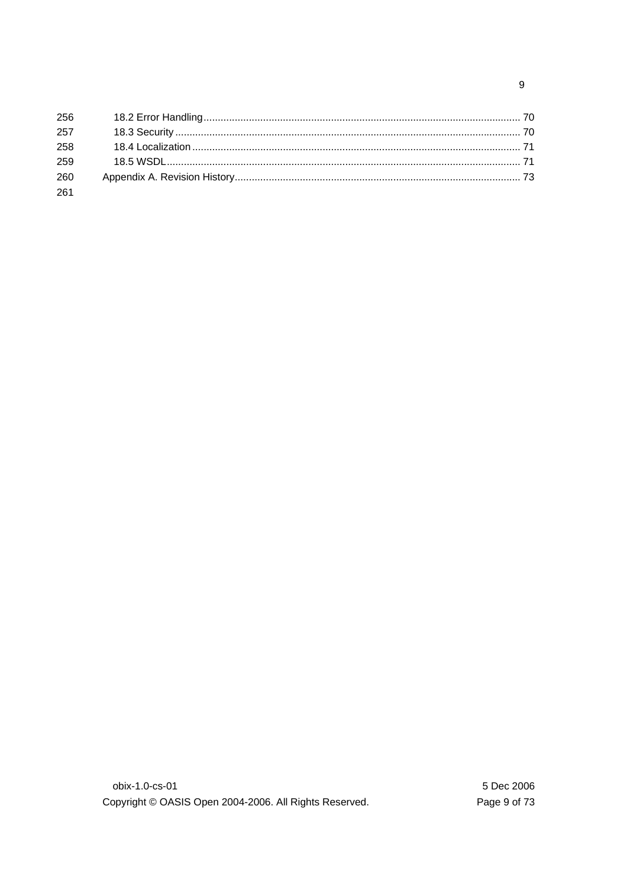| 256 |  |
|-----|--|
| 257 |  |
| 258 |  |
| 259 |  |
| 260 |  |
| 261 |  |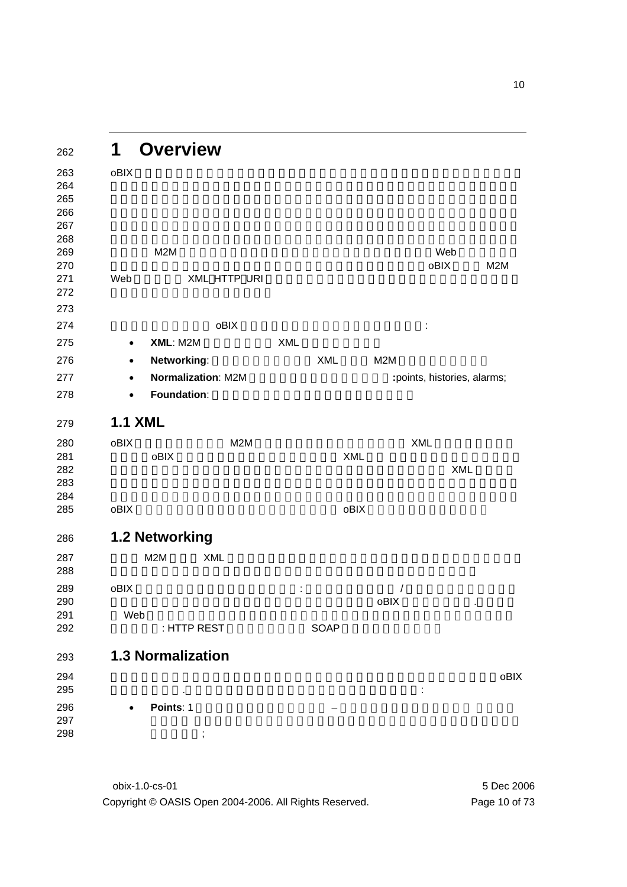**1 Overview**  263 oBIX  $\bullet$  $\sim$  $\sim$ する用語 M2M はインターネットの世界で完全な変化を起こしており、Web とマシンとの 自律的な相互通信への進展という新しいぺ一ジを開いているのです。oBIX 仕様は M2M 271 Web XML HTTP URI obix obix  $\bullet$   $\bullet$ **275 • XML**: M2M فكالطبيعة **• Networking**: **XML M2M • Normalization**: M2M **1996 100 · 100 · 100 · 100 · 100 · 100 · 100 · 100 · 100 · 100 · 100 · 100 · 100 · 100 · 100 · 100 · 100 · 100 · 100 · 100 · 100 · 100 · 100 · 100 · 100 · 100 · 100 · 100 · 100 · 100 · 100 · 1 • Foundation**: **1.1 XML**  280 oBIX M2M 280 XML とです。oBIX の設計思想はシンプルに定義された XML 構文 にマップする小さいが拡張可 282 kwalet the state of the state of the state of the state of the state of the state of the state of the state of the state of the state of the state of the state of the state of the state of the state of the state of the  $\sim$  oBIX  $\bullet$ **1.2 Networking**  我々が M2M 情報を XML で表す方法を持つと同時に次のステップは公開と活用のためにネ 289 oBIX  $\,$  .  $\,$ モデルを実行する一連のプロトコルバインディングです。oBIX のバージョン1.0は既存 291 Web サービスの基盤を導入するようになっています。 **EXECUTE : HTTP REST SOAP 1.3 Normalization**  実世界を計測し制御するシステムの中に広い適用性を持つ幾つかの概念があります。oBIX or  $1.01$ • **Points**: 1 つの計測値とその状態を表す – 一般的にこれらはセンサー、 アクチュ **レットポイントのようなコンフィギュ** ;

> obix-1.0-cs-01 5 Dec 2006 Copyright © OASIS Open 2004-2006. All Rights Reserved. Page 10 of 73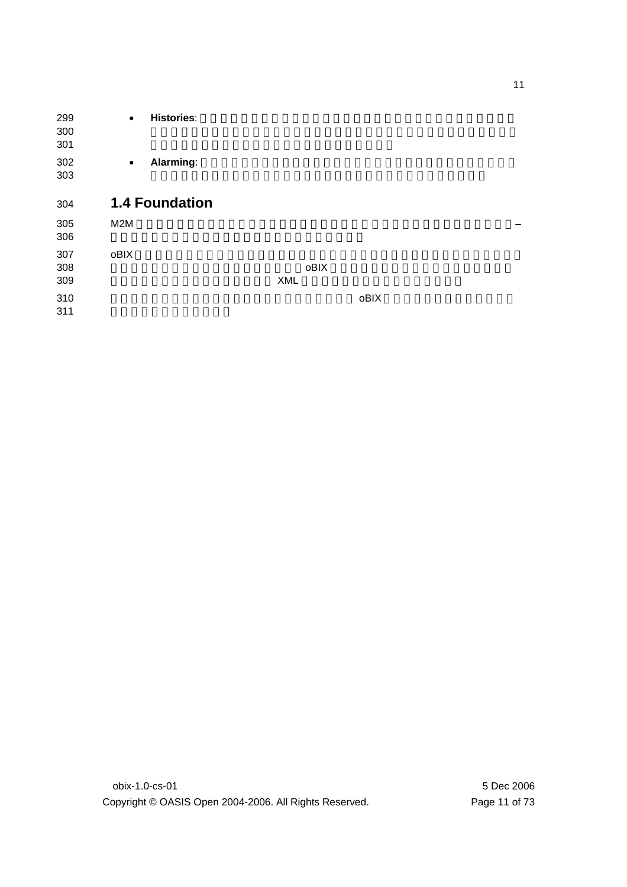**• Histories**: **• Alarming**: **1.4 Foundation**  M2M  $-$ 307 oBIX は、しかしコントラクトには開発している。しかしコントラクトに基づいた海の白くなっている。しかしコントラクトに基づいた海の住場ですが、しかしコントラクトに基づいた海の住場です。しかしコントラクトに基づいた ズムを備えて計画的に設計されています。oBIX のゴールは新しい仕様のために基礎を提 XML  $309$   $\,$  oBIX  $\,$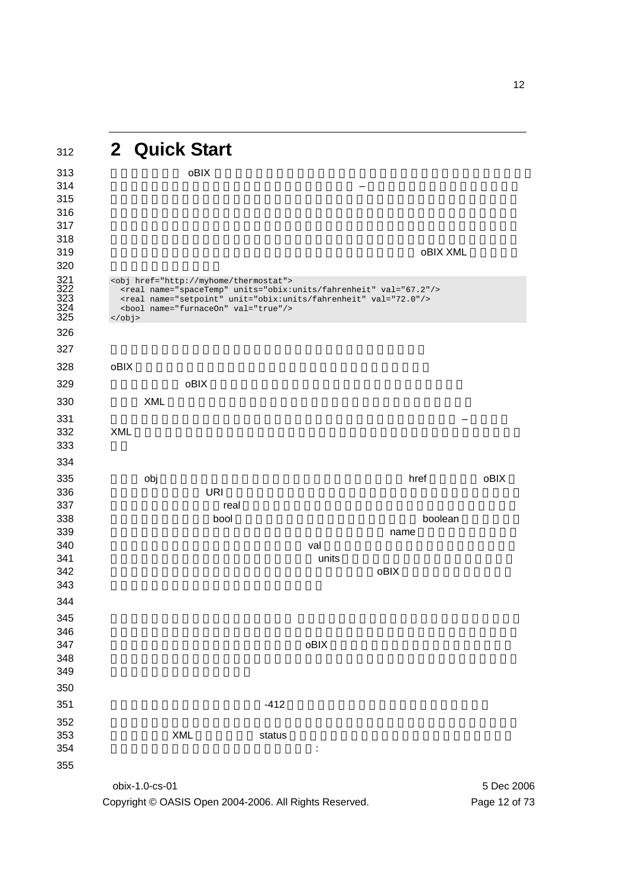# **2 Quick Start**

obix-1.0-cs-01 5 Dec 2006  $0$  oblX  $0$   $-$ かどうか通知するデータを持っています。我々のサーモスタットが oBIX XML でどう見え 320<br>321<br>322<br>323<br>324<br>325 <obj href="http://myhome/thermostat"> <real name="spaceTemp" units="obix:units/fahrenheit" val="67.2"/> <real name="setpoint" unit="obix:units/fahrenheit" val="72.0"/> <bool name="furnaceOn" val="true"/> </obj> oBIX  $\bullet$   $\bullet$   $\bullet$  DHX  $\bullet$  XML  $X$ ML  $\overline{X}$ 332 XML **XML**  ルート obj 要素は全部のサーモスタットをモデル化します。その href 属性はこの oBIX  $\qquad$  URI  $\qquad$ 337 July 2012 The Contract Contract Contract Contract Contract Contract Contract Contract Contract Contract Co 338 tool the bool the bool that we boolean boolean states and the boolean states boolean states boolean states the extension of the extension of the extension of the extension of the extension of the extension of the extension of the extension of the extension of the extension of the extension of the extension of the extensi  $\verb|val|$  units  $241$ れていることがわかります(それは暑い部屋でしょう)。oBIX 仕様はひと塊のファセッ details and the component  $\alpha$  obligation  $\alpha$  obligation  $\alpha$   $-412$ るべきです。XML を書き直して status ファセットを含ませ、そしてコントラクトを使用 

Copyright © OASIS Open 2004-2006. All Rights Reserved. Page 12 of 73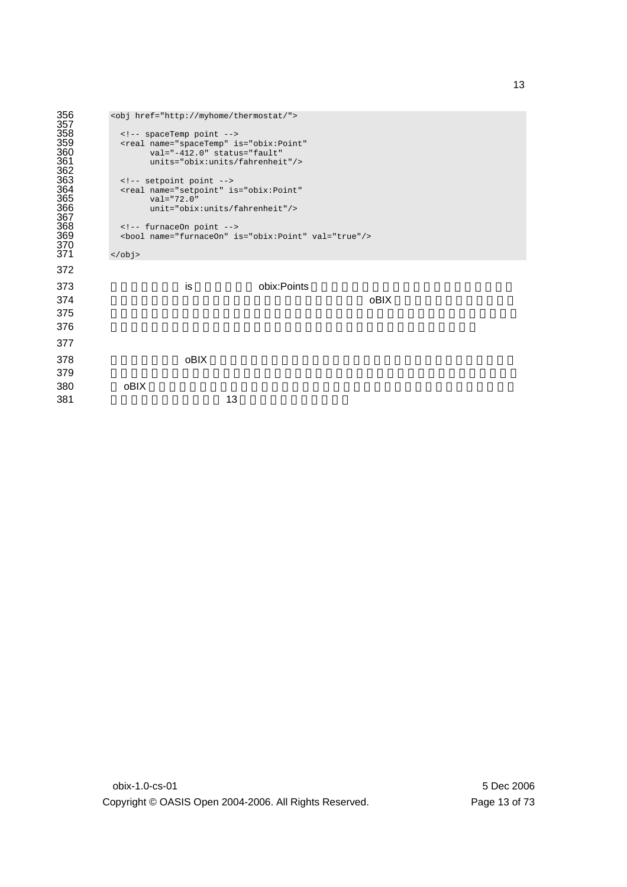```
356 <obj href="http://myhome/thermostat/"> 
357 
358 <!-- spaceTemp point -->
359 <real name="spaceTemp" is="obix:Point" 
360 val="-412.0" status="fault" 
        361 units="obix:units/fahrenheit"/> 
362 
363 \leq \leq \leq setpoint point \sim364 <real name="setpoint" is="obix:Point" 
365 val="72.0"
         unit="obix:units/fahrenheit"/>
367 
368 \leq \leq \leq furnaceOn point \leq \geq369 <bool name="furnaceOn" is="obix:Point" val="true"/> 
370 
     \langle/obj372 
373 is bix:Points
374 oblix \bullet375376377 
378 コントラクトは oBIX における新しい抽象概念をコアとなるオブジェクトモデル上に構築
379380 oBIX extended to \mathcal{A}381 13 -
```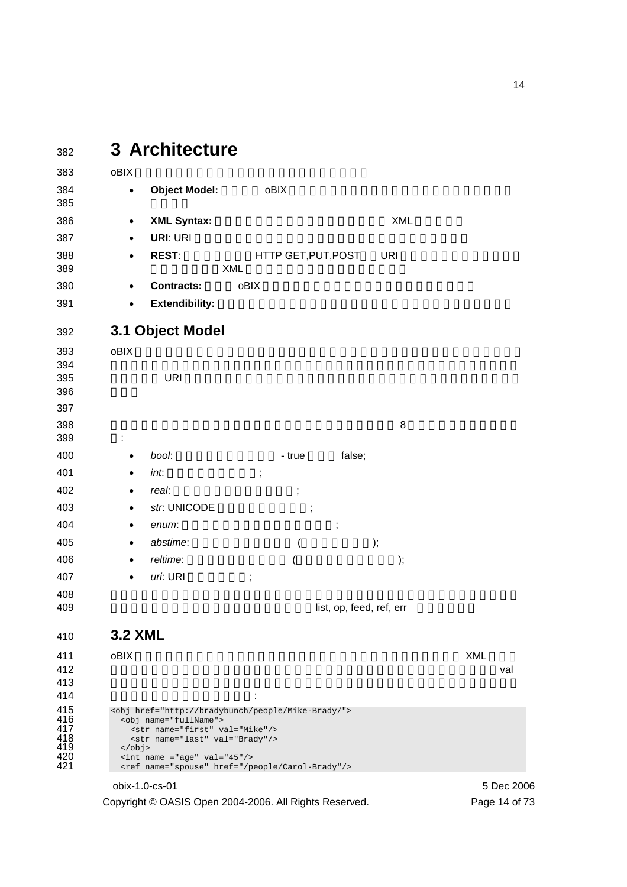| 382                                           | 3 Architecture                                                                                                                                                                                                                                                                              |            |
|-----------------------------------------------|---------------------------------------------------------------------------------------------------------------------------------------------------------------------------------------------------------------------------------------------------------------------------------------------|------------|
| 383                                           | oBIX                                                                                                                                                                                                                                                                                        |            |
| 384                                           | <b>Object Model:</b><br>oBIX<br>$\bullet$                                                                                                                                                                                                                                                   |            |
| 385                                           |                                                                                                                                                                                                                                                                                             |            |
| 386                                           | XML<br><b>XML Syntax:</b><br>$\bullet$                                                                                                                                                                                                                                                      |            |
| 387                                           | URI: URI<br>$\bullet$                                                                                                                                                                                                                                                                       |            |
| 388                                           | <b>REST:</b><br>HTTP GET, PUT, POST<br><b>URI</b><br><b>XML</b>                                                                                                                                                                                                                             |            |
| 389                                           | oBIX                                                                                                                                                                                                                                                                                        |            |
| 390                                           | <b>Contracts:</b><br>$\bullet$                                                                                                                                                                                                                                                              |            |
| 391                                           | <b>Extendibility:</b><br>$\bullet$                                                                                                                                                                                                                                                          |            |
| 392                                           | 3.1 Object Model                                                                                                                                                                                                                                                                            |            |
| 393                                           | oBIX                                                                                                                                                                                                                                                                                        |            |
| 394<br>395                                    | <b>URI</b>                                                                                                                                                                                                                                                                                  |            |
| 396                                           |                                                                                                                                                                                                                                                                                             |            |
| 397                                           |                                                                                                                                                                                                                                                                                             |            |
| 398                                           | 8                                                                                                                                                                                                                                                                                           |            |
| 399                                           |                                                                                                                                                                                                                                                                                             |            |
| 400                                           | bool:<br>false;<br>- true<br>$\bullet$                                                                                                                                                                                                                                                      |            |
| 401                                           | int.<br>$\ddot{\phantom{a}}$<br>٠                                                                                                                                                                                                                                                           |            |
| 402                                           | real:<br>$\ddot{\phantom{0}}$<br>$\bullet$                                                                                                                                                                                                                                                  |            |
| 403                                           | str. UNICODE<br>$\ddot{ }$<br>$\bullet$                                                                                                                                                                                                                                                     |            |
| 404                                           | enum:<br>$\vdots$<br>$\bullet$                                                                                                                                                                                                                                                              |            |
| 405                                           | abstime:<br>);<br>$\bullet$<br>1                                                                                                                                                                                                                                                            |            |
| 406                                           | reltime:<br>);                                                                                                                                                                                                                                                                              |            |
| 407                                           | uri: URI<br>,                                                                                                                                                                                                                                                                               |            |
| 408<br>409                                    | list, op, feed, ref, err                                                                                                                                                                                                                                                                    |            |
|                                               |                                                                                                                                                                                                                                                                                             |            |
| 410                                           | <b>3.2 XML</b>                                                                                                                                                                                                                                                                              |            |
| 411                                           | oBIX                                                                                                                                                                                                                                                                                        | <b>XML</b> |
| 412<br>413                                    |                                                                                                                                                                                                                                                                                             | val        |
| 414                                           |                                                                                                                                                                                                                                                                                             |            |
| 415<br>416<br>417<br>418<br>419<br>420<br>421 | <obj href="http://bradybunch/people/Mike-Brady/"><br/><obj name="fullName"><br/><str name="first" val="Mike"></str><br/><str name="last" val="Brady"></str><br/></obj><br/><math>\text{int name} = "age" val = "45*/`</math><br/><ref href="/people/Carol-Brady" name="spouse"></ref></obj> |            |
|                                               | obix-1.0-cs-01                                                                                                                                                                                                                                                                              | 5 Dec 2006 |

Copyright © OASIS Open 2004-2006. All Rights Reserved. Page 14 of 73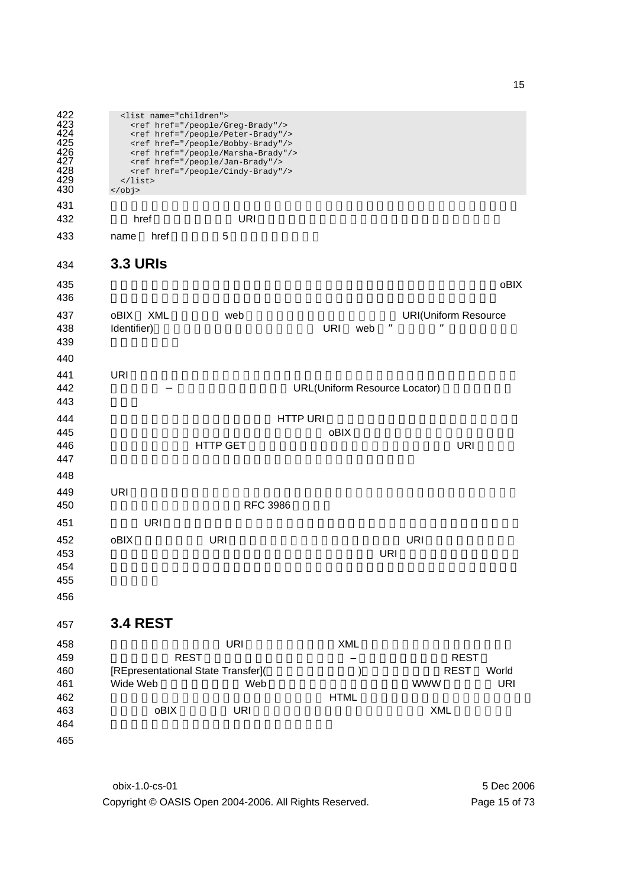| 422<br>423<br>424<br>425<br>426<br>427<br>428<br>429<br>430 | <list name="children"><br/><ref href="/people/Greg-Brady"></ref><br/><ref href="/people/Peter-Brady"></ref><br/><ref href="/people/Bobby-Brady"></ref><br/><ref href="/people/Marsha-Brady"></ref><br/><ref href="/people/Jan-Brady"></ref><br/><ref href="/people/Cindy-Brady"></ref><br/><math>\langle</math>list&gt;<br/><math>\langle</math>obj&gt;</list> |                     |                                                                       |                                      |            |                                                        |                     |  |  |  |  |
|-------------------------------------------------------------|----------------------------------------------------------------------------------------------------------------------------------------------------------------------------------------------------------------------------------------------------------------------------------------------------------------------------------------------------------------|---------------------|-----------------------------------------------------------------------|--------------------------------------|------------|--------------------------------------------------------|---------------------|--|--|--|--|
| 431                                                         |                                                                                                                                                                                                                                                                                                                                                                |                     |                                                                       |                                      |            |                                                        |                     |  |  |  |  |
| 432                                                         | href                                                                                                                                                                                                                                                                                                                                                           |                     | <b>URI</b>                                                            |                                      |            |                                                        |                     |  |  |  |  |
| 433                                                         | name                                                                                                                                                                                                                                                                                                                                                           | href                | 5                                                                     |                                      |            |                                                        |                     |  |  |  |  |
| 434                                                         | <b>3.3 URIS</b>                                                                                                                                                                                                                                                                                                                                                |                     |                                                                       |                                      |            |                                                        |                     |  |  |  |  |
| 435<br>436                                                  |                                                                                                                                                                                                                                                                                                                                                                |                     |                                                                       |                                      |            |                                                        | oBIX                |  |  |  |  |
| 437<br>438<br>439                                           | oBIX<br>Identifier)                                                                                                                                                                                                                                                                                                                                            | <b>XML</b>          | web                                                                   | <b>URI</b>                           | ,,<br>web  | <b>URI(Uniform Resource</b><br>,,                      |                     |  |  |  |  |
| 440<br>441<br>442<br>443                                    | <b>URI</b>                                                                                                                                                                                                                                                                                                                                                     |                     |                                                                       | <b>URL(Uniform Resource Locator)</b> |            |                                                        |                     |  |  |  |  |
| 444<br>445<br>446<br>447                                    |                                                                                                                                                                                                                                                                                                                                                                |                     | <b>HTTP GET</b>                                                       | <b>HTTP URI</b><br>oBIX              |            | <b>URI</b>                                             |                     |  |  |  |  |
| 448<br>449<br>450                                           | <b>URI</b>                                                                                                                                                                                                                                                                                                                                                     |                     | <b>RFC 3986</b>                                                       |                                      |            |                                                        |                     |  |  |  |  |
| 451                                                         |                                                                                                                                                                                                                                                                                                                                                                | <b>URI</b>          |                                                                       |                                      |            |                                                        |                     |  |  |  |  |
| 452<br>453<br>454<br>455<br>456                             | oBIX                                                                                                                                                                                                                                                                                                                                                           |                     | URI                                                                   |                                      | <b>URI</b> | <b>URI</b>                                             |                     |  |  |  |  |
| 457                                                         | <b>3.4 REST</b>                                                                                                                                                                                                                                                                                                                                                |                     |                                                                       |                                      |            |                                                        |                     |  |  |  |  |
| 458<br>459<br>460<br>461<br>462<br>463<br>464<br>465        | Wide Web                                                                                                                                                                                                                                                                                                                                                       | <b>REST</b><br>oBIX | <b>URI</b><br>[REpresentational State Transfer](<br>Web<br><b>URI</b> | XML<br><b>HTML</b>                   | )          | <b>REST</b><br><b>REST</b><br><b>WWW</b><br><b>XML</b> | World<br><b>URI</b> |  |  |  |  |

obix-1.0-cs-01 5 Dec 2006 Copyright © OASIS Open 2004-2006. All Rights Reserved. Page 15 of 73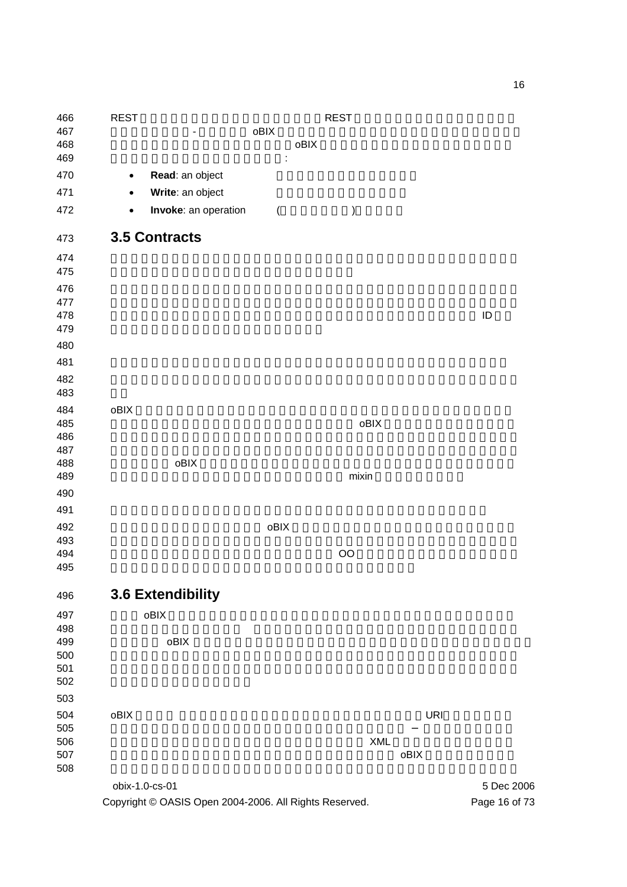obix-1.0-cs-01 5 Dec 2006 466 REST さんなどのおりました。デザインスタイルです。<br>それです。 the set of the set of the best observed observed observed observed observed observed observed observed observed observed observed observed observed observed observed observed observed observed observed observed obse and  $30\%$   $\bullet$  Delix  $\bullet$   $\bullet$  Delix  $\bullet$   $\vdots$ **• Read:** an object **• Write**: an object • **Invoke**: an operation ( $\qquad$  ) **3.5 Contracts**  478 to the contract of the contract of the contract of the contract of the contract of the contract of the contract of the contract of the contract of the contract of the contract of the contract of the contract of the co 484 oBIX で我々はコントラクトと呼ばれる概念を使ってこれらのパターンを取り込みます、  $0\overline{\phantom{a}}$  expected oblix the state  $\sigma$  oblix that  $\sigma$ 489 and the state of the state of the state of the state of the state of the state of the state of the state o コントラクトの最も重要な使用は oBIX 仕様自身によって新しい標準的な抽象概念を定義 **3.6 Extendibility**  obiX  $\alpha$  obix  $\sigma$  504 oBIX の拡張性 の背後の原則はあらゆる新しいものがオブジェクト、URI、コントラクト クライアントコードが注意することを強いられる新しい XML 構文あるいは機能を導入し between the contraction of the contraction of the contraction objects to  $\alpha$  objects the contraction of the contraction of the contraction of the contraction of the contraction of the contraction of the contraction 

Copyright © OASIS Open 2004-2006. All Rights Reserved. Page 16 of 73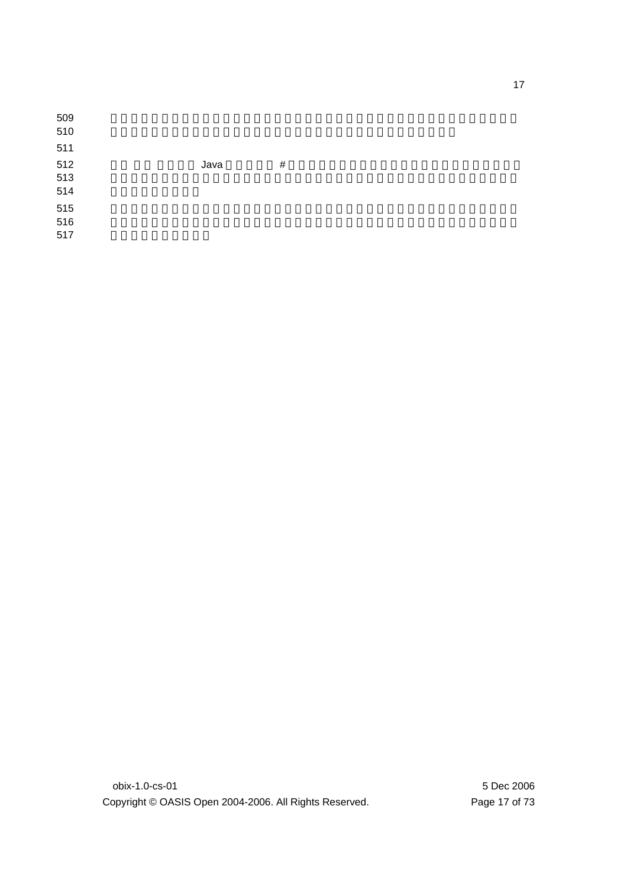| 509<br>510        |      |      |
|-------------------|------|------|
| 511               |      |      |
| 512<br>513<br>514 | Java | $\#$ |
| 515<br>516        |      |      |
| 517               |      |      |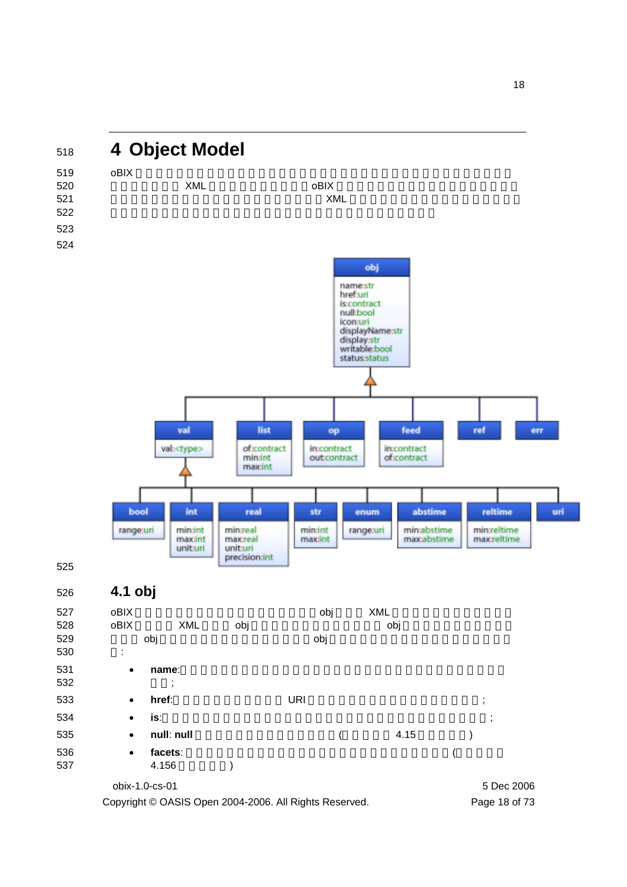

Copyright © OASIS Open 2004-2006. All Rights Reserved. Page 18 of 73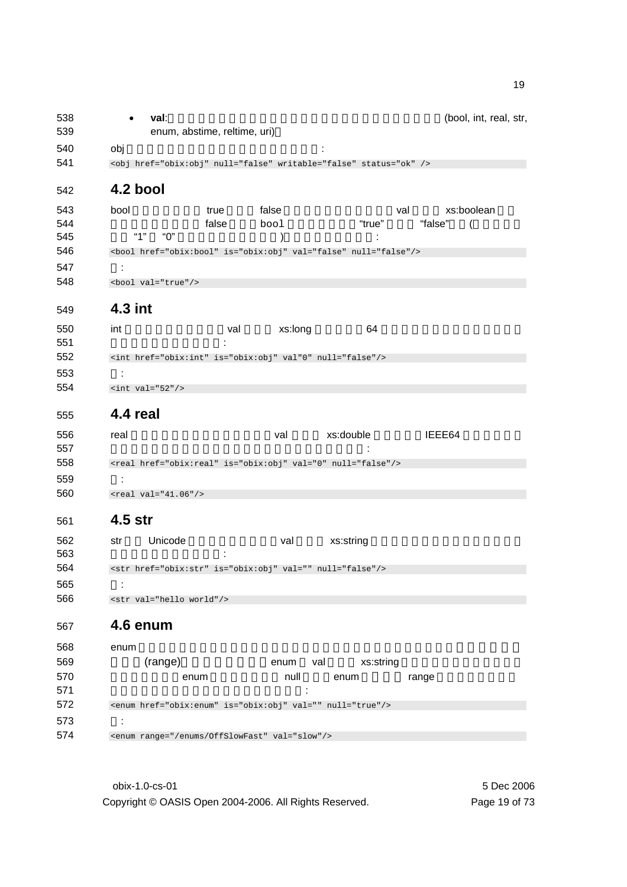| 538<br>539 | (bool, int, real, str,<br>val:<br>enum, abstime, reltime, uri)        |  |
|------------|-----------------------------------------------------------------------|--|
| 540        | obj                                                                   |  |
| 541        | <obj href="obix:obj" null="false" status="ok" writable="false"></obj> |  |
| 542        | 4.2 bool                                                              |  |
| 543        | bool<br>xs:boolean<br>false<br>true<br>val                            |  |
| 544        | "true"<br>"false"<br>false<br>bool                                    |  |
| 545        | "1"<br>"በ"<br>$\lambda$                                               |  |
| 546        | <bool href="obix:bool" is="obix:obj" null="false" val="false"></bool> |  |
| 547        | ÷                                                                     |  |
| 548        | <bool val="true"></bool>                                              |  |
| 549        | 4.3 int                                                               |  |
| 550        | xs:long<br>int<br>64<br>val                                           |  |
| 551        |                                                                       |  |
| 552        | <int href="obix:int" is="obix:obj" null="false" val"0"=""></int>      |  |
| 553        |                                                                       |  |
| 554        | $\text{int val} = 52*/$                                               |  |
| 555        | 4.4 real                                                              |  |
| 556        | xs:double<br>IEEE64<br>real<br>val                                    |  |
| 557        |                                                                       |  |
| 558        | <real href="obix:real" is="obix:obj" null="false" val="0"></real>     |  |
| 559        | ÷                                                                     |  |
| 560        | $<$ real val="41.06"/>                                                |  |
| 561        | 4.5 str                                                               |  |
| 562        | Unicode<br>xs:string<br>str<br>val                                    |  |
| 563        |                                                                       |  |
| 564        | <str href="obix:str" is="obix:obj" null="false" val=""></str>         |  |
| 565        |                                                                       |  |
| 566        | <str val="hello world"></str>                                         |  |
| 567        | 4.6 enum                                                              |  |
| 568        | enum                                                                  |  |
| 569        | (range)<br>xs:string<br>enum<br>val                                   |  |
| 570        | null<br>enum<br>enum<br>range                                         |  |
| 571        |                                                                       |  |
| 572        | <enum href="obix:enum" is="obix:obj" null="true" val=""></enum>       |  |
| 573        | ÷                                                                     |  |
| 574        | <enum range="/enums/OffSlowFast" val="slow"></enum>                   |  |

obix-1.0-cs-01 5 Dec 2006 Copyright © OASIS Open 2004-2006. All Rights Reserved. Page 19 of 73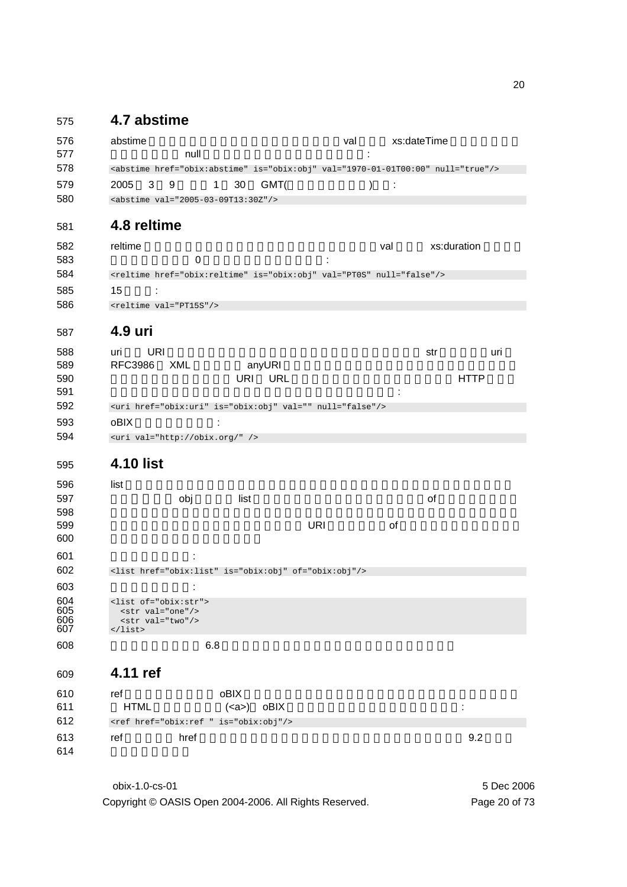### 575 **4.7 abstime**

| 576<br>577 | abstime<br>null                                                                          |                      | val        | xs:dateTime |             |     |
|------------|------------------------------------------------------------------------------------------|----------------------|------------|-------------|-------------|-----|
| 578        | <abstime href="obix:abstime" is="obix:obj" null="true" val="1970-01-01T00:00"></abstime> |                      |            |             |             |     |
| 579        | 2005<br>9<br>3                                                                           | 30<br>GMT(<br>1      |            |             |             |     |
| 580        | <abstime val="2005-03-09T13:30Z"></abstime>                                              |                      |            |             |             |     |
| 581        | 4.8 reltime                                                                              |                      |            |             |             |     |
| 582        | reltime                                                                                  |                      |            | val         | xs:duration |     |
| 583        | $\mathbf 0$                                                                              |                      |            |             |             |     |
| 584        | <reltime href="obix:reltime" is="obix:obj" null="false" val="PT0S"></reltime>            |                      |            |             |             |     |
| 585        | 15<br>÷                                                                                  |                      |            |             |             |     |
| 586        | <reltime val="PT15S"></reltime>                                                          |                      |            |             |             |     |
| 587        | 4.9 uri                                                                                  |                      |            |             |             |     |
| 588        | URI<br>uri                                                                               |                      |            |             | str         | uri |
| 589        | <b>RFC3986</b><br>XML                                                                    | anyURI               |            |             |             |     |
| 590        |                                                                                          | URI URL              |            |             | <b>HTTP</b> |     |
| 591        |                                                                                          |                      |            |             |             |     |
| 592        | <uri href="obix:uri" is="obix:obj" null="false" val=""></uri>                            |                      |            |             |             |     |
| 593        | oBIX                                                                                     |                      |            |             |             |     |
| 594        | <uri val="http://obix.org/"></uri>                                                       |                      |            |             |             |     |
| 595        | <b>4.10 list</b>                                                                         |                      |            |             |             |     |
| 596        | list                                                                                     |                      |            |             |             |     |
| 597        | obj                                                                                      | list                 |            |             | of          |     |
| 598        |                                                                                          |                      |            |             |             |     |
| 599<br>600 |                                                                                          |                      | <b>URI</b> | οf          |             |     |
| 601        |                                                                                          |                      |            |             |             |     |
| 602        | <list href="obix:list" is="obix:obj" of="obix:obj"></list>                               |                      |            |             |             |     |
| 603        |                                                                                          |                      |            |             |             |     |
| 604        | <list of="obix:str"></list>                                                              |                      |            |             |             |     |
| 605        | <str val="one"></str>                                                                    |                      |            |             |             |     |
| 606<br>607 | <str val="two"></str><br>$\langle$ list>                                                 |                      |            |             |             |     |
| 608        | 6.8                                                                                      |                      |            |             |             |     |
| 609        | 4.11 ref                                                                                 |                      |            |             |             |     |
| 610        | ref                                                                                      | oBIX                 |            |             |             |     |
| 611        | <b>HTML</b>                                                                              | $(\text{ca}$<br>oBIX |            |             | ÷           |     |
| 612        | <ref href="obix:ref " is="obix:obj"></ref>                                               |                      |            |             |             |     |
| 613        | href<br>ref                                                                              |                      |            |             | 9.2         |     |
| 614        |                                                                                          |                      |            |             |             |     |
|            |                                                                                          |                      |            |             |             |     |

obix-1.0-cs-01 5 Dec 2006 Copyright © OASIS Open 2004-2006. All Rights Reserved. Page 20 of 73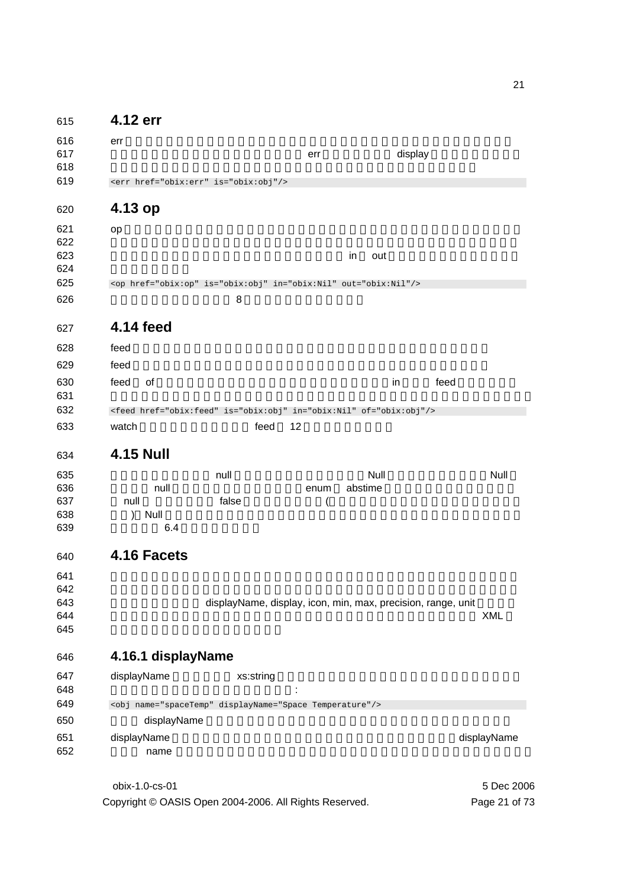| 615        | 4.12 err                                                                 |           |      |                                                              |             |
|------------|--------------------------------------------------------------------------|-----------|------|--------------------------------------------------------------|-------------|
| 616        | err                                                                      |           |      |                                                              |             |
| 617        |                                                                          |           | err  | display                                                      |             |
| 618        |                                                                          |           |      |                                                              |             |
| 619        | <err href="obix:err" is="obix:obj"></err>                                |           |      |                                                              |             |
| 620        | 4.13 op                                                                  |           |      |                                                              |             |
| 621        | op                                                                       |           |      |                                                              |             |
| 622        |                                                                          |           |      |                                                              |             |
| 623        |                                                                          |           |      | in<br>out                                                    |             |
| 624<br>625 |                                                                          |           |      |                                                              |             |
| 626        | <op href="obix:op" in="obix:Nil" is="obix:obj" out="obix:Nil"></op>      | 8         |      |                                                              |             |
|            |                                                                          |           |      |                                                              |             |
| 627        | 4.14 feed                                                                |           |      |                                                              |             |
| 628        | feed                                                                     |           |      |                                                              |             |
| 629        | feed                                                                     |           |      |                                                              |             |
| 630        | feed<br>0f                                                               |           |      | feed<br>in                                                   |             |
| 631        |                                                                          |           |      |                                                              |             |
| 632        | <feed href="obix:feed" in="obix:Nil" is="obix:obj" of="obix:obj"></feed> |           |      |                                                              |             |
| 633        | watch                                                                    | feed      | 12   |                                                              |             |
| 634        | <b>4.15 Null</b>                                                         |           |      |                                                              |             |
| 635        |                                                                          | null      |      | Null                                                         | Null        |
| 636        | null                                                                     |           | enum | abstime                                                      |             |
| 637        | null                                                                     | false     | (    |                                                              |             |
| 638        | Null<br>$\mathcal{E}$                                                    |           |      |                                                              |             |
| 639        | 6.4                                                                      |           |      |                                                              |             |
| 640        | 4.16 Facets                                                              |           |      |                                                              |             |
| 641        |                                                                          |           |      |                                                              |             |
| 642        |                                                                          |           |      |                                                              |             |
| 643        |                                                                          |           |      | displayName, display, icon, min, max, precision, range, unit |             |
| 644<br>645 |                                                                          |           |      |                                                              | <b>XML</b>  |
|            |                                                                          |           |      |                                                              |             |
| 646        | 4.16.1 displayName                                                       |           |      |                                                              |             |
| 647        | displayName                                                              | xs:string |      |                                                              |             |
| 648        |                                                                          |           |      |                                                              |             |
| 649        | <obj displayname="Space Temperature" name="spaceTemp"></obj>             |           |      |                                                              |             |
| 650        | displayName                                                              |           |      |                                                              |             |
| 651        | displayName                                                              |           |      |                                                              | displayName |
| 652        | name                                                                     |           |      |                                                              |             |
|            |                                                                          |           |      |                                                              |             |

obix-1.0-cs-01 5 Dec 2006 Copyright © OASIS Open 2004-2006. All Rights Reserved. Page 21 of 73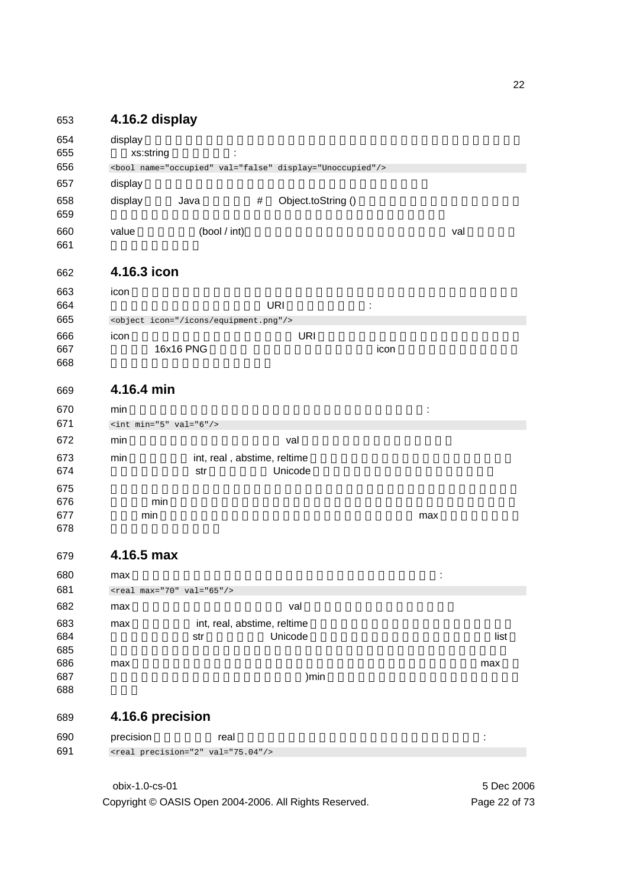### 653 **4.16.2 display**

| 654<br>655 | display<br>xs:string |                                               |                             |                                                                |                |     |      |
|------------|----------------------|-----------------------------------------------|-----------------------------|----------------------------------------------------------------|----------------|-----|------|
| 656        |                      |                                               |                             | <bool display="Unoccupied" name="occupied" val="false"></bool> |                |     |      |
| 657        | display              |                                               |                             |                                                                |                |     |      |
| 658<br>659 | display              | Java                                          | #                           | Object.toString ()                                             |                |     |      |
| 660<br>661 | value                | (bool / int)                                  |                             |                                                                |                | val |      |
| 662        | 4.16.3 icon          |                                               |                             |                                                                |                |     |      |
| 663        | icon                 |                                               |                             |                                                                |                |     |      |
| 664        |                      |                                               |                             | <b>URI</b>                                                     | $\ddot{\cdot}$ |     |      |
| 665        |                      | <object icon="/icons/equipment.png"></object> |                             |                                                                |                |     |      |
| 666        | icon                 |                                               |                             | <b>URI</b>                                                     |                |     |      |
| 667<br>668 |                      | 16x16 PNG                                     |                             |                                                                | icon           |     |      |
| 669        | 4.16.4 min           |                                               |                             |                                                                |                |     |      |
| 670        | min                  |                                               |                             |                                                                |                |     |      |
| 671        |                      | $\sin t$ min="5" val="6"/>                    |                             |                                                                |                |     |      |
| 672        | min                  |                                               |                             | val                                                            |                |     |      |
| 673        | min                  |                                               | int, real, abstime, reltime |                                                                |                |     |      |
| 674        |                      | str                                           |                             | Unicode                                                        |                |     |      |
| 675        |                      |                                               |                             |                                                                |                |     |      |
| 676        |                      | min                                           |                             |                                                                |                |     |      |
| 677        | min                  |                                               |                             |                                                                |                | max |      |
| 678        |                      |                                               |                             |                                                                |                |     |      |
| 679        | 4.16.5 max           |                                               |                             |                                                                |                |     |      |
| 680        | max                  |                                               |                             |                                                                |                | t   |      |
| 681        |                      | <real max="70" val="65"></real>               |                             |                                                                |                |     |      |
| 682        | max                  |                                               |                             | val                                                            |                |     |      |
| 683        | max                  |                                               | int, real, abstime, reltime |                                                                |                |     |      |
| 684        |                      | str                                           |                             | Unicode                                                        |                |     | list |
| 685        |                      |                                               |                             |                                                                |                |     |      |
| 686<br>687 | max                  |                                               |                             | )min                                                           |                |     | max  |
| 688        |                      |                                               |                             |                                                                |                |     |      |
| 689        |                      | 4.16.6 precision                              |                             |                                                                |                |     |      |
| 690        | precision            |                                               | real                        |                                                                |                |     | t    |
| 691        |                      | <real precision="2" val="75.04"></real>       |                             |                                                                |                |     |      |

obix-1.0-cs-01 5 Dec 2006 Copyright © OASIS Open 2004-2006. All Rights Reserved. Page 22 of 73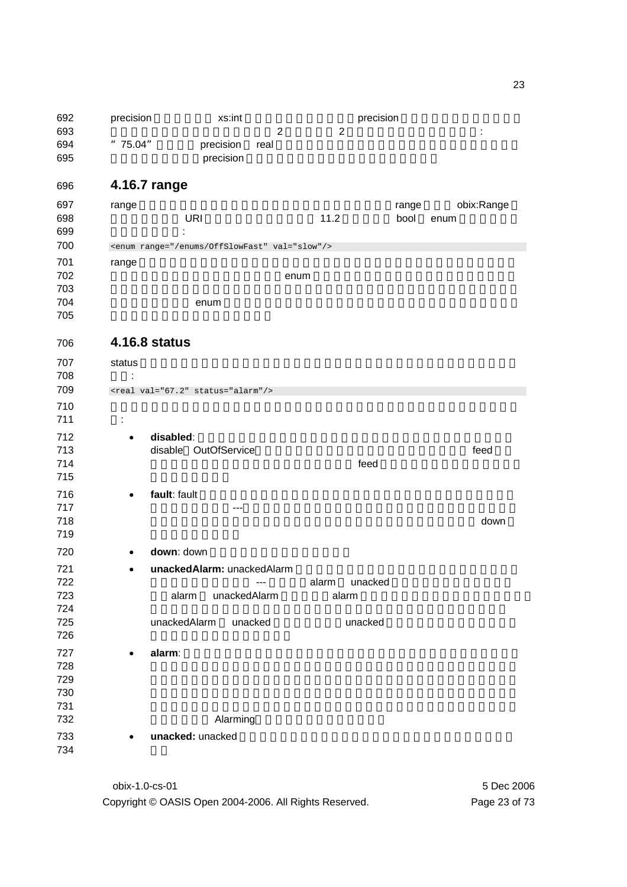692 precision and attack as:int the precision precision precision and precision and  $\alpha$  $\frac{693}{2}$  2  $\frac{2}{10}$  : "75.04"。一般に precision real 値の書式設定を行うクライアントアプリケーションに **becision** brecision **4.16.7 range**  697 range range **range**  $\alpha$   $\beta$   $\beta$   $\gamma$   $\beta$   $\gamma$   $\beta$   $\gamma$   $\beta$   $\gamma$   $\gamma$   $\delta$   $\gamma$   $\gamma$   $\delta$   $\gamma$   $\gamma$   $\delta$   $\gamma$   $\gamma$   $\delta$   $\gamma$   $\gamma$   $\delta$   $\gamma$   $\gamma$   $\delta$   $\gamma$   $\gamma$   $\delta$   $\gamma$   $\gamma$   $\delta$   $\gamma$   $\gamma$   $\delta$   $\gamma$   $\gamma$   $\gamma$   $\gamma$ ブジェクトへの URI 参照です(定義のために 11.2 を参照)。 bool enum オブジェクト 699 : 2012 <enum range="/enums/OffSlowFast" val="slow"/> 701 range においてのオーバライドルールは指定された範囲がコントラクトの範囲から継承さ 702 tour contracts of the contracts of the mum of the mum of the mum of the mum of the mum of the mum of the mum 704 to the enum of enum of enum of the state  $\sim$ **4.16.8 status**  707 status **status ス**  : <real val="67.2" status="alarm"/> 711 : **712 • disabled**: 2000 € **disabled**: 2000 € 2000 € 2000 € 2000 € 2000 € 2000 € 2000 € 2000 € 2000 € 2000 € 2000 € 2000 € 2000 € 2000 € 2000 € 2000 € 2000 € 2000 € 2000 € 2000 € 2000 € 2000 € 2000 € 2000 € 2000 € 2000 € 20 713 disable OutOfService interventional feed feed the contract term that the contract term that the extension of  $\epsilon$  feed that the  $\epsilon$ • **fault**: fault 状態はデータが失敗状態のために無効であるか、あるいは利用できな 717 --- The contract of the contract of the contract of the contract of the contract of the contract of the co 718 total the contract of the contract of the contract of the contract of the contract of the contract of the contract of the contract of the contract of the contract of the contract of the contract of the contract of the 態を使うべきです。 **• down**: down **• unackedAlarm:** unackedAlarm があることを示します --- それは、alarm unacked 状態が重なっている状態で 723 alarm unackedAlarm alarm interval 725 unackedAlarm unacked control unacked • **alarm**: この状態はオブジェクトが現在警報状態にあることを示します。アラーム あるいは下であることを意味するかもしれません。あるいはそれはデジタルのセ 732 Alarming **• unacked:** unacked 

obix-1.0-cs-01 5 Dec 2006 Copyright © OASIS Open 2004-2006. All Rights Reserved. Page 23 of 73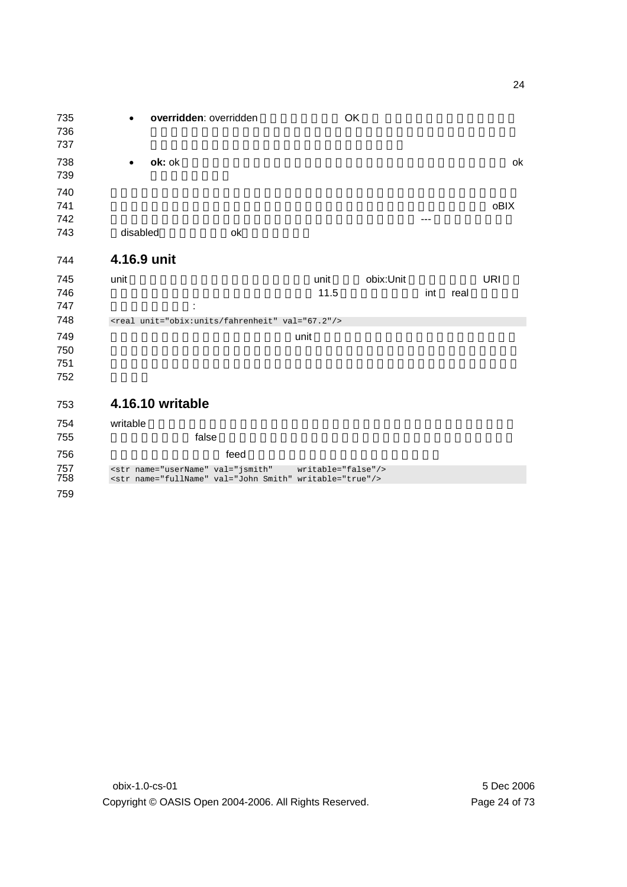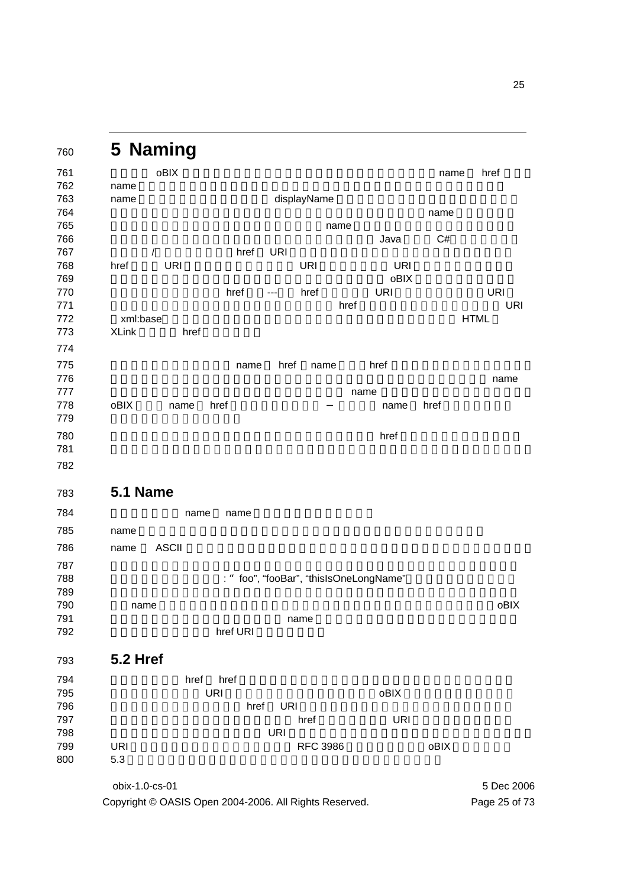|                   | oBIX               |           |            |                 |      |                                     | name | href        |
|-------------------|--------------------|-----------|------------|-----------------|------|-------------------------------------|------|-------------|
| name              |                    |           |            |                 |      |                                     |      |             |
| name              |                    |           |            | displayName     |      |                                     |      |             |
|                   |                    |           |            |                 |      |                                     | name |             |
|                   |                    |           |            |                 | name | Java                                | C#   |             |
| $\prime$          |                    | href      | <b>URI</b> |                 |      |                                     |      |             |
| href              | <b>URI</b>         |           |            | <b>URI</b>      |      | <b>URI</b>                          |      |             |
|                   |                    |           |            |                 |      | oBIX                                |      |             |
|                   |                    | href      | ---        | href            |      | <b>URI</b>                          |      | <b>URI</b>  |
|                   |                    |           |            |                 | href |                                     |      |             |
| xml:base          |                    |           |            |                 |      |                                     |      | <b>HTML</b> |
| <b>XLink</b>      | href               |           |            |                 |      |                                     |      |             |
|                   |                    |           |            |                 |      |                                     |      |             |
|                   |                    | name      | href       | name            |      | href                                |      |             |
|                   |                    |           |            |                 |      |                                     |      | name        |
| oBIX              | href<br>name       |           |            |                 | name | name                                | href |             |
|                   |                    |           |            |                 |      |                                     |      |             |
|                   |                    |           |            |                 |      | href                                |      |             |
|                   |                    |           |            |                 |      |                                     |      |             |
|                   |                    |           |            |                 |      |                                     |      |             |
|                   |                    |           |            |                 |      |                                     |      |             |
| 5.1 Name          |                    |           |            |                 |      |                                     |      |             |
|                   | name               | name      |            |                 |      |                                     |      |             |
| name              |                    |           |            |                 |      |                                     |      |             |
| name              | <b>ASCII</b>       |           |            |                 |      |                                     |      |             |
|                   |                    |           |            |                 |      |                                     |      |             |
|                   |                    | $\cdot$ " |            |                 |      | foo", "fooBar", "thisIsOneLongName" |      |             |
|                   |                    |           |            |                 |      |                                     |      |             |
| name              |                    |           |            |                 |      |                                     |      | oBIX        |
|                   |                    |           |            | name            |      |                                     |      |             |
|                   |                    | href URI  |            |                 |      |                                     |      |             |
| <b>5.2 Href</b>   |                    |           |            |                 |      |                                     |      |             |
|                   |                    |           |            |                 |      |                                     |      |             |
|                   | href<br><b>URI</b> | href      |            |                 |      | oBIX                                |      |             |
|                   |                    |           | <b>URI</b> |                 |      |                                     |      |             |
|                   |                    |           |            |                 |      |                                     |      |             |
|                   |                    | href      |            | href            |      | <b>URI</b>                          |      |             |
|                   |                    |           | <b>URI</b> |                 |      |                                     |      |             |
| <b>URI</b><br>5.3 |                    |           |            | <b>RFC 3986</b> |      |                                     | oBIX |             |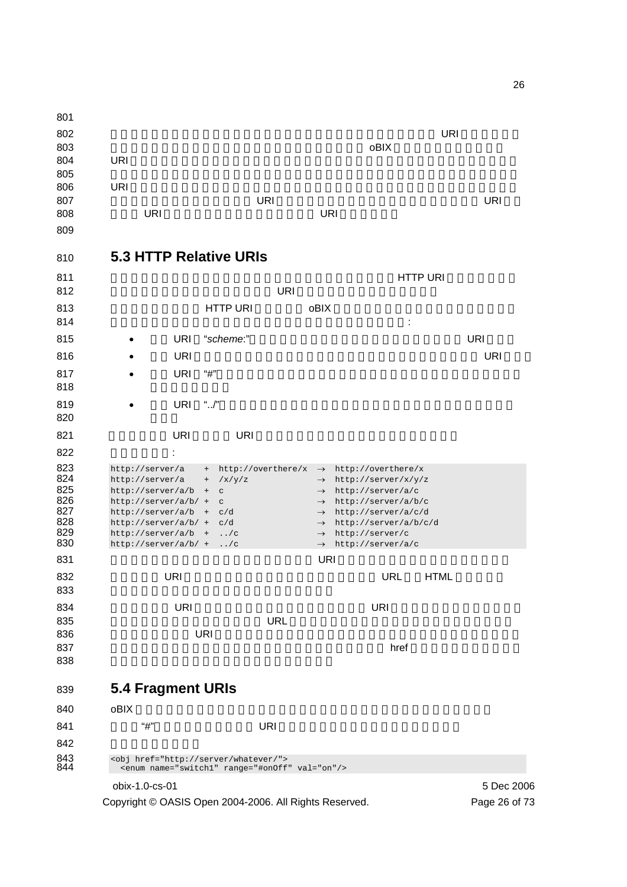obix-1.0-cs-01 5 Dec 2006 URI  $^{10}$ 803 results to the contract of the contract of the contract of the contract objects of the contract of the contract of the contract of the contract of the contract of the contract of the contract of the contract of the con 804 URI ということにはなりません。しかしながら、それには違定してはない。しかしながら、それには違定しては違になっては違になっては違いでしょう。しかし、それには違定しては違になりません。しかし、 806 URI がないかもしれません。それは、再びこの特定のオブジェクトを検索する方法がない。 ことを意味します。もしルート URI が提供されないなら、サーバのオーソリティ URI が相 808 URI リコンス解決のためにベース URI リコンス解決のためにベース URI しゅうしょう **5.3 HTTP Relative URIs**  811 STEERS AT THE EXAMPLE THE EXAMPLE THAT EXAMPLE THE EXAMPLE THAT EXAMPLE THE URI EXAMPLE THE URI URI  $^{10}$ このセクションでは HTTP URI の標準化が oBIX クライアントエージェントの中でどのよ : 815 • URI "*scheme*:" URI URI URI URI " • もし URI が一つのスラッシュから始まるなら、それはサーバの絶対的な URI です。 • もし URI "#"から始まるなら、それは(次のセクションで論じられる)フラグメ  $\sim$  218  $\sim$  218  $\sim$  218  $\sim$  218  $\sim$  218  $\sim$  218  $\sim$  218  $\sim$  218  $\sim$  218  $\sim$  218  $\sim$  218  $\sim$  218  $\sim$  218  $\sim$  218  $\sim$  218  $\sim$  218  $\sim$  218  $\sim$  218  $\sim$  218  $\sim$  218  $\sim$  218  $\sim$  218  $\sim$  218  $\sim$  218 • もし URI "../"から始まるなら、パスはベースからの上位階層でなければなりま 821 URI URI URI なんてんない : 823 http://server/a + http://overthere/x → http://overthere/x<br>824 http://server/a + /x/y/z → http://server/x/y/z 824 http://server/a + /x/y/z  $\rightarrow$  http://server/x/y/z http://server/a/b + c  $\rightarrow$  http://server/a/c 826 http://server/a/b/ + c → http://server/a/b/c <br>827 http://server/a/b + c/d → http://server/a/c/d  $http://server/a/b + c/d$ 828 http://server/a/b/ + c/d → http://server/a/b/c/d 829 http://server/a/b + ../c → http://server/c http://server/a/b + ../c  $\rightarrow$  http://server/c 830 http://server/a/b/ + ../c  $\rightarrow$  http://server/a/c 多分最も分かりにくい問題の1つは、ベース URI がスラッシュで終わるかどうかです。 もしベース URI がスラッシュで終わらないなら、相対的な URL が(HTML にマッチす もしベースの URI がスラッシュで終わるなら、相対的な URI はただベースに付加すること ができます。実際には、階層的な URL の中に組織化されたシステムは常に後続スラッシ and  $U$ RI extended the contract vector  $U$ RI extended the contract vector  $U$  extended to  $U$  contracts the contracts of the contracts of the contracts of the contracts of the contracts of the contracts of the contracts of the contracts of the contracts of the contracts of the contracts of the contracts of t **5.4 Fragment URIs**  840 oBIX Facebook ober the control of the control of the control of the control of the control of the control of the control of the control of the control of the control of the control of the control of the control of the  $\text{``}\#$ " URI OVER 843 <obj href="http://server/whatever/"><br>844 <enum name="switch1" range="#onOff <enum name="switch1" range="#onOff" val="on"/>

Copyright © OASIS Open 2004-2006. All Rights Reserved. Page 26 of 73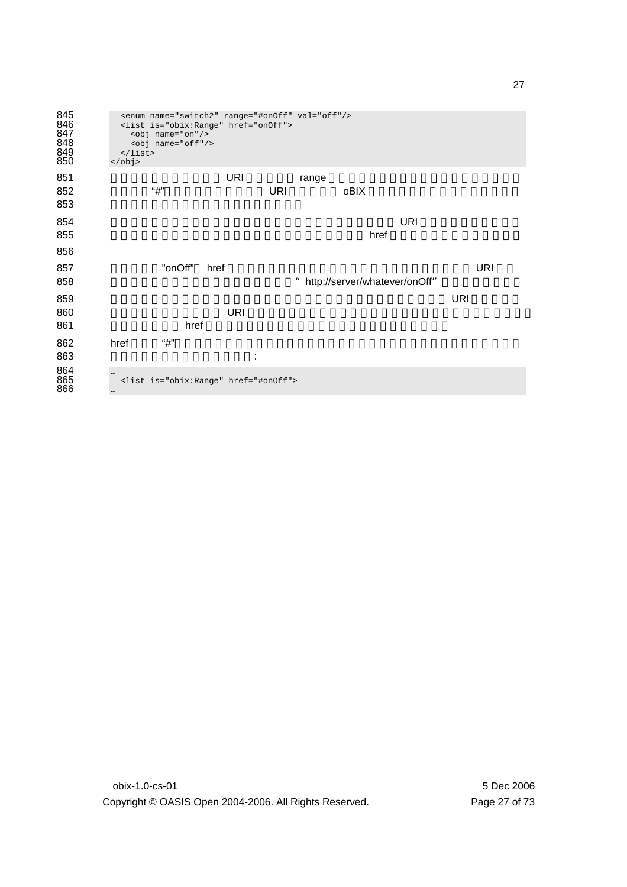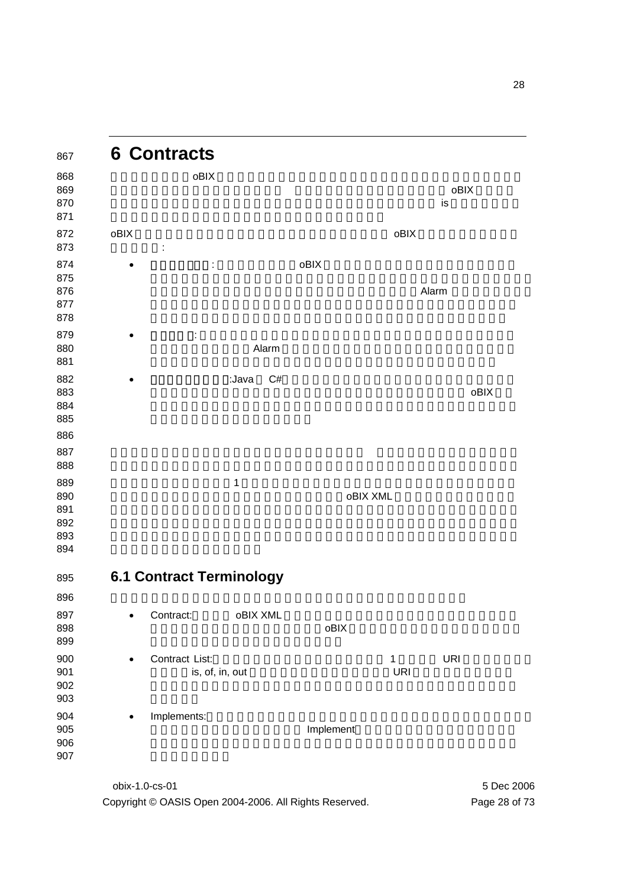

Copyright © OASIS Open 2004-2006. All Rights Reserved. Page 28 of 73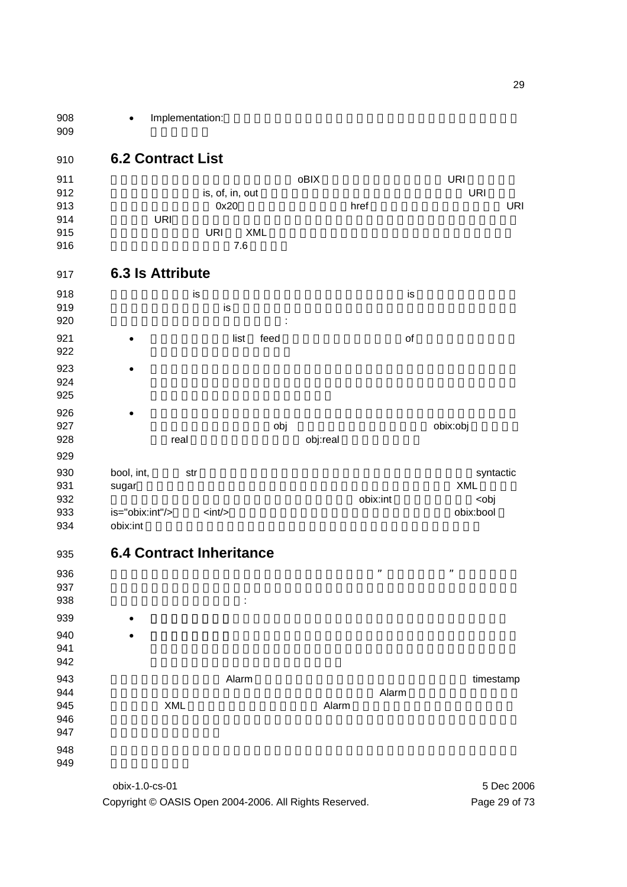908 • Implementation: 

### **6.2 Contract List**

|     |            | oBIX                    | URI        |
|-----|------------|-------------------------|------------|
|     |            |                         | <b>URI</b> |
|     |            | href                    | URI        |
| URI |            |                         |            |
| URI | <b>XML</b> |                         |            |
|     | 7.6        |                         |            |
|     |            | is, of, in, out<br>0x20 |            |

### **6.3 Is Attribute**

| 918<br>919<br>920        |                     | is   | is   | ÷    |          |          | is |                                                |
|--------------------------|---------------------|------|------|------|----------|----------|----|------------------------------------------------|
| 921<br>922               | $\bullet$           |      | list | feed |          |          | of |                                                |
| 923<br>924<br>925        | ٠                   |      |      |      |          |          |    |                                                |
| 926<br>927<br>928<br>929 | ٠                   | real |      | obj  | obj:real |          |    | obix:obj                                       |
| 930<br>931<br>932        | bool, int,<br>sugar | str  |      |      |          | obix:int |    | syntactic<br><b>XML</b><br><obj< td=""></obj<> |

933 is="obix:int"/>  $\langle \sin t / \rangle$  <int/>the state obix:bool 934 obix:int obix:int obix:int obix:int obix:int obix:int obix:int obix:int obix:int obix:int obix:int obix:int obix:int obix:int obix:int obix:int obix:int obix:int obix:int obix:int obix:int obix:int obix:int obix:int ob

**6.4 Contract Inheritance** 



obix-1.0-cs-01 5 Dec 2006 Copyright © OASIS Open 2004-2006. All Rights Reserved. Page 29 of 73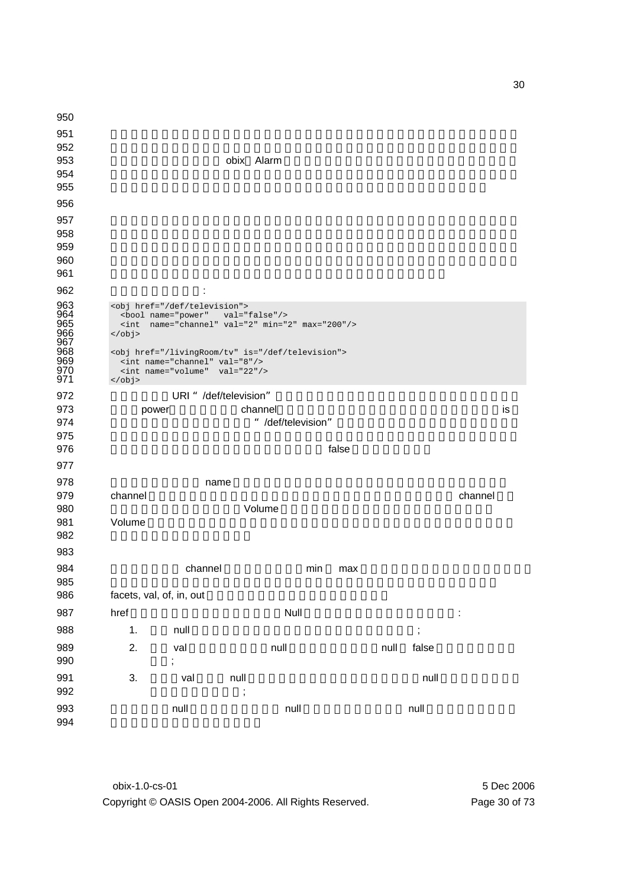| 950                                    |                            |                                                                                                                                                                                                                            |                                                               |                    |       |      |                      |         |    |
|----------------------------------------|----------------------------|----------------------------------------------------------------------------------------------------------------------------------------------------------------------------------------------------------------------------|---------------------------------------------------------------|--------------------|-------|------|----------------------|---------|----|
| 951                                    |                            |                                                                                                                                                                                                                            |                                                               |                    |       |      |                      |         |    |
| 952                                    |                            |                                                                                                                                                                                                                            |                                                               |                    |       |      |                      |         |    |
| 953                                    |                            |                                                                                                                                                                                                                            | obix Alarm                                                    |                    |       |      |                      |         |    |
| 954                                    |                            |                                                                                                                                                                                                                            |                                                               |                    |       |      |                      |         |    |
| 955                                    |                            |                                                                                                                                                                                                                            |                                                               |                    |       |      |                      |         |    |
| 956                                    |                            |                                                                                                                                                                                                                            |                                                               |                    |       |      |                      |         |    |
| 957                                    |                            |                                                                                                                                                                                                                            |                                                               |                    |       |      |                      |         |    |
| 958                                    |                            |                                                                                                                                                                                                                            |                                                               |                    |       |      |                      |         |    |
| 959                                    |                            |                                                                                                                                                                                                                            |                                                               |                    |       |      |                      |         |    |
| 960                                    |                            |                                                                                                                                                                                                                            |                                                               |                    |       |      |                      |         |    |
| 961                                    |                            |                                                                                                                                                                                                                            |                                                               |                    |       |      |                      |         |    |
| 962                                    |                            |                                                                                                                                                                                                                            |                                                               |                    |       |      |                      |         |    |
| 963<br>964<br>965<br>966<br>967<br>968 | $\sin t$<br>$\langle$ obj> | <obj href="/def/television"><br/><bool <="" name="power" td=""><td><math>val="false*/&gt;</math><br/>name="channel" val="2" min="2" max="200"/&gt;</td><td></td><td></td><td></td><td></td><td></td><td></td></bool></obj> | $val="false*/>$<br>name="channel" val="2" min="2" max="200"/> |                    |       |      |                      |         |    |
| 969<br>970<br>971                      | $\langle$ obj>             | <int name="channel" val="8"></int><br><int name="volume" val="22"></int>                                                                                                                                                   | <obj href="/livingRoom/tv" is="/def/television"></obj>        |                    |       |      |                      |         |    |
| 972                                    |                            |                                                                                                                                                                                                                            | URI " /def/television"                                        |                    |       |      |                      |         |    |
| 973                                    | power                      |                                                                                                                                                                                                                            | channel                                                       |                    |       |      |                      |         | is |
| 974                                    |                            |                                                                                                                                                                                                                            |                                                               | " /def/television" |       |      |                      |         |    |
| 975                                    |                            |                                                                                                                                                                                                                            |                                                               |                    |       |      |                      |         |    |
| 976                                    |                            |                                                                                                                                                                                                                            |                                                               |                    | false |      |                      |         |    |
| 977                                    |                            |                                                                                                                                                                                                                            |                                                               |                    |       |      |                      |         |    |
| 978                                    |                            |                                                                                                                                                                                                                            | name                                                          |                    |       |      |                      |         |    |
| 979                                    | channel                    |                                                                                                                                                                                                                            |                                                               |                    |       |      |                      | channel |    |
| 980                                    |                            |                                                                                                                                                                                                                            | Volume                                                        |                    |       |      |                      |         |    |
| 981                                    | Volume                     |                                                                                                                                                                                                                            |                                                               |                    |       |      |                      |         |    |
| 982                                    |                            |                                                                                                                                                                                                                            |                                                               |                    |       |      |                      |         |    |
| 983                                    |                            |                                                                                                                                                                                                                            |                                                               |                    |       |      |                      |         |    |
| 984                                    |                            | channel                                                                                                                                                                                                                    |                                                               | min                | max   |      |                      |         |    |
| 985                                    |                            |                                                                                                                                                                                                                            |                                                               |                    |       |      |                      |         |    |
| 986                                    | facets, val, of, in, out   |                                                                                                                                                                                                                            |                                                               |                    |       |      |                      |         |    |
| 987                                    | href                       |                                                                                                                                                                                                                            |                                                               | Null               |       |      |                      | ÷       |    |
| 988                                    | 1.                         | null                                                                                                                                                                                                                       |                                                               |                    |       |      | $\ddot{\phantom{a}}$ |         |    |
| 989                                    | 2.                         | val                                                                                                                                                                                                                        | null                                                          |                    |       | null | false                |         |    |
| 990                                    |                            | ;                                                                                                                                                                                                                          |                                                               |                    |       |      |                      |         |    |
| 991                                    | 3.                         | val                                                                                                                                                                                                                        | null                                                          |                    |       |      | null                 |         |    |
| 992                                    |                            |                                                                                                                                                                                                                            | $\vdots$                                                      |                    |       |      |                      |         |    |
|                                        |                            |                                                                                                                                                                                                                            |                                                               |                    |       |      |                      |         |    |
| 993<br>994                             |                            | null                                                                                                                                                                                                                       |                                                               | null               |       |      | null                 |         |    |

obix-1.0-cs-01 5 Dec 2006 Copyright © OASIS Open 2004-2006. All Rights Reserved. Page 30 of 73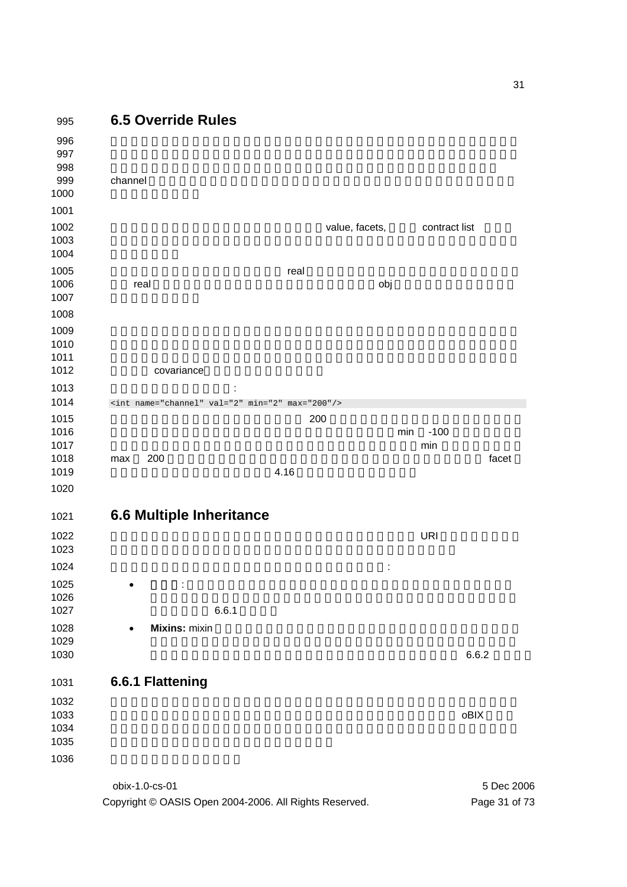

Copyright © OASIS Open 2004-2006. All Rights Reserved. Page 31 of 73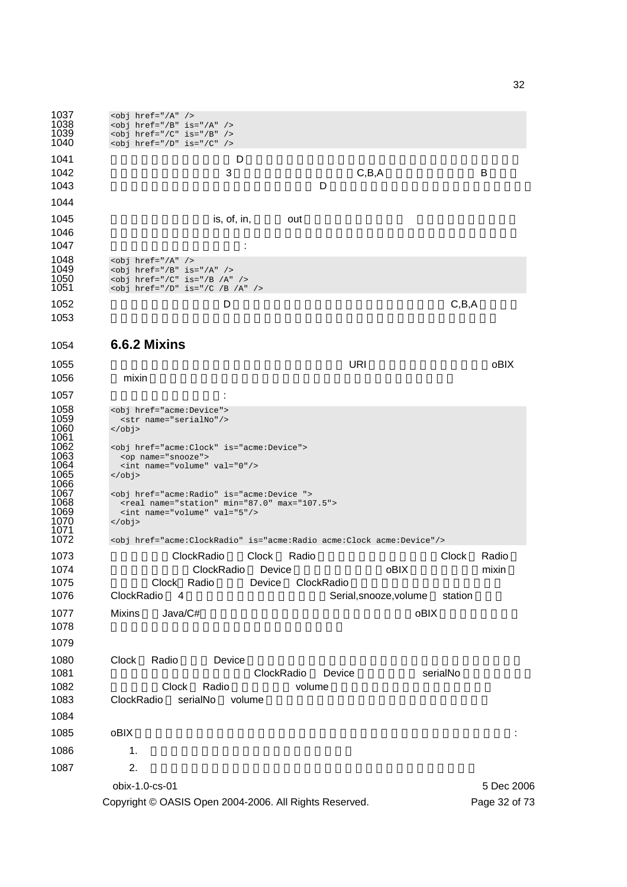

Copyright © OASIS Open 2004-2006. All Rights Reserved. Page 32 of 73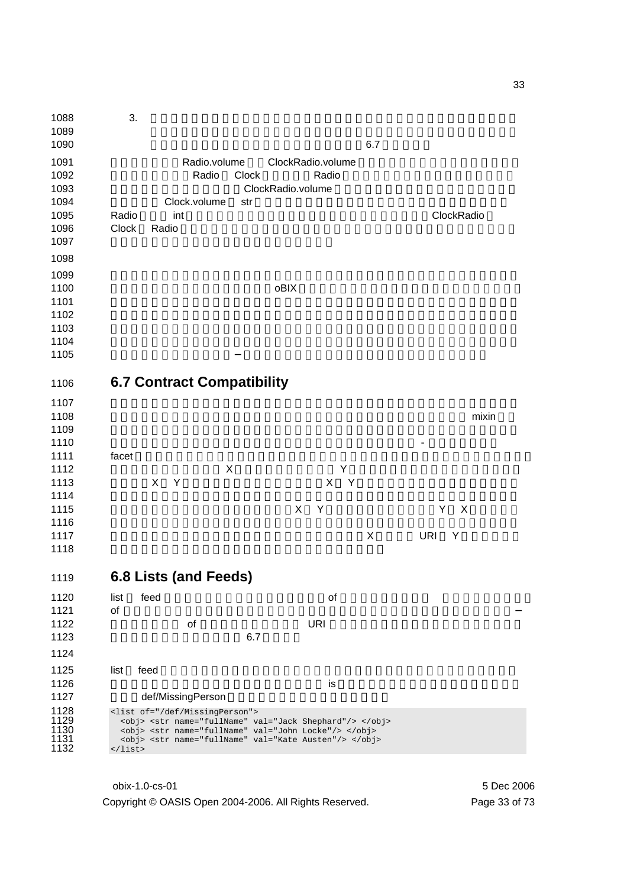| 1088<br>1089<br>1090                                 | 3.<br>6.7                                                                                                                                                                                                                                                            |
|------------------------------------------------------|----------------------------------------------------------------------------------------------------------------------------------------------------------------------------------------------------------------------------------------------------------------------|
| 1091<br>1092<br>1093<br>1094<br>1095<br>1096<br>1097 | Radio.volume<br>ClockRadio.volume<br>Radio<br>Clock<br>Radio<br>ClockRadio.volume<br>Clock.volume<br>str<br>ClockRadio<br>Radio<br>int<br>Clock<br>Radio                                                                                                             |
| 1098<br>1099                                         |                                                                                                                                                                                                                                                                      |
| 1100<br>1101<br>1102<br>1103                         | oBIX                                                                                                                                                                                                                                                                 |
| 1104                                                 |                                                                                                                                                                                                                                                                      |
| 1105                                                 |                                                                                                                                                                                                                                                                      |
| 1106                                                 | <b>6.7 Contract Compatibility</b>                                                                                                                                                                                                                                    |
| 1107                                                 |                                                                                                                                                                                                                                                                      |
| 1108<br>1109                                         | mixin                                                                                                                                                                                                                                                                |
| 1110                                                 |                                                                                                                                                                                                                                                                      |
| 1111                                                 | facet                                                                                                                                                                                                                                                                |
| 1112                                                 | X<br>Y                                                                                                                                                                                                                                                               |
| 1113                                                 | X<br>$\mathsf{Y}$<br>Y<br>X                                                                                                                                                                                                                                          |
| 1114                                                 |                                                                                                                                                                                                                                                                      |
| 1115                                                 | X<br>Υ<br>Υ<br>X                                                                                                                                                                                                                                                     |
| 1116<br>1117                                         | $\mathsf X$<br><b>URI</b>                                                                                                                                                                                                                                            |
| 1118                                                 | Y                                                                                                                                                                                                                                                                    |
|                                                      |                                                                                                                                                                                                                                                                      |
| 1119                                                 | 6.8 Lists (and Feeds)                                                                                                                                                                                                                                                |
| 1120                                                 | feed<br>list<br>of                                                                                                                                                                                                                                                   |
| 1121                                                 | of                                                                                                                                                                                                                                                                   |
| 1122                                                 | <b>URI</b><br>of                                                                                                                                                                                                                                                     |
| 1123                                                 | 6.7                                                                                                                                                                                                                                                                  |
| 1124                                                 |                                                                                                                                                                                                                                                                      |
| 1125                                                 | feed<br>list                                                                                                                                                                                                                                                         |
| 1126                                                 | is                                                                                                                                                                                                                                                                   |
| 1127                                                 | def/MissingPerson                                                                                                                                                                                                                                                    |
| 1128<br>1129<br>1130<br>1131<br>1132                 | <list of="/def/MissingPerson"><br/><obj> <str name="fullName" val="Jack Shephard"></str> </obj><br/><obj> <str name="fullName" val="John Locke"></str> </obj><br/><obj> <str name="fullName" val="Kate Austen"></str> </obj><br/><math>\langle</math>list&gt;</list> |
|                                                      |                                                                                                                                                                                                                                                                      |

obix-1.0-cs-01 5 Dec 2006 Copyright © OASIS Open 2004-2006. All Rights Reserved. Page 33 of 73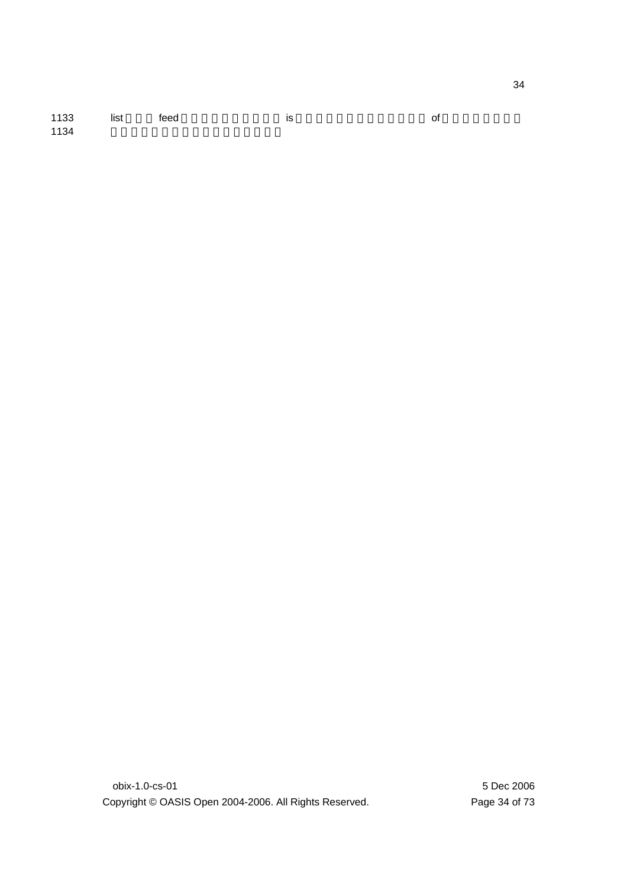| 1133 | feed | is | of |
|------|------|----|----|
| 1134 |      |    |    |

obix-1.0-cs-01 5 Dec 2006 Copyright © OASIS Open 2004-2006. All Rights Reserved. Page 34 of 73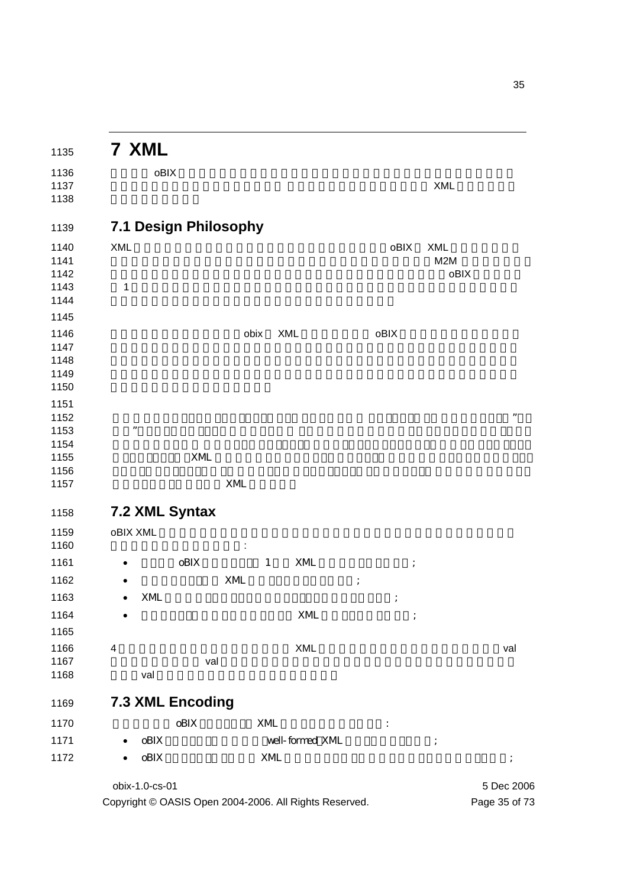|                 | 7 XML                   |              |              |                 |          |                      |            |            |
|-----------------|-------------------------|--------------|--------------|-----------------|----------|----------------------|------------|------------|
|                 | oBIX                    |              |              |                 |          |                      |            |            |
|                 |                         |              |              |                 |          |                      | XML        |            |
|                 | 7.1 Design Philosophy   |              |              |                 |          |                      |            |            |
| <b>XML</b>      |                         |              |              |                 |          | oBIX                 | <b>XML</b> |            |
|                 |                         |              |              |                 |          |                      | M2M        |            |
| 1               |                         |              |              |                 |          |                      | oBIX       |            |
|                 |                         |              |              |                 |          |                      |            |            |
|                 |                         |              |              |                 |          |                      |            |            |
|                 |                         |              | XML<br>obix  |                 |          | oBIX                 |            |            |
|                 |                         |              |              |                 |          |                      |            |            |
|                 |                         |              |              |                 |          |                      |            |            |
|                 |                         |              |              |                 |          |                      |            |            |
|                 |                         |              |              |                 |          |                      |            |            |
|                 |                         |              |              |                 |          |                      |            |            |
| ,,              |                         |              |              |                 |          |                      |            |            |
|                 |                         |              |              |                 |          |                      |            |            |
|                 |                         | $\mbox{XML}$ |              |                 |          |                      |            |            |
|                 |                         |              |              |                 |          |                      |            |            |
|                 |                         | $\mbox{XML}$ |              |                 |          |                      |            |            |
|                 | 7.2 XML Syntax          |              |              |                 |          |                      |            |            |
| <b>oBIX XML</b> |                         |              |              |                 |          |                      |            |            |
|                 | oBIX                    |              | $\mathbf{1}$ | XML             |          |                      |            |            |
|                 |                         | XML          |              |                 | $\vdots$ |                      |            |            |
|                 | XML                     |              |              |                 |          |                      |            |            |
|                 |                         |              |              | XML             |          |                      |            |            |
|                 |                         |              |              |                 |          |                      |            |            |
| 4               |                         |              |              | XML             |          |                      |            | val        |
|                 |                         | val          |              |                 |          |                      |            |            |
|                 | val                     |              |              |                 |          |                      |            |            |
|                 | <b>7.3 XML Encoding</b> |              |              |                 |          |                      |            |            |
|                 | $\mathrm{oBIX}$         |              | XML          |                 |          | $\ddot{\phantom{a}}$ |            |            |
|                 | $\mathrm{oBIX}$         |              |              | well-formed XML |          |                      | $\vdots$   |            |
|                 | $\mathrm{oBIX}$         |              | $\mbox{XML}$ |                 |          |                      |            |            |
|                 | obix-1.0-cs-01          |              |              |                 |          |                      |            | 5 Dec 2006 |
|                 |                         |              |              |                 |          |                      |            |            |

Copyright © OASIS Open 2004-2006. All Rights Reserved. Page 35 of 73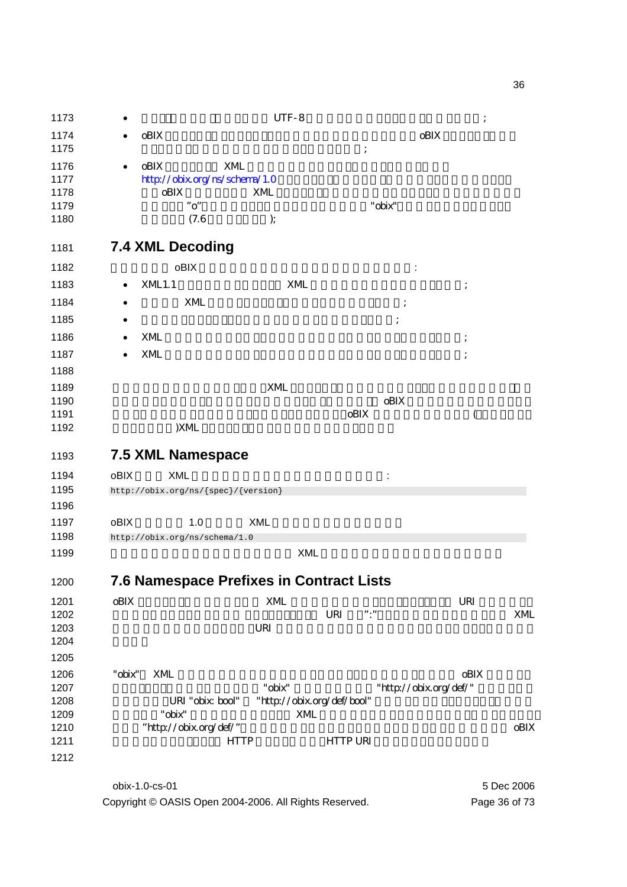| UTF-8<br>1173<br>oBIX<br>1174<br>oBIX<br>1175<br>1176<br>oBIX<br>XML<br>1177<br>http://obix.org/ns/schema/1.0<br>oBIX<br>1178<br>XML<br>"o"<br>"obix"<br>1179<br>1180<br>(7.6)<br>);<br><b>7.4 XML Decoding</b><br>1181<br>1182<br>oBIX<br>1183<br><b>XML1.1</b><br>XML<br>٠<br>1184<br>XML<br>1185<br>1186<br>XML<br>1187<br>XML<br>1188<br>1189<br>XML<br>oBIX<br>1190<br>1191<br>oBIX<br>$\overline{(}$<br>)XML<br>1192<br><b>7.5 XML Namespace</b><br>1193<br>oBIX<br><b>XML</b><br>1194<br>1195<br>http://obix.org/ns/{spec}/{version}<br>1196<br>oBIX<br>1197<br>1.0<br><b>XML</b><br>1198<br>http://obix.org/ns/schema/1.0<br><b>XML</b><br>1199<br>7.6 Namespace Prefixes in Contract Lists<br>1200<br>1201<br>$\mathrm{oBIX}$<br>XML<br>URI<br>$\ensuremath{\mathsf{URI}}\xspace$<br>$"\cdot"$<br>1202<br>XML<br>1203<br>URI<br>1204<br>1205<br>1206<br>oBIX<br>"obix"<br>XML<br>1207<br>"obix"<br>"http://obix.org/def/"<br>1208<br>"http://obix.org/def/bool"<br>URI "obix: bool"<br>1209<br>"obix"<br>XML<br>"http://obix.org/def/"<br>1210<br>oBIX<br>1211<br><b>HTTP URI</b><br><b>HTTP</b><br>1212 |  |  |  |
|-------------------------------------------------------------------------------------------------------------------------------------------------------------------------------------------------------------------------------------------------------------------------------------------------------------------------------------------------------------------------------------------------------------------------------------------------------------------------------------------------------------------------------------------------------------------------------------------------------------------------------------------------------------------------------------------------------------------------------------------------------------------------------------------------------------------------------------------------------------------------------------------------------------------------------------------------------------------------------------------------------------------------------------------------------------------------------------------------------------------|--|--|--|
|                                                                                                                                                                                                                                                                                                                                                                                                                                                                                                                                                                                                                                                                                                                                                                                                                                                                                                                                                                                                                                                                                                                   |  |  |  |
|                                                                                                                                                                                                                                                                                                                                                                                                                                                                                                                                                                                                                                                                                                                                                                                                                                                                                                                                                                                                                                                                                                                   |  |  |  |
|                                                                                                                                                                                                                                                                                                                                                                                                                                                                                                                                                                                                                                                                                                                                                                                                                                                                                                                                                                                                                                                                                                                   |  |  |  |
|                                                                                                                                                                                                                                                                                                                                                                                                                                                                                                                                                                                                                                                                                                                                                                                                                                                                                                                                                                                                                                                                                                                   |  |  |  |
|                                                                                                                                                                                                                                                                                                                                                                                                                                                                                                                                                                                                                                                                                                                                                                                                                                                                                                                                                                                                                                                                                                                   |  |  |  |
|                                                                                                                                                                                                                                                                                                                                                                                                                                                                                                                                                                                                                                                                                                                                                                                                                                                                                                                                                                                                                                                                                                                   |  |  |  |
|                                                                                                                                                                                                                                                                                                                                                                                                                                                                                                                                                                                                                                                                                                                                                                                                                                                                                                                                                                                                                                                                                                                   |  |  |  |
|                                                                                                                                                                                                                                                                                                                                                                                                                                                                                                                                                                                                                                                                                                                                                                                                                                                                                                                                                                                                                                                                                                                   |  |  |  |
|                                                                                                                                                                                                                                                                                                                                                                                                                                                                                                                                                                                                                                                                                                                                                                                                                                                                                                                                                                                                                                                                                                                   |  |  |  |
|                                                                                                                                                                                                                                                                                                                                                                                                                                                                                                                                                                                                                                                                                                                                                                                                                                                                                                                                                                                                                                                                                                                   |  |  |  |
|                                                                                                                                                                                                                                                                                                                                                                                                                                                                                                                                                                                                                                                                                                                                                                                                                                                                                                                                                                                                                                                                                                                   |  |  |  |
|                                                                                                                                                                                                                                                                                                                                                                                                                                                                                                                                                                                                                                                                                                                                                                                                                                                                                                                                                                                                                                                                                                                   |  |  |  |
|                                                                                                                                                                                                                                                                                                                                                                                                                                                                                                                                                                                                                                                                                                                                                                                                                                                                                                                                                                                                                                                                                                                   |  |  |  |
|                                                                                                                                                                                                                                                                                                                                                                                                                                                                                                                                                                                                                                                                                                                                                                                                                                                                                                                                                                                                                                                                                                                   |  |  |  |
|                                                                                                                                                                                                                                                                                                                                                                                                                                                                                                                                                                                                                                                                                                                                                                                                                                                                                                                                                                                                                                                                                                                   |  |  |  |
|                                                                                                                                                                                                                                                                                                                                                                                                                                                                                                                                                                                                                                                                                                                                                                                                                                                                                                                                                                                                                                                                                                                   |  |  |  |
|                                                                                                                                                                                                                                                                                                                                                                                                                                                                                                                                                                                                                                                                                                                                                                                                                                                                                                                                                                                                                                                                                                                   |  |  |  |
|                                                                                                                                                                                                                                                                                                                                                                                                                                                                                                                                                                                                                                                                                                                                                                                                                                                                                                                                                                                                                                                                                                                   |  |  |  |
|                                                                                                                                                                                                                                                                                                                                                                                                                                                                                                                                                                                                                                                                                                                                                                                                                                                                                                                                                                                                                                                                                                                   |  |  |  |
|                                                                                                                                                                                                                                                                                                                                                                                                                                                                                                                                                                                                                                                                                                                                                                                                                                                                                                                                                                                                                                                                                                                   |  |  |  |
|                                                                                                                                                                                                                                                                                                                                                                                                                                                                                                                                                                                                                                                                                                                                                                                                                                                                                                                                                                                                                                                                                                                   |  |  |  |
|                                                                                                                                                                                                                                                                                                                                                                                                                                                                                                                                                                                                                                                                                                                                                                                                                                                                                                                                                                                                                                                                                                                   |  |  |  |
|                                                                                                                                                                                                                                                                                                                                                                                                                                                                                                                                                                                                                                                                                                                                                                                                                                                                                                                                                                                                                                                                                                                   |  |  |  |
|                                                                                                                                                                                                                                                                                                                                                                                                                                                                                                                                                                                                                                                                                                                                                                                                                                                                                                                                                                                                                                                                                                                   |  |  |  |
|                                                                                                                                                                                                                                                                                                                                                                                                                                                                                                                                                                                                                                                                                                                                                                                                                                                                                                                                                                                                                                                                                                                   |  |  |  |
|                                                                                                                                                                                                                                                                                                                                                                                                                                                                                                                                                                                                                                                                                                                                                                                                                                                                                                                                                                                                                                                                                                                   |  |  |  |
|                                                                                                                                                                                                                                                                                                                                                                                                                                                                                                                                                                                                                                                                                                                                                                                                                                                                                                                                                                                                                                                                                                                   |  |  |  |
|                                                                                                                                                                                                                                                                                                                                                                                                                                                                                                                                                                                                                                                                                                                                                                                                                                                                                                                                                                                                                                                                                                                   |  |  |  |
|                                                                                                                                                                                                                                                                                                                                                                                                                                                                                                                                                                                                                                                                                                                                                                                                                                                                                                                                                                                                                                                                                                                   |  |  |  |
|                                                                                                                                                                                                                                                                                                                                                                                                                                                                                                                                                                                                                                                                                                                                                                                                                                                                                                                                                                                                                                                                                                                   |  |  |  |
|                                                                                                                                                                                                                                                                                                                                                                                                                                                                                                                                                                                                                                                                                                                                                                                                                                                                                                                                                                                                                                                                                                                   |  |  |  |
|                                                                                                                                                                                                                                                                                                                                                                                                                                                                                                                                                                                                                                                                                                                                                                                                                                                                                                                                                                                                                                                                                                                   |  |  |  |
|                                                                                                                                                                                                                                                                                                                                                                                                                                                                                                                                                                                                                                                                                                                                                                                                                                                                                                                                                                                                                                                                                                                   |  |  |  |
|                                                                                                                                                                                                                                                                                                                                                                                                                                                                                                                                                                                                                                                                                                                                                                                                                                                                                                                                                                                                                                                                                                                   |  |  |  |
|                                                                                                                                                                                                                                                                                                                                                                                                                                                                                                                                                                                                                                                                                                                                                                                                                                                                                                                                                                                                                                                                                                                   |  |  |  |
|                                                                                                                                                                                                                                                                                                                                                                                                                                                                                                                                                                                                                                                                                                                                                                                                                                                                                                                                                                                                                                                                                                                   |  |  |  |
|                                                                                                                                                                                                                                                                                                                                                                                                                                                                                                                                                                                                                                                                                                                                                                                                                                                                                                                                                                                                                                                                                                                   |  |  |  |
|                                                                                                                                                                                                                                                                                                                                                                                                                                                                                                                                                                                                                                                                                                                                                                                                                                                                                                                                                                                                                                                                                                                   |  |  |  |
|                                                                                                                                                                                                                                                                                                                                                                                                                                                                                                                                                                                                                                                                                                                                                                                                                                                                                                                                                                                                                                                                                                                   |  |  |  |
|                                                                                                                                                                                                                                                                                                                                                                                                                                                                                                                                                                                                                                                                                                                                                                                                                                                                                                                                                                                                                                                                                                                   |  |  |  |
|                                                                                                                                                                                                                                                                                                                                                                                                                                                                                                                                                                                                                                                                                                                                                                                                                                                                                                                                                                                                                                                                                                                   |  |  |  |
|                                                                                                                                                                                                                                                                                                                                                                                                                                                                                                                                                                                                                                                                                                                                                                                                                                                                                                                                                                                                                                                                                                                   |  |  |  |
|                                                                                                                                                                                                                                                                                                                                                                                                                                                                                                                                                                                                                                                                                                                                                                                                                                                                                                                                                                                                                                                                                                                   |  |  |  |

obix-1.0-cs-01 5 Dec 2006 Copyright © OASIS Open 2004-2006. All Rights Reserved. Page 36 of 73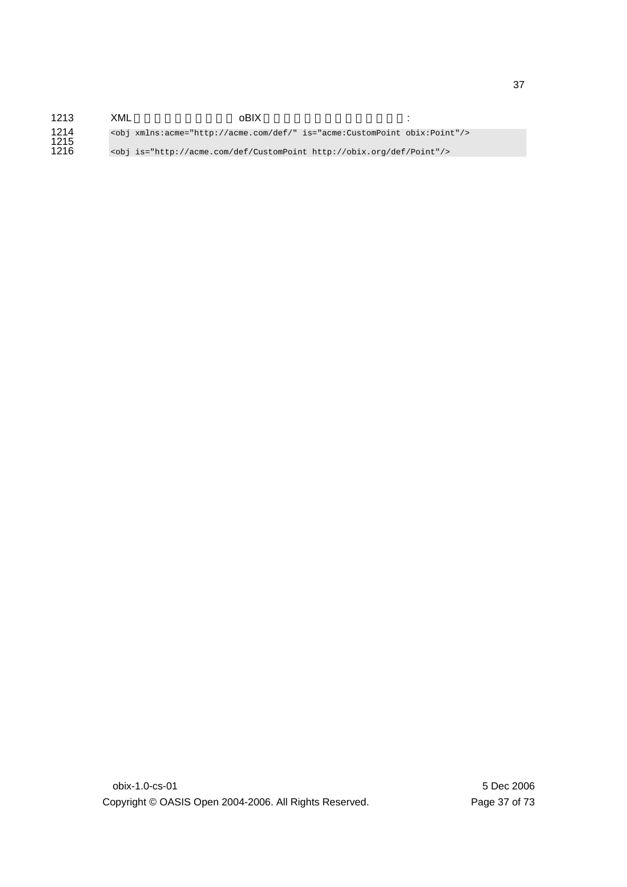| 1213         | XML | oBIX                                                                           |  |
|--------------|-----|--------------------------------------------------------------------------------|--|
| 1214<br>1215 |     | <obj is="acme:CustomPoint obix:Point" xmlns:acme="http://acme.com/def/"></obj> |  |
| 1216         |     | <obj is="http://acme.com/def/CustomPoint http://obix.org/def/Point"></obj>     |  |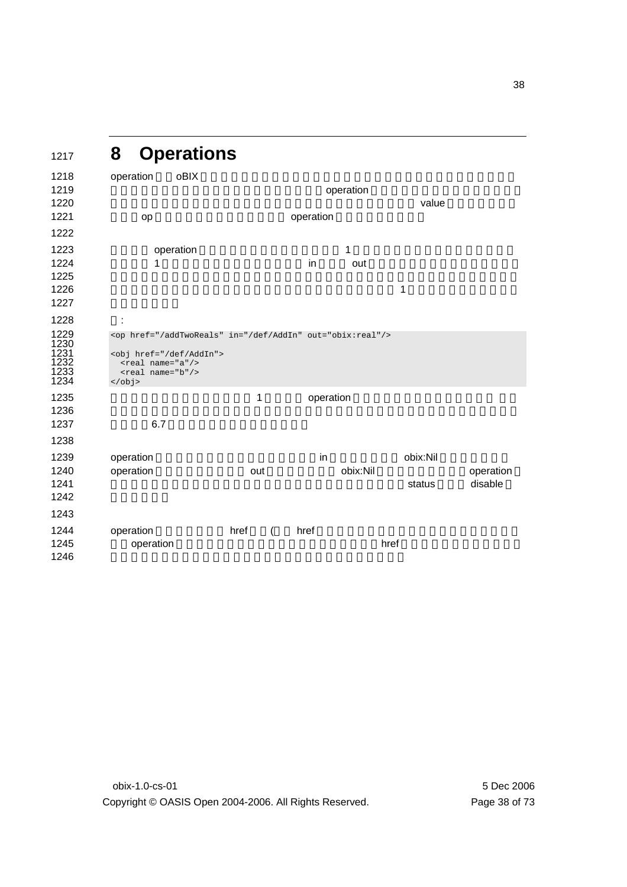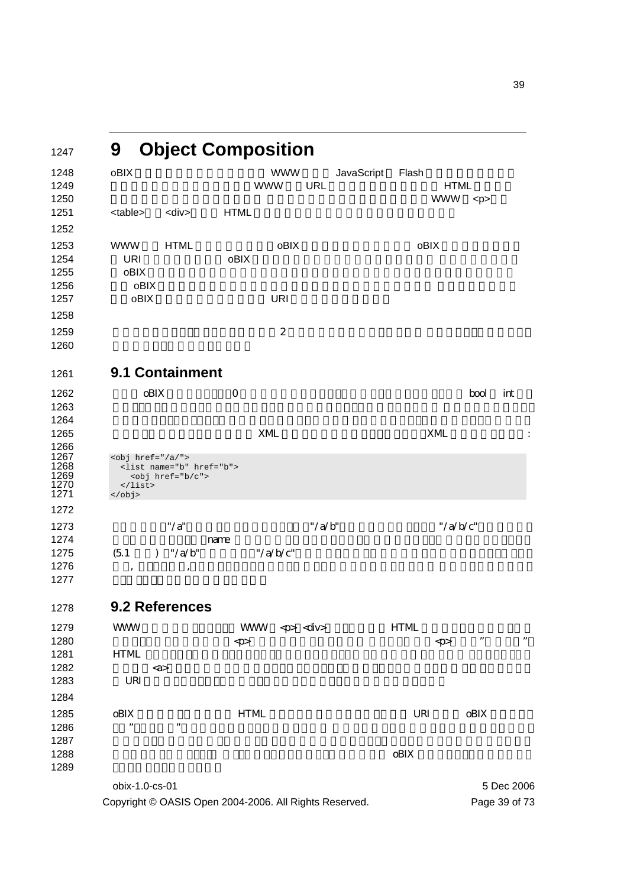| 1247                                         | 9                                                        | <b>Object Composition</b>                                  |              |                          |            |            |                        |                           |                      |            |
|----------------------------------------------|----------------------------------------------------------|------------------------------------------------------------|--------------|--------------------------|------------|------------|------------------------|---------------------------|----------------------|------------|
| 1248<br>1249<br>1250                         | oBIX                                                     |                                                            |              | <b>WWW</b><br><b>WWW</b> | <b>URL</b> | JavaScript | Flash                  | <b>HTML</b><br><b>WWW</b> | < p >                |            |
| 1251                                         | <table></table>                                          | <div></div>                                                | <b>HTML</b>  |                          |            |            |                        |                           |                      |            |
| 1252                                         |                                                          |                                                            |              |                          |            |            |                        |                           |                      |            |
| 1253<br>1254<br>1255<br>1256                 | <b>WWW</b><br><b>URI</b><br>oBIX<br>oBIX                 | <b>HTML</b>                                                | oBIX         | oBIX                     |            |            |                        | oBIX                      |                      |            |
| 1257                                         | oBIX                                                     |                                                            |              | <b>URI</b>               |            |            |                        |                           |                      |            |
| 1258                                         |                                                          |                                                            |              |                          |            |            |                        |                           |                      |            |
| 1259<br>1260                                 |                                                          |                                                            |              | $\boldsymbol{2}$         |            |            |                        |                           |                      |            |
| 1261                                         |                                                          | 9.1 Containment                                            |              |                          |            |            |                        |                           |                      |            |
| 1262<br>1263<br>1264                         | oBIX                                                     |                                                            | $\Omega$     |                          |            |            |                        |                           | bool                 | int        |
| 1265                                         |                                                          |                                                            |              | XML                      |            |            |                        | XML                       |                      | :          |
| 1266<br>1267<br>1268<br>1269<br>1270<br>1271 | $<$ obj href="/a/"><br>$\langle$ list><br>$\langle$ obj> | <list href="b" name="b"><br/><obj href="b/c"></obj></list> |              |                          |            |            |                        |                           |                      |            |
| 1272                                         |                                                          |                                                            |              |                          |            |            |                        |                           |                      |            |
| 1273<br>1274<br>1275<br>1276<br>1277         | (5.1)<br>$\mathcal{L}$<br>$\,$                           | $"$ /a"<br>name<br>''/a/b''                                |              | "/ $a/b/c$ "             | "/ $a/b$ " |            |                        | "/ $a/b/c$ "              |                      |            |
| 1278                                         |                                                          | 9.2 References                                             |              |                          |            |            |                        |                           |                      |            |
| 1279<br>1280                                 | <b>WWW</b>                                               |                                                            | $\mathrm{p}$ | WWW <p> <div></div></p>  |            |            | <b>HTML</b>            | $\mathrm{<}p\!\!>$        | $\pmb{\mathfrak{y}}$ | $, \,$     |
| 1281                                         | <b>HTML</b>                                              |                                                            |              |                          |            |            |                        |                           |                      |            |
| 1282                                         |                                                          | $\langle a \rangle$                                        |              |                          |            |            |                        |                           |                      |            |
| 1283                                         | URI                                                      |                                                            |              |                          |            |            |                        |                           |                      |            |
| 1284                                         |                                                          |                                                            |              |                          |            |            |                        |                           |                      |            |
| 1285<br>1286<br>1287<br>1288                 | oBIX<br>,,                                               | ,,                                                         | <b>HTML</b>  |                          |            |            | URI<br>$\mathrm{oBIX}$ |                           | $\mathrm{oBIX}$      |            |
| 1289                                         |                                                          |                                                            |              |                          |            |            |                        |                           |                      |            |
|                                              | obix-1.0-cs-01                                           |                                                            |              |                          |            |            |                        |                           |                      | 5 Dec 2006 |

Copyright © OASIS Open 2004-2006. All Rights Reserved. Page 39 of 73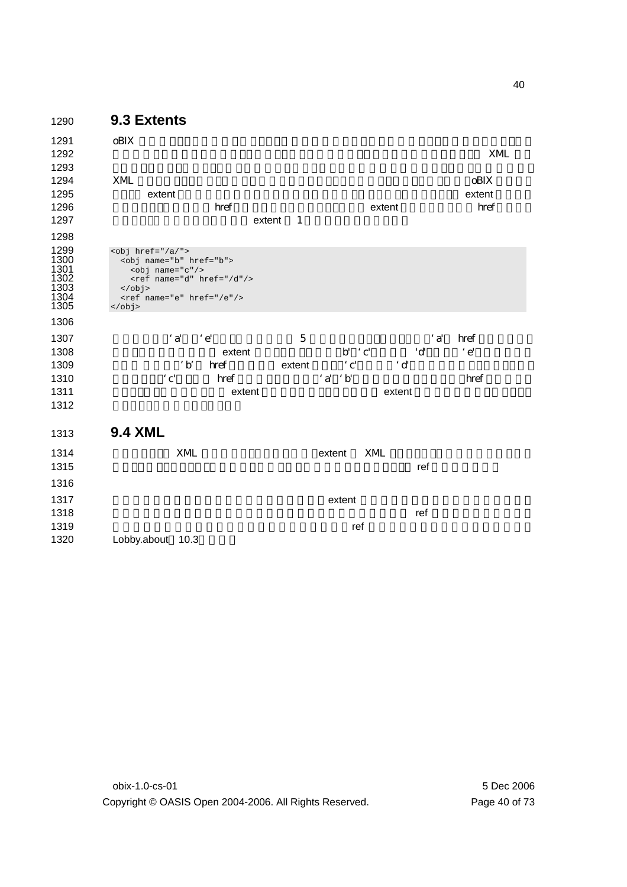| 1290                                                 | 9.3 Extents                                                                                                                                                                                                                          |                              |                               |
|------------------------------------------------------|--------------------------------------------------------------------------------------------------------------------------------------------------------------------------------------------------------------------------------------|------------------------------|-------------------------------|
| 1291<br>1292<br>1293                                 | oBIX                                                                                                                                                                                                                                 |                              | <b>XML</b>                    |
| 1294<br>1295<br>1296<br>1297<br>1298                 | XML<br>extent<br>href<br>-1<br>extent                                                                                                                                                                                                | extent                       | <b>oBIX</b><br>extent<br>href |
| 1299<br>1300<br>1301<br>1302<br>1303<br>1304<br>1305 | $<$ obj href="/a/"><br><obj href="b" name="b"><br/><obj name="c"></obj><br/><math>\text{rref name} = "d" href = "d"</math><br/><math>\langle</math>obj&gt;<br/><ref href="/e" name="e"></ref><br/><math>\langle</math>/obj&gt;</obj> |                              |                               |
| 1306                                                 |                                                                                                                                                                                                                                      |                              |                               |
| 1307                                                 | $\cdot a'$<br>$\cdot e$                                                                                                                                                                                                              | $\cdot a'$<br>$\overline{5}$ | href                          |
| 1308                                                 | extent                                                                                                                                                                                                                               | $\cdot$ c'<br>'d<br>b'       | $\cdot e$                     |
| 1309                                                 | $\cdot$ b'<br>href<br>extent                                                                                                                                                                                                         | $\cdot$ c'<br>$^\cdot$ d     |                               |
| 1310                                                 | $\cdot$ c'<br>href                                                                                                                                                                                                                   | 'a' 'b'                      | href                          |
| 1311<br>1312                                         | extent                                                                                                                                                                                                                               | extent                       |                               |
| 1313                                                 | <b>9.4 XML</b>                                                                                                                                                                                                                       |                              |                               |
| 1314                                                 | XML                                                                                                                                                                                                                                  | XML<br>extent                |                               |
| 1315                                                 |                                                                                                                                                                                                                                      | ref                          |                               |
| 1316                                                 |                                                                                                                                                                                                                                      |                              |                               |
| 1317                                                 |                                                                                                                                                                                                                                      | extent                       |                               |
| 1318                                                 |                                                                                                                                                                                                                                      | ref                          |                               |
| 1319                                                 |                                                                                                                                                                                                                                      | ref                          |                               |

1320 Lobby.about 10.3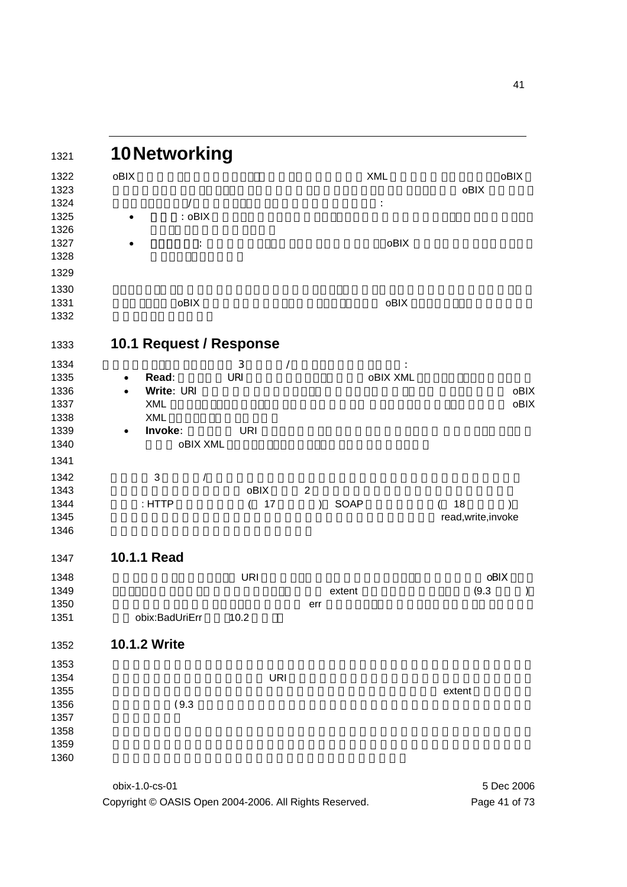| 10Networking            |                |                              |                      |
|-------------------------|----------------|------------------------------|----------------------|
| oBIX                    |                | <b>XML</b>                   | oBIX                 |
|                         |                |                              | oBIX                 |
| $\overline{ }$          |                | $\vdots$                     |                      |
| : oBIX                  |                |                              |                      |
|                         |                | oBIX                         |                      |
|                         | :              |                              |                      |
|                         |                |                              |                      |
|                         |                |                              |                      |
| oBIX                    |                | oBIX                         |                      |
|                         |                |                              |                      |
| 10.1 Request / Response |                |                              |                      |
|                         | 3              |                              |                      |
| Read:<br>$\bullet$      | Ϊ<br>URI       | <b>oBIX XML</b>              |                      |
| Write: URI<br>$\bullet$ |                |                              |                      |
| <b>XML</b>              |                |                              |                      |
| <b>XML</b>              |                |                              |                      |
| Invoke:<br>$\bullet$    | <b>URI</b>     |                              |                      |
|                         | oBIX XML       |                              |                      |
|                         |                |                              |                      |
| 3                       | $\sqrt{2}$     |                              |                      |
|                         | oBIX           | $\boldsymbol{2}$             |                      |
| : HTTP                  | 17<br>$\left($ | <b>SOAP</b><br>$\mathcal{E}$ | 18<br>$\overline{ }$ |
|                         |                |                              | read, write, invoke  |
|                         |                |                              |                      |
| 10.1.1 Read             |                |                              |                      |
|                         | <b>URI</b>     |                              | oBIX                 |
|                         |                | extent                       | (9.3)                |
|                         |                | err                          |                      |
| obix:BadUriErr          | 10.2           |                              |                      |
| 10.1.2 Write            |                |                              |                      |
|                         |                |                              |                      |
|                         | <b>URI</b>     |                              |                      |
|                         |                |                              | extent               |
| (9.3)                   |                |                              |                      |
|                         |                |                              |                      |
|                         |                |                              |                      |
|                         |                |                              |                      |
|                         |                |                              |                      |

obix-1.0-cs-01 5 Dec 2006 Copyright © OASIS Open 2004-2006. All Rights Reserved. Page 41 of 73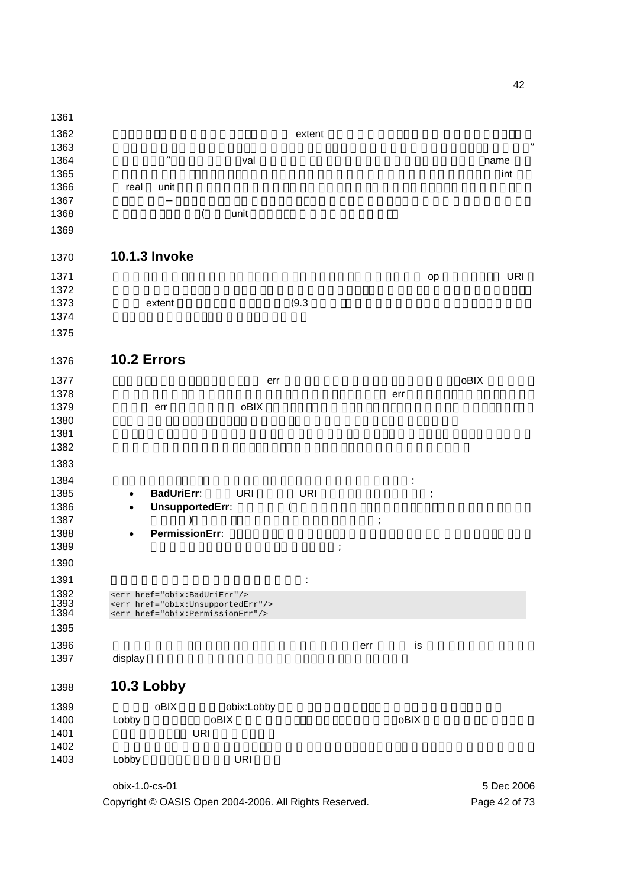obix-1.0-cs-01 5 Dec 2006 クライアントは要求にオブジェクトの完全な extent を含む必要はありません。 要求オブジェクト木で  $\blacksquare$  $\blacksquare$   $\blacksquare$   $\blacksquare$  val  $\blacksquare$  $\blacksquare$ 1366 real unit example to the set of the set of the set of the set of the set of the set of the set of the set of the set of the set of the set of the set of the set of the set of the set of the set of the set of the set o  $\,$ 1368 (executive contracts of the unit  $\sim$  **10.1.3 Invoke**  1371 Project Security Security Security Security Security Security Security Security Security Security Security Security Security Security Security Security Security Security Security Security Security Security Security Se  $\blacksquare$ 1373 extent extent  $(9.3)$  **10.2 Errors**  リクエストエラーは、クライアントまで err 要素を伴って運ばれます。どんな時でも、oBIX サーバは、  $\blacksquare$ 1379 err oBIX **obert of the obert of the US**I  $\blacksquare$ 1381 Production International Executive Department of The Contract Oriental Executive Department of The Contract Oriental Executive Department of The Contract Oriental Executive Department of The Contract Oriental Executiv  $\blacksquare$  **1385 • BadUriErr**: URI URI 1385 • **BadUriErr**: **• UnsupportedErr**: the t  $)$ 1388 • **PermissionErr:**   $\vdots$  1392 <err href="obix:BadUriErr"/><br>1393 <err href="obix:UnsupportedE<br>1394 <err href="obix:PermissionEr <err href="obix:UnsupportedErr"/> <err href="obix:PermissionErr"/> **External List of External List of External List of External List of External List of External List of External List of External List of External List of External List of External List of External List of External Lis** 1397 display **10.3 Lobby**  1399 oBIX obix:Lobby 1400 Lobby **oBIX 1400** Dobine コントリポイント **DRI URI**  $\blacksquare$ 1403 Lobby URI

Copyright © OASIS Open 2004-2006. All Rights Reserved. Page 42 of 73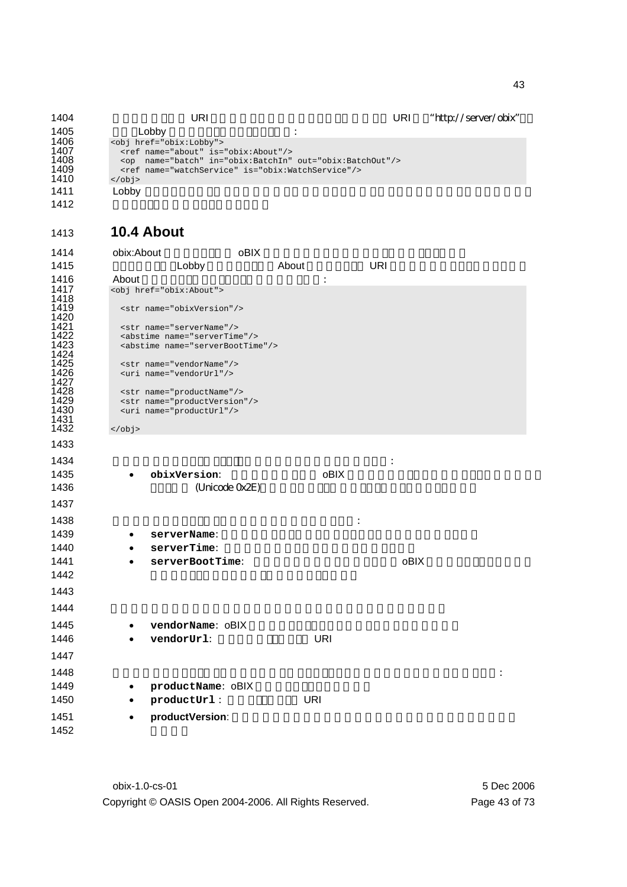1404 URI URI CONSTRESS URI PRINTENSIS URI 1404 1405 Lobby よります。 <obj href="obix:Lobby"> 1407 <ref name="about" is="obix:About"/> <op name="batch" in="obix:BatchIn" out="obix:BatchOut"/> <ref name="watchService" is="obix:WatchService"/> 1406<br>
1406<br>
1407<br>
1408<br>
1409<br>
1410<br>
1410<br>
1410 1411 Lobby インスタンスは、インタンスは、インタンスは、インタンスは、インタンスは、インタンスは、インタンスは、インタンスは、インタンスは、インタンスは、インタンスは、インタンスは、インタン 

## **10.4 About**

| 1415<br>About<br>URI<br>Lobby<br>About<br>$\ddot{\cdot}$<br><obj href="obix:About"><br/><str name="obixVersion"></str><br/><str name="serverName"></str><br/><abstime name="serverTime"></abstime><br/><abstime name="serverBootTime"></abstime><br/><str name="vendorName"></str><br/><uri name="vendorUrl"></uri><br/><str name="productName"></str><br/><str name="productVersion"></str></obj> |  |
|----------------------------------------------------------------------------------------------------------------------------------------------------------------------------------------------------------------------------------------------------------------------------------------------------------------------------------------------------------------------------------------------------|--|
| 1416<br>1417<br>1418<br>1419<br>1420<br>1421<br>1422<br>1423<br>1424<br>1425<br>1426<br>1427<br>1428<br>1429                                                                                                                                                                                                                                                                                       |  |
|                                                                                                                                                                                                                                                                                                                                                                                                    |  |
|                                                                                                                                                                                                                                                                                                                                                                                                    |  |
|                                                                                                                                                                                                                                                                                                                                                                                                    |  |
|                                                                                                                                                                                                                                                                                                                                                                                                    |  |
|                                                                                                                                                                                                                                                                                                                                                                                                    |  |
|                                                                                                                                                                                                                                                                                                                                                                                                    |  |
|                                                                                                                                                                                                                                                                                                                                                                                                    |  |
|                                                                                                                                                                                                                                                                                                                                                                                                    |  |
|                                                                                                                                                                                                                                                                                                                                                                                                    |  |
|                                                                                                                                                                                                                                                                                                                                                                                                    |  |
| 1430<br><uri name="productUrl"></uri>                                                                                                                                                                                                                                                                                                                                                              |  |
| 1431<br>1432                                                                                                                                                                                                                                                                                                                                                                                       |  |
| $\langle$ obj>                                                                                                                                                                                                                                                                                                                                                                                     |  |
| 1433                                                                                                                                                                                                                                                                                                                                                                                               |  |
| 1434                                                                                                                                                                                                                                                                                                                                                                                               |  |
| oBIX<br>1435<br>obixVersion:                                                                                                                                                                                                                                                                                                                                                                       |  |
| 1436<br>(Unicode 0x2E)                                                                                                                                                                                                                                                                                                                                                                             |  |
| 1437                                                                                                                                                                                                                                                                                                                                                                                               |  |
| 1438                                                                                                                                                                                                                                                                                                                                                                                               |  |
| 1439<br>serverName:                                                                                                                                                                                                                                                                                                                                                                                |  |
| 1440<br>serverTime:                                                                                                                                                                                                                                                                                                                                                                                |  |
| oBIX<br>1441                                                                                                                                                                                                                                                                                                                                                                                       |  |
| serverBootTime:<br>1442                                                                                                                                                                                                                                                                                                                                                                            |  |
|                                                                                                                                                                                                                                                                                                                                                                                                    |  |
| 1443                                                                                                                                                                                                                                                                                                                                                                                               |  |
| 1444                                                                                                                                                                                                                                                                                                                                                                                               |  |
| 1445<br>vendorName: 0BIX                                                                                                                                                                                                                                                                                                                                                                           |  |
| <b>URI</b><br>1446<br>vendorUrl:                                                                                                                                                                                                                                                                                                                                                                   |  |
|                                                                                                                                                                                                                                                                                                                                                                                                    |  |
| 1447                                                                                                                                                                                                                                                                                                                                                                                               |  |
| 1448                                                                                                                                                                                                                                                                                                                                                                                               |  |
| 1449<br>productName: oBIX<br>٠                                                                                                                                                                                                                                                                                                                                                                     |  |
| <b>URI</b><br>1450<br>productUrl:                                                                                                                                                                                                                                                                                                                                                                  |  |
| productVersion:<br>1451                                                                                                                                                                                                                                                                                                                                                                            |  |
| 1452                                                                                                                                                                                                                                                                                                                                                                                               |  |

obix-1.0-cs-01 5 Dec 2006 Copyright © OASIS Open 2004-2006. All Rights Reserved. Page 43 of 73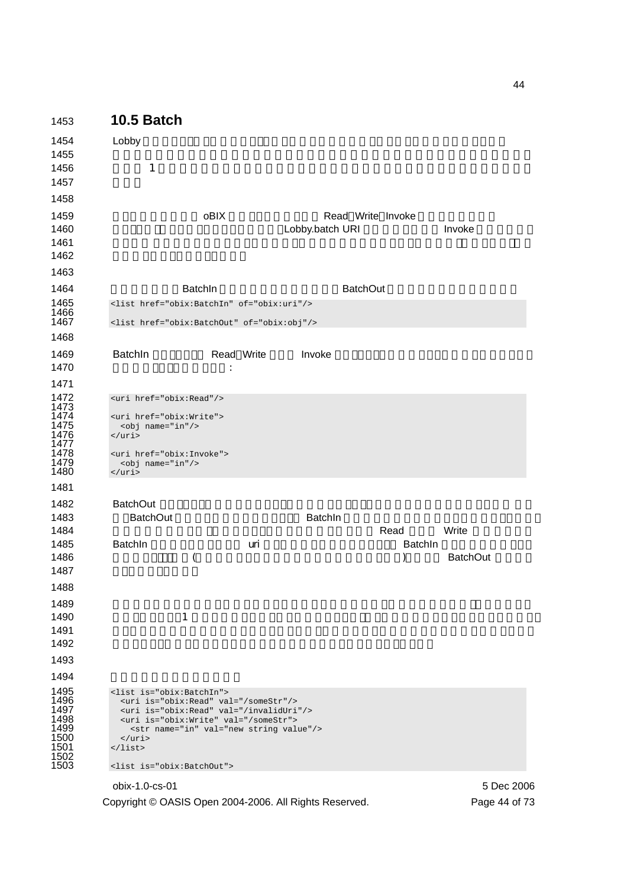| 1453                                                                         | <b>10.5 Batch</b>                                                                                                                                                                                                                                                                                                                                |            |                                      |                |                 |
|------------------------------------------------------------------------------|--------------------------------------------------------------------------------------------------------------------------------------------------------------------------------------------------------------------------------------------------------------------------------------------------------------------------------------------------|------------|--------------------------------------|----------------|-----------------|
| 1454<br>1455<br>1456<br>1457<br>1458                                         | Lobby<br>$\mathbf{1}$                                                                                                                                                                                                                                                                                                                            |            |                                      |                |                 |
| 1459<br>1460<br>1461<br>1462<br>1463                                         |                                                                                                                                                                                                                                                                                                                                                  | oBIX       | Read Write Invoke<br>Lobby.batch URI |                | Invoke          |
| 1464                                                                         | BatchIn                                                                                                                                                                                                                                                                                                                                          |            | <b>BatchOut</b>                      |                |                 |
| 1465                                                                         | <list href="obix:BatchIn" of="obix:uri"></list>                                                                                                                                                                                                                                                                                                  |            |                                      |                |                 |
| 1466<br>1467                                                                 | <list href="obix:BatchOut" of="obix:obj"></list>                                                                                                                                                                                                                                                                                                 |            |                                      |                |                 |
| 1468                                                                         |                                                                                                                                                                                                                                                                                                                                                  |            |                                      |                |                 |
| 1469<br>1470                                                                 | BatchIn                                                                                                                                                                                                                                                                                                                                          | Read Write | Invoke                               |                |                 |
| 1471<br>1472<br>1473<br>1474<br>1475<br>1476<br>1477<br>1478<br>1479<br>1480 | <uri href="obix:Read"></uri><br><uri href="obix:Write"><br/><obj name="in"></obj><br/><math>\langle \text{uri} \rangle</math><br/><uri href="obix:Invoke"><br/><obj name="in"></obj><br/><math>\frac{2}{\pi}</math></uri></uri>                                                                                                                  |            |                                      |                |                 |
| 1481                                                                         |                                                                                                                                                                                                                                                                                                                                                  |            |                                      |                |                 |
| 1482<br>1483<br>1484                                                         | <b>BatchOut</b><br><b>BatchOut</b>                                                                                                                                                                                                                                                                                                               |            | BatchIn                              | Read           | Write           |
| 1485<br>1486<br>1487<br>1488<br>1489                                         | BatchIn<br>$\overline{\mathcal{L}}$                                                                                                                                                                                                                                                                                                              | uri        |                                      | <b>Batchin</b> | <b>BatchOut</b> |
| 1490<br>1491<br>1492<br>1493                                                 | $\mathbf{1}$                                                                                                                                                                                                                                                                                                                                     |            |                                      |                |                 |
| 1494<br>1495<br>1496<br>1497<br>1498<br>1499<br>1500<br>1501<br>1502<br>1503 | <list is="obix:BatchIn"><br/><uri is="obix:Read" val="/someStr"></uri><br/><uri is="obix:Read" val="/invalidUri"></uri><br/><uri is="obix:Write" val="/someStr"><br/><str name="in" val="new string value"></str><br/><math>\langle \text{uri} \rangle</math><br/><math>\langle</math>list&gt;<br/><list is="obix:BatchOut"></list></uri></list> |            |                                      |                |                 |
|                                                                              | obix-1.0-cs-01                                                                                                                                                                                                                                                                                                                                   |            |                                      |                | 5 Dec 2006      |

Copyright © OASIS Open 2004-2006. All Rights Reserved. Page 44 of 73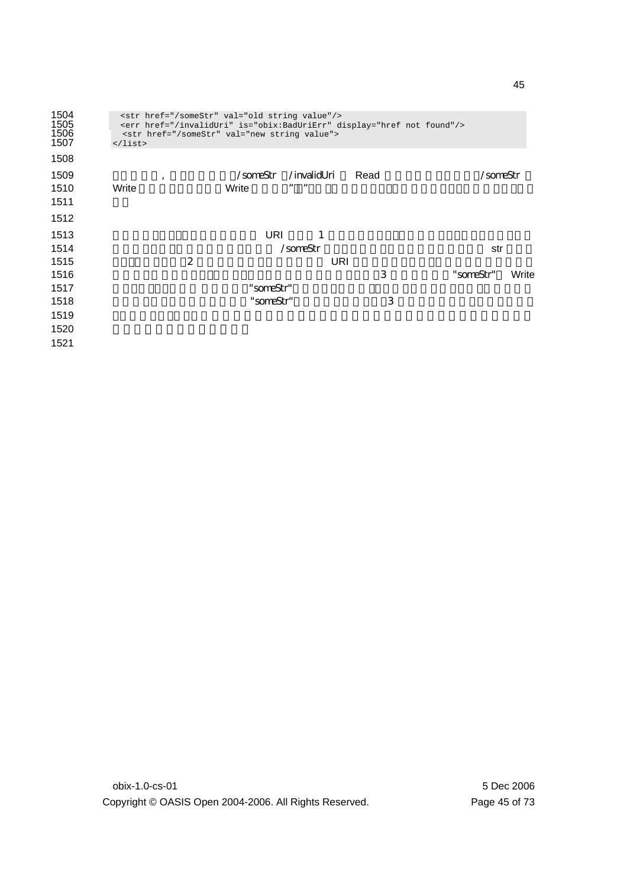| 1504<br>1505<br>1506<br>1507 | $\langle$ /list> | <str href="/someStr" val="new string value"></str> |                   | <str href="/someStr" val="old string value"></str> | <err display="href not found" href="/invalidUri" is="obix:BadUriErr"></err> |           |       |
|------------------------------|------------------|----------------------------------------------------|-------------------|----------------------------------------------------|-----------------------------------------------------------------------------|-----------|-------|
| 1508                         |                  |                                                    |                   |                                                    |                                                                             |           |       |
| 1509<br>1510<br>1511         | $\cdot$<br>Write |                                                    | /someStr<br>Write | /invalidUri<br>, ,<br>,,                           | Read                                                                        | /someStr  |       |
| 1512                         |                  |                                                    |                   |                                                    |                                                                             |           |       |
| 1513                         |                  |                                                    | URI               | 1                                                  |                                                                             |           |       |
| 1514                         |                  |                                                    |                   | /someStr                                           |                                                                             | str       |       |
| 1515                         |                  | 2                                                  |                   | URI                                                |                                                                             |           |       |
| 1516                         |                  |                                                    |                   |                                                    | 3                                                                           | "someStr" | Write |
| 1517                         |                  |                                                    | "someStr"         |                                                    |                                                                             |           |       |
| 1518                         |                  |                                                    | "someStr"         |                                                    | 3                                                                           |           |       |
| 1519                         |                  |                                                    |                   |                                                    |                                                                             |           |       |
| 1520                         |                  |                                                    |                   |                                                    |                                                                             |           |       |
| 1521                         |                  |                                                    |                   |                                                    |                                                                             |           |       |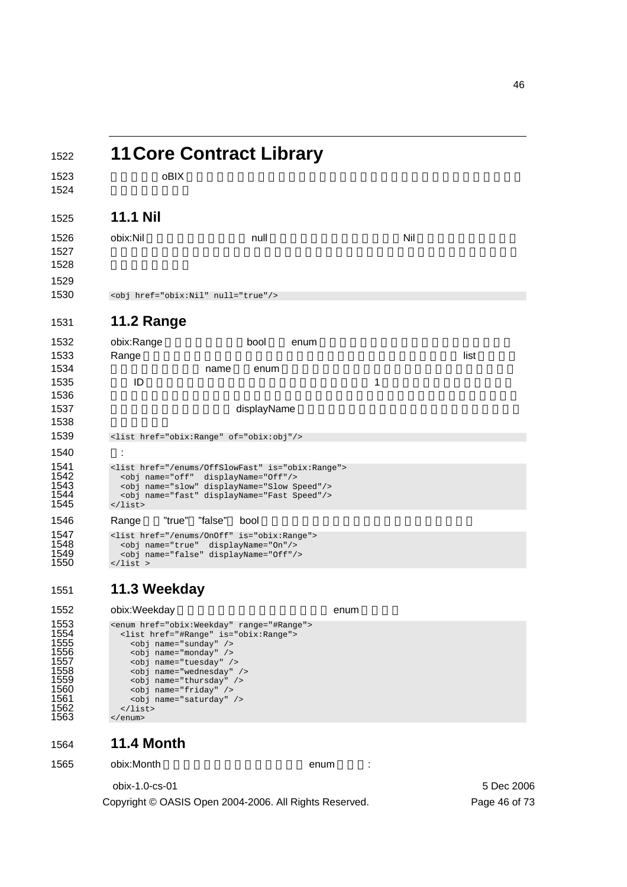|                                                                                      | <b>11 Core Contract Library</b>                                                                                                                                                                                |      |     |      |
|--------------------------------------------------------------------------------------|----------------------------------------------------------------------------------------------------------------------------------------------------------------------------------------------------------------|------|-----|------|
| oBIX                                                                                 |                                                                                                                                                                                                                |      |     |      |
| <b>11.1 Nil</b>                                                                      |                                                                                                                                                                                                                |      |     |      |
| obix:Nil                                                                             | null                                                                                                                                                                                                           |      | Nil |      |
| <obj href="obix:Nil" null="true"></obj>                                              |                                                                                                                                                                                                                |      |     |      |
| <b>11.2 Range</b>                                                                    |                                                                                                                                                                                                                |      |     |      |
| obix:Range<br>Range                                                                  | bool                                                                                                                                                                                                           | enum |     | list |
| ID                                                                                   | name<br>enum                                                                                                                                                                                                   |      | 1   |      |
|                                                                                      | displayName                                                                                                                                                                                                    |      |     |      |
|                                                                                      | <list href="obix:Range" of="obix:obj"></list>                                                                                                                                                                  |      |     |      |
| t<br>$\langle$ list>                                                                 | <list href="/enums/OffSlowFast" is="obix:Range"><br/><obj displayname="Off" name="off"></obj><br/><obj displayname="Slow Speed" name="slow"></obj><br/><obj displayname="Fast Speed" name="fast"></obj></list> |      |     |      |
| "true"<br>Range                                                                      | "false"<br>bool                                                                                                                                                                                                |      |     |      |
| $\langle$ list >                                                                     | <list href="/enums/0n0ff" is="obix:Range"><br/><obj displayname="On" name="true"></obj><br/><obj displayname="Off" name="false"></obj></list>                                                                  |      |     |      |
| 11.3 Weekday                                                                         |                                                                                                                                                                                                                |      |     |      |
| obix:Weekday                                                                         |                                                                                                                                                                                                                | enum |     |      |
| <obj name="sunday"></obj><br><obj name="monday"></obj><br><obj name="tuesday"></obj> | <enum href="obix:Weekday" range="#Range"><br/><list href="#Range" is="obix:Range"></list></enum>                                                                                                               |      |     |      |

1558 <obj name="wednesday" /> 1559 <obj name="thursday" /> 1560 <obj name="friday" /> 1561 <obj name="saturday" />

</list> </enum>

**11.4 Month** 

Copyright © OASIS Open 2004-2006. All Rights Reserved. Page 46 of 73

1565 obix:Month enum :

obix-1.0-cs-01 5 Dec 2006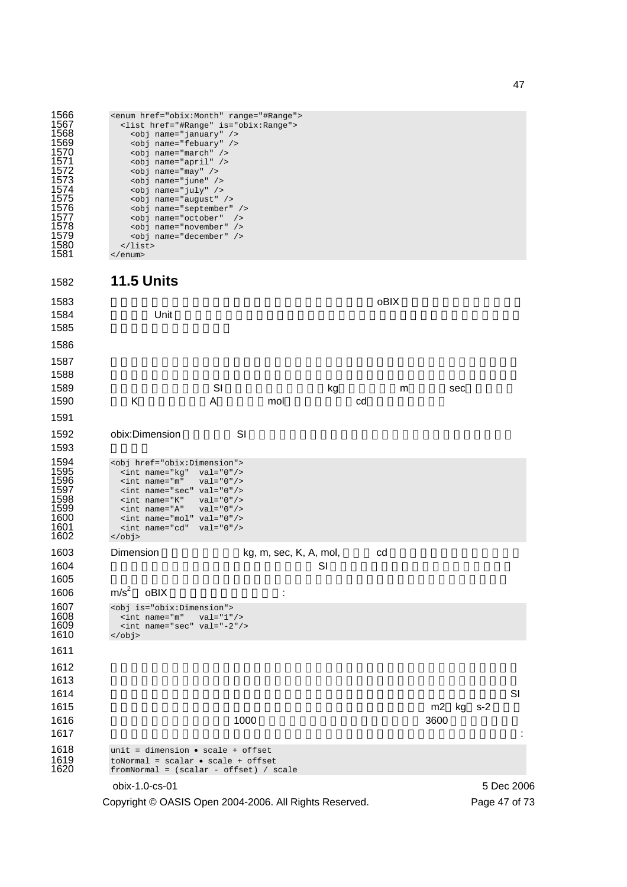| 1566 | <enum href="obix:Month" range="#Range"></enum> |
|------|------------------------------------------------|
| 1567 | <list href="#Range" is="obix:Range"></list>    |
| 1568 | <obj name="january"></obj>                     |
| 1569 | <obj name="febuary"></obj>                     |
| 1570 | <obj name="march"></obj>                       |
| 1571 | <obj name="april"></obj>                       |
| 1572 | <obj name="may"></obj>                         |
| 1573 | <obj name="june"></obj>                        |
| 1574 | <obj name="july"></obj>                        |
| 1575 | <obj name="auqust"></obj>                      |
| 1576 | <obj name="september"></obj>                   |
| 1577 | <obi name="october"></obi>                     |
| 1578 | <obj name="november"></obj>                    |
| 1579 | <obi name="december"></obi>                    |
| 1580 | $\langle$ list>                                |
| .    |                                                |

</enum>

**11.5 Units**  ソフトウェアで計測単位を表すことは、難しい問題です。oBIX は、数学的に単位を定義す るために Unit フレームワークを提供します。あらかじめ定義された単位の大規模データベ  $\blacksquare$  $\,$ これら7つの次元は、SI 単位で、キログラム(kg)、メータ(m)、秒(sec)、ケルビ 1590 K A mol cd 1592 obix:Dimension SI 1594 <obj href="obix:Dimension"><br>1595 <int name="kq" val="0"/> <int name="kg" val="0"/> <int name="m" val="0"/> 1596  $\frac{1}{2}$  int name=" $\frac{1}{2}$ " val="0"/><br>1597  $\frac{1}{2}$  int name="sec" val="0"/><br>1598  $\frac{1}{2}$  int name=" $K$ " val="0"/><br>1599  $\frac{1}{2}$  int name=" $\frac{1}{2}$ " val="0"/>  $\frac{1}{10}$  <int name="K" val="0"/><br>  $\frac{1}{10}$  val="0"/>  $\leftarrow$   $\leftarrow$   $\leftarrow$   $\leftarrow$   $\leftarrow$   $\leftarrow$   $\leftarrow$   $\leftarrow$   $\leftarrow$   $\leftarrow$   $\leftarrow$   $\leftarrow$   $\leftarrow$   $\leftarrow$   $\leftarrow$   $\leftarrow$   $\leftarrow$   $\leftarrow$   $\leftarrow$   $\leftarrow$   $\leftarrow$   $\leftarrow$   $\leftarrow$   $\leftarrow$   $\leftarrow$   $\leftarrow$   $\leftarrow$   $\leftarrow$   $\leftarrow$   $\leftarrow$   $\leftarrow$   $\leftarrow$   $\leftarrow$   $\leftarrow$   $\leftarrow$   $\leftarrow$ 1600  $\frac{1}{2}$  int name="mol" val="0"/><br>1601  $\frac{1}{2}$   $\frac{1}{2}$   $\frac{1}{2}$   $\frac{1}{2}$   $\frac{1}{2}$   $\frac{1}{2}$   $\frac{1}{2}$   $\frac{1}{2}$   $\frac{1}{2}$   $\frac{1}{2}$   $\frac{1}{2}$   $\frac{1}{2}$   $\frac{1}{2}$   $\frac{1}{2}$   $\frac{1}{2}$   $\frac{1}{2}$   $\frac{1}{2}$   $\frac{1}{2$  $\text{10}$  <int name="cd" val="0"/> </obj> 1603 Dimension kg, m, sec, K, A, mol, cd  $\blacksquare$ 1605 decreases that a structure  $1605$  oBIX  $\cdot$ 1607 <obj is="obix:Dimension"><br>1608 <int name="m" val="1",<br>1609 <int name="sec" val="-2" <int name="m" val="1"/> <int name="sec" val="-2"/>  $\lt/\text{obj}$   $\blacksquare$  $\blacksquare$  $\blacksquare$ 

obix-1.0-cs-01 5 Dec 2006 単位自体の比です。例としてエネルギー(ジュール)の正規化単位は m2 kg s-2 で表さ **1000 ジョールであり、1000 ジョールであり、1000 ジョールです。** 3600 ジュールです。  $\blacksquare$ 1618 unit = dimension • scale + offset<br>1619 toNormal = scalar • scale + offset<br>1620 fromNormal = (scalar - offset) /  $toNormal = scalar \cdot scale + offset$  $fromNormal = (scalar - offset) / scale$ 

Copyright © OASIS Open 2004-2006. All Rights Reserved. Page 47 of 73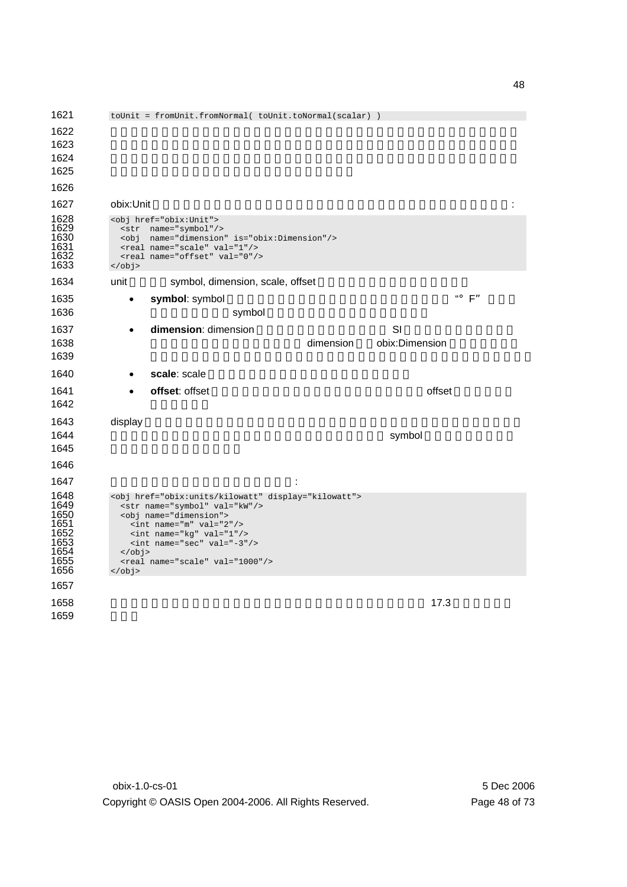toUnit = fromUnit.fromNormal( toUnit.toNormal(scalar) )  $\blacksquare$  $\sim$  $\blacksquare$  1627 obix:Unit コントラクトは、次元と正規化の係数を含めて単位オブジェクトを定義します: 1628 <obj href="obix:Unit"><br>1629 <str name="symbol"/ <str name="symbol"/> <obj name="dimension" is="obix:Dimension"/> <real name="scale" val="1"/> <real name="offset" val="0"/>  $\leftarrow$   $\leftarrow$   $\leftarrow$   $\leftarrow$   $\leftarrow$   $\leftarrow$   $\leftarrow$   $\leftarrow$   $\leftarrow$   $\leftarrow$   $\leftarrow$   $\leftarrow$   $\leftarrow$   $\leftarrow$   $\leftarrow$   $\leftarrow$   $\leftarrow$   $\leftarrow$   $\leftarrow$   $\leftarrow$   $\leftarrow$   $\leftarrow$   $\leftarrow$   $\leftarrow$   $\leftarrow$   $\leftarrow$   $\leftarrow$   $\leftarrow$   $\leftarrow$   $\leftarrow$   $\leftarrow$   $\leftarrow$   $\leftarrow$   $\leftarrow$   $\leftarrow$   $\leftarrow$ 1634 unit symbol, dimension, scale, offset 1635 • **symbol**: symbol のシンボルです。symbol は常に指定される必要があります。 **1637 • dimension**: dimension  $\sim$  SI **1638 to the dimension obix:Dimension** the dimension obix:Dimension  $-$ **• scale**: scale **• offset**: offset the control text of the offset of the offset of the control of the offset of the offset of the offset of the offset of the offset of the offset of the offset of the offset of the offset of the offse 1643 display Research これには、現地球を用意します。これに対する正式名称を用意します。 **Symbol Symbol サブオ**ジェクトをつかるい場合、クライアントは symbol ちょうきょう  $\vdots$ 1648 <obj href="obix:units/kilowatt" display="kilowatt"><br>1649 <str name="symbol" val="kW"/> 1649 <str name="symbol" val="kW"/><br>1650 <obj name="dimension"> 1650 <obj name="dimension"><br>1651 <int name="m" val="2<br>1652 <int name="kg" val="<br>1653 <int name="sec" val= <int name="m" val="2"/> <int name="kg" val="1"/> <int name="sec" val="-3"/> 1654 </obj><br>1655 <real<br>1656 </obj> <real name="scale" val="1000"/>  $\langle$ obj>  $\,$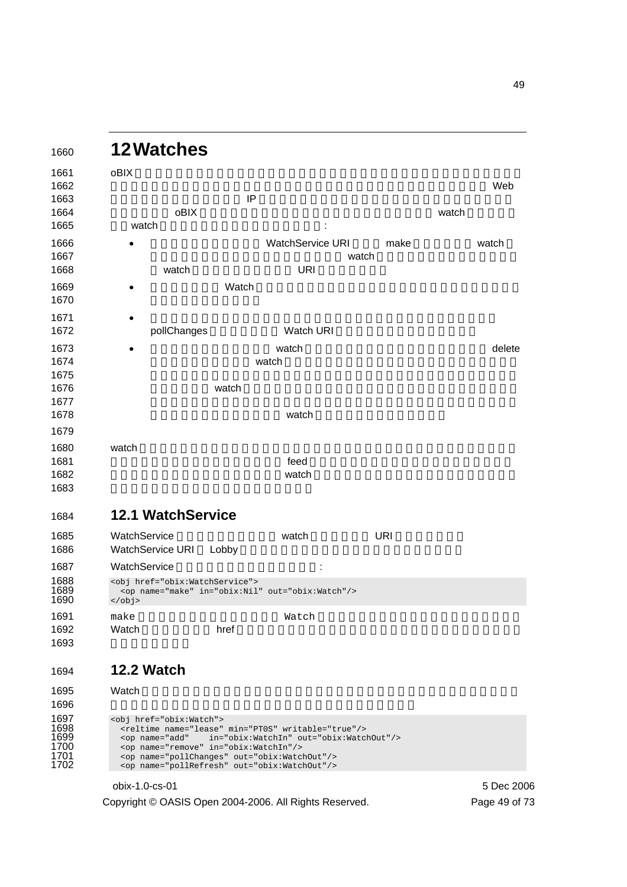| <b>12Watches</b>                                                                                                                                       |                                           |                                                             |            |            |
|--------------------------------------------------------------------------------------------------------------------------------------------------------|-------------------------------------------|-------------------------------------------------------------|------------|------------|
| oBIX                                                                                                                                                   |                                           |                                                             |            |            |
|                                                                                                                                                        |                                           |                                                             |            | Web        |
|                                                                                                                                                        | IP                                        |                                                             |            |            |
|                                                                                                                                                        | oBIX                                      |                                                             |            | watch      |
| watch                                                                                                                                                  |                                           |                                                             |            |            |
|                                                                                                                                                        |                                           | WatchService URI                                            | make       | watch      |
|                                                                                                                                                        |                                           |                                                             | watch      |            |
| watch                                                                                                                                                  |                                           | <b>URI</b>                                                  |            |            |
|                                                                                                                                                        | Watch                                     |                                                             |            |            |
|                                                                                                                                                        |                                           |                                                             |            |            |
| pollChanges                                                                                                                                            |                                           | Watch URI                                                   |            |            |
|                                                                                                                                                        |                                           |                                                             |            |            |
| $\bullet$                                                                                                                                              |                                           | watch<br>watch                                              |            | delete     |
|                                                                                                                                                        |                                           |                                                             |            |            |
|                                                                                                                                                        | watch                                     |                                                             |            |            |
|                                                                                                                                                        |                                           |                                                             |            |            |
|                                                                                                                                                        |                                           | watch                                                       |            |            |
|                                                                                                                                                        |                                           |                                                             |            |            |
| watch                                                                                                                                                  |                                           |                                                             |            |            |
|                                                                                                                                                        |                                           | feed                                                        |            |            |
|                                                                                                                                                        |                                           | watch                                                       |            |            |
|                                                                                                                                                        |                                           |                                                             |            |            |
| <b>12.1 WatchService</b>                                                                                                                               |                                           |                                                             |            |            |
| WatchService                                                                                                                                           |                                           | watch                                                       | <b>URI</b> |            |
| WatchService URI                                                                                                                                       | Lobby                                     |                                                             |            |            |
| WatchService                                                                                                                                           |                                           |                                                             |            |            |
| <obj href="obix:WatchService"><br/><math>\langle</math>obj&gt;</obj>                                                                                   |                                           | <op in="obix:Nil" name="make" out="obix:Watch"></op>        |            |            |
| make                                                                                                                                                   |                                           | Watch                                                       |            |            |
| Watch                                                                                                                                                  | href                                      |                                                             |            |            |
|                                                                                                                                                        |                                           |                                                             |            |            |
| <b>12.2 Watch</b>                                                                                                                                      |                                           |                                                             |            |            |
| Watch                                                                                                                                                  |                                           |                                                             |            |            |
|                                                                                                                                                        |                                           |                                                             |            |            |
| <obj href="obix:Watch"></obj>                                                                                                                          |                                           | <reltime min="PTOS" name="lease" writable="true"></reltime> |            |            |
| <op <="" name="add" td=""><td><op in="obix:WatchIn" name="remove"></op></td><td>in="obix:WatchIn" out="obix:WatchOut"/&gt;</td><td></td><td></td></op> | <op in="obix:WatchIn" name="remove"></op> | in="obix:WatchIn" out="obix:WatchOut"/>                     |            |            |
|                                                                                                                                                        |                                           | <op name="pollChanges" out="obix:WatchOut"></op>            |            |            |
|                                                                                                                                                        |                                           | <op name="pollRefresh" out="obix:WatchOut"></op>            |            |            |
| obix-1.0-cs-01                                                                                                                                         |                                           |                                                             |            | 5 Dec 2006 |

Copyright © OASIS Open 2004-2006. All Rights Reserved. Page 49 of 73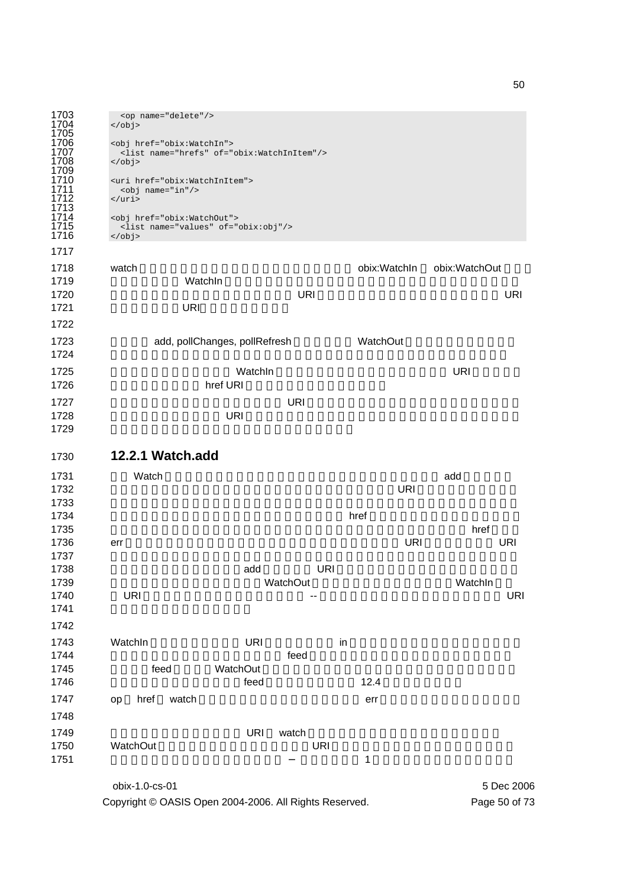```
1703 <op name="delete"/> 
              \langle 0 \rangle1705 
              1706 <obj href="obix:WatchIn"> 
               1707 <list name="hrefs" of="obix:WatchInItem"/> 
              1708 </obj> 
1709 
              1710 <uri href="obix:WatchInItem"> 
1711 <obj name="in"/> 
1712 \langle \text{uri}\rangle1713 
              1714 <obj href="obix:WatchOut"> 
               1715 <list name="values" of="obix:obj"/> 
              1716 </obj>
```

```
1717 
1718 watch watch watch watch watch watch watch was exampled bix:WatchIn obix:WatchOut
1719 NatchIn WatchIn example watchIn All the Contract WatchIn
1720 クトを識別します。このオブジェクトは URI のリストを含みます。一般に、これらの URI
1721 URI
1722 
1723 add, pollChanges, pollRefresh WatchOut
1724 \blacksquare1725 And Allie Allies Watchin Allies And Oriental Oriental Oriental Oriental URI 25
1726 bref URI
1727 URI セントから渡された URI にっぽん こうしょうかん エストル しんしゃ
1728 INITED URI URI 2008 INITED URI 2009 INITED URI
1729
```

```
1730 12.2.1 Watch.add
```

| 1731 | Watch               |            |            |      |            | add        |
|------|---------------------|------------|------------|------|------------|------------|
| 1732 |                     |            |            |      | <b>URI</b> |            |
| 1733 |                     |            |            |      |            |            |
| 1734 |                     |            |            | href |            |            |
| 1735 |                     |            |            |      |            | href       |
| 1736 | err                 |            |            |      | <b>URI</b> | <b>URI</b> |
| 1737 |                     |            |            |      |            |            |
| 1738 |                     | add        | <b>URI</b> |      |            |            |
| 1739 |                     |            | WatchOut   |      |            | WatchIn    |
| 1740 | <b>URI</b>          |            | --         |      |            | URI        |
| 1741 |                     |            |            |      |            |            |
| 1742 |                     |            |            |      |            |            |
| 1743 | WatchIn             | <b>URI</b> |            | in   |            |            |
| 1744 |                     |            | feed       |      |            |            |
| 1745 | feed                | WatchOut   |            |      |            |            |
| 1746 |                     | feed       |            | 12.4 |            |            |
| 1747 | watch<br>href<br>op |            |            | err  |            |            |
| 1748 |                     |            |            |      |            |            |
| 1749 |                     | <b>URI</b> | watch      |      |            |            |
| 1750 | WatchOut            |            | <b>URI</b> |      |            |            |
| 1751 |                     |            |            | 1    |            |            |
|      | obix-1.0-cs-01      |            |            |      |            | 5 Dec 2006 |

Copyright © OASIS Open 2004-2006. All Rights Reserved. Page 50 of 73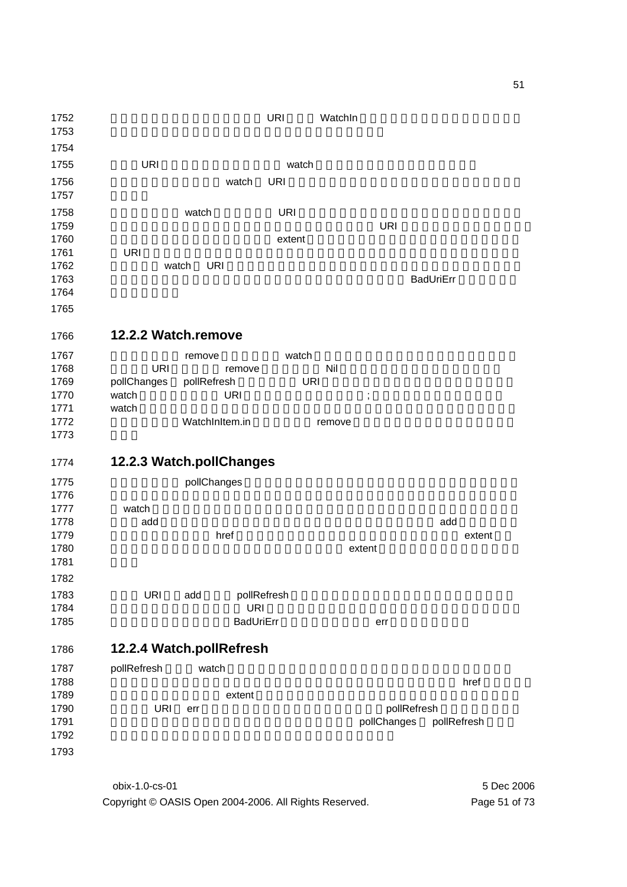| 1752         |                     |                          | <b>URI</b>  | WatchIn     |                  |        |
|--------------|---------------------|--------------------------|-------------|-------------|------------------|--------|
| 1753         |                     |                          |             |             |                  |        |
| 1754         |                     |                          |             |             |                  |        |
| 1755         | <b>URI</b>          |                          | watch       |             |                  |        |
| 1756         |                     | watch                    | <b>URI</b>  |             |                  |        |
| 1757         |                     |                          |             |             |                  |        |
|              |                     |                          |             |             |                  |        |
| 1758         |                     | watch                    | <b>URI</b>  |             |                  |        |
| 1759         |                     |                          |             | <b>URI</b>  |                  |        |
| 1760         |                     |                          | extent      |             |                  |        |
| 1761         | <b>URI</b>          |                          |             |             |                  |        |
| 1762         |                     | <b>URI</b><br>watch      |             |             |                  |        |
| 1763<br>1764 |                     |                          |             |             | <b>BadUriErr</b> |        |
|              |                     |                          |             |             |                  |        |
| 1765         |                     |                          |             |             |                  |        |
| 1766         | 12.2.2 Watch.remove |                          |             |             |                  |        |
| 1767         |                     | remove                   | watch       |             |                  |        |
| 1768         | <b>URI</b>          | remove                   |             | Nil         |                  |        |
| 1769         | pollChanges         | pollRefresh              | <b>URI</b>  |             |                  |        |
| 1770         | watch               | <b>URI</b>               |             | $\vdots$    |                  |        |
| 1771         | watch               |                          |             |             |                  |        |
| 1772         |                     | WatchInItem.in           |             | remove      |                  |        |
| 1773         |                     |                          |             |             |                  |        |
| 1774         |                     | 12.2.3 Watch.pollChanges |             |             |                  |        |
|              |                     |                          |             |             |                  |        |
| 1775         |                     | pollChanges              |             |             |                  |        |
| 1776<br>1777 | watch               |                          |             |             |                  |        |
| 1778         | add                 |                          |             |             | add              |        |
| 1779         |                     | href                     |             |             |                  | extent |
| 1780         |                     |                          |             | extent      |                  |        |
| 1781         |                     |                          |             |             |                  |        |
| 1782         |                     |                          |             |             |                  |        |
| 1783         |                     |                          |             |             |                  |        |
|              | <b>URI</b>          | add<br><b>URI</b>        | pollRefresh |             |                  |        |
| 1784<br>1785 |                     | <b>BadUriErr</b>         |             | err         |                  |        |
|              |                     |                          |             |             |                  |        |
| 1786         |                     | 12.2.4 Watch.pollRefresh |             |             |                  |        |
| 1787         | pollRefresh         | watch                    |             |             |                  |        |
| 1788         |                     |                          |             |             | href             |        |
| 1789         |                     | extent                   |             |             |                  |        |
| 1790         | <b>URI</b>          | err                      |             |             | pollRefresh      |        |
| 1791         |                     |                          |             | pollChanges | pollRefresh      |        |
| 1792         |                     |                          |             |             |                  |        |
| 1793         |                     |                          |             |             |                  |        |
|              |                     |                          |             |             |                  |        |

obix-1.0-cs-01 5 Dec 2006 Copyright © OASIS Open 2004-2006. All Rights Reserved. Page 51 of 73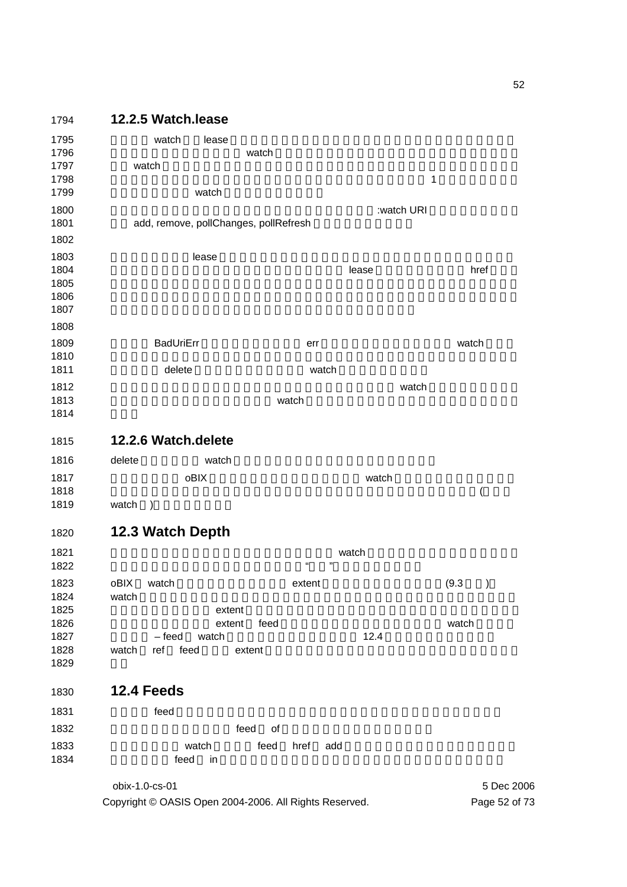# **12.2.5 Watch.lease**  すべての watch は、lease の子オブジェクトによって指定されたリース時間を持っていま **the Lawrence watch of the Watch of the New York House House I** 1797 (Watch external watch extensive state of the state  $\sim$  $\blacksquare$ **watch** example watch example watch example  $\frac{1}{2}$ リースタイマは次のリクエストによってリセットされます:watch URI 自身の読み込み、ま 1801 add, remove, pollChanges, pollRefresh *December 1803 December 1803* **Example 2** and the state of the state of the lease of the href example are the state of the state of the state of the state of the state of the state of the state of the state of the state of the state of the state o  $\blacksquare$  $\blacksquare$  **BadUriErr and BadUriErr err** err The Watch Watch of the BadUriErr err The Watch of the Watch o  $\,$ が明示的に delete を呼び出すまでサーバは watch を受理すべきです。 watch  $\sim$  1812 **Example 2018 20 Second Accord Watch Only watch Only 2019 12.2.6 Watch.delete**  1816 delete watch examples watch examples watch the Research examples are provided watch that the Research examples are the Research examples of the Research examples are the Research examples are the Research examples are **obix obelity obelity obelity** watch extensive watch extensive watch extensive watch extensive watch extensive watch the state of  $\sim$  $\sim$ 1819 watch ) **12.3 Watch Depth Example 31821 Example 31821 Watch in the system watch in the watch in the system of the system of the system of the system of the system of the system of the system of the system of the system of the system of th**   $\ldots$   $\ldots$   $\ldots$ 1823 oBIX watch extent extent (9.3 ) 1824 watch  $\frac{1}{2}$ **For the extent of the extent of the absolute and the extent of the absolute and the extent of the absolute and the extent of the state and the state and the state and the state and the state and the state and the sta** 1826 the extent feed that the extent of the state watch watch watch the state of the state watch the state of the state of the state of the state of the state of the state of the state of the state of the state of the stat **- feed watch 22.4** the end watch of the end that the end of the end of the end of the end of the end of the end of the end of the end of the end of the end of the end of the end of the end of the end of the end of th 1828 watch ref feed extent **extent** of the extent of the extent of the extent of the extent of the extent of the extent of the extent of the extent of the extent of the extent of the extent of the extent of the extent of t **12.4 Feeds teed** ホブジェクトを使ってイベントストリームを開発することができます。 **feed of**  $\sim$

obix-1.0-cs-01 5 Dec 2006 Copyright © OASIS Open 2004-2006. All Rights Reserved. Page 52 of 73

*N* watch the feed href add the state of the state of the state of the state of the state of the state of the state of the state of the state of the state of the state of the state of the state of the state of the s 1834 Seed in Alliance feed in Alliance European Section 2014 Seed in Alliance European Section 2014 Seed in Al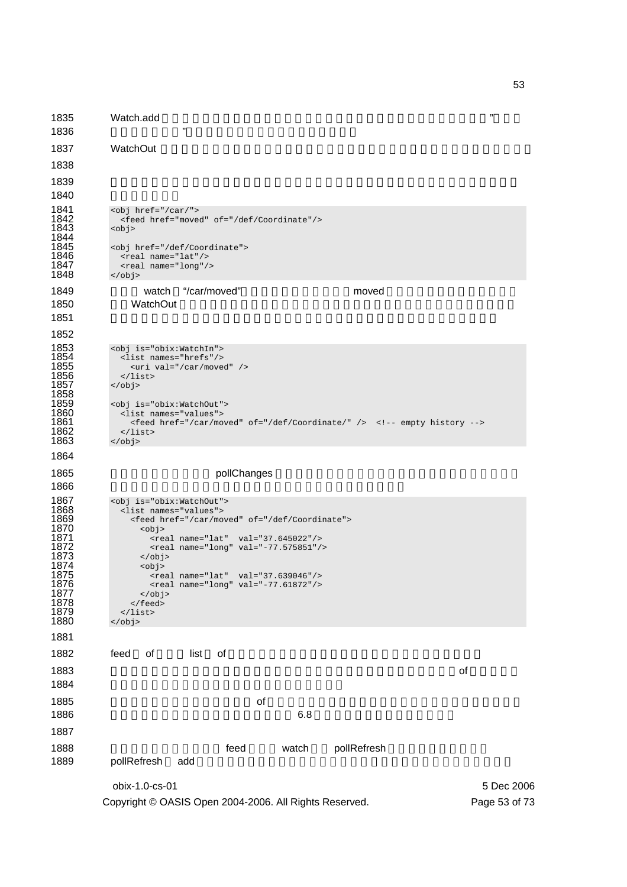obix-1.0-cs-01 5 Dec 2006 1835 Watch.add  $\frac{1}{2}$  $1836$   $"$ 1837 WatchOut the state of the state of the state of the state of the state of the state of the state of the state of the state of the state of the state of the state of the state of the state of the state of the state of 1838 1839  $\,$ 1840 1841  $\left\langle \text{obj href} \right\rangle$  /  $\left\langle \text{car} \right\rangle$  /  $\left\langle \text{var} \right\rangle$  /  $\left\langle \text{var} \right\rangle$  /  $\left\langle \text{var} \right\rangle$  /  $\left\langle \text{var} \right\rangle$  /  $\left\langle \text{var} \right\rangle$  /  $\left\langle \text{var} \right\rangle$  /  $\left\langle \text{var} \right\rangle$  /  $\left\langle \text{var} \right\rangle$  /  $\left\langle \text{var} \right\rangle$  /  $\left\langle \text{var} \right\rangle$  1842 <feed href="moved" of="/def/Coordinate"/>  $\frac{1842}{1843}$ 1844<br>1845 1845 < obj href="/def/Coordinate"><br>1846 < real name="lat"/><br>1847 < real name="long"/> <real name="lat"/> 1847  $\langle$  real name="long"/><br>1848  $\langle$ /obj>  $\langle$ obj> 1849 **watch "/car/moved" https://watch** "/car/moved" 1850 WatchOut **WatchOut** the Second Extensive Extendion United States and United States and United States and U 1851  $\sim$ 1852 1853 <obj is="obix:WatchIn"><br>1854 <list names="hrefs"/><br>1855 <uri val="/car/move 1854 <list names="hrefs"/>  $1855$  <uri val="/car/moved" /><br>1856 </list>  $\langle$ list>  $\langle$ obj> 1857<br>1858<br>1859 1859 <obj is="obix:WatchOut"><br>1860 <list names="values"> 1860 <list names="values"><br>1861 <eed href="/car/mo 1861 <feed href="/car/moved" of="/def/Coordinate/" /> <!-- empty history --> 1862 1862 </list><br>1863 </obj>  $\langle$ obj> 1864 1865 **between pollChanges pollChanges**  $1866$ 1867 <obj is="obix:WatchOut"><br>1868 <list names="values"> 1868 <list names="values"><br>1869 <feed href="/car/mo 1869 <feed href="/car/moved" of="/def/Coordinate"><br>1870 <br/> <obj> 1870 <obj> 1871 <real name="lat" val="37.645022"/> 1872 <real name="long" val="-77.575851"/> 1873 </obj> 1874 <obj> 1875 <real name="lat" val="37.639046"/> 1876 <real name="long" val="-77.61872"/> 1877 </obj> </feed> 1879  $\frac{1879}{1880}$   $\frac{1}{155}$ 1880 </obj> 1881 1882 feed of list of  $\blacksquare$ 1883 **F**  $\sim$  1883 **F**  $\sim$  2001 **F**  $\sim$  2001 **F**  $\sim$  2001 **F**  $\sim$  2001 **F**  $\sim$  2001 **F**  $\sim$  2001 **F**  $\sim$  2001 **F**  $\sim$  2001 **F**  $\sim$  2001 **F**  $\sim$  2001 **F**  $\sim$  2001 **F**  $\sim$  2001 **F**  $\sim$  2001 **F**  $\sim$  2001 **F**  $\sim$  $1884$  $1885$  of  $\overline{1885}$ 1886  $6.8$ 1887 1888 **1888** *CON* **EXALL** THE **FEED FEED WATCH POLIRE** fresh watch the pollRefresh 1889 pollRefresh add

Copyright © OASIS Open 2004-2006. All Rights Reserved. Page 53 of 73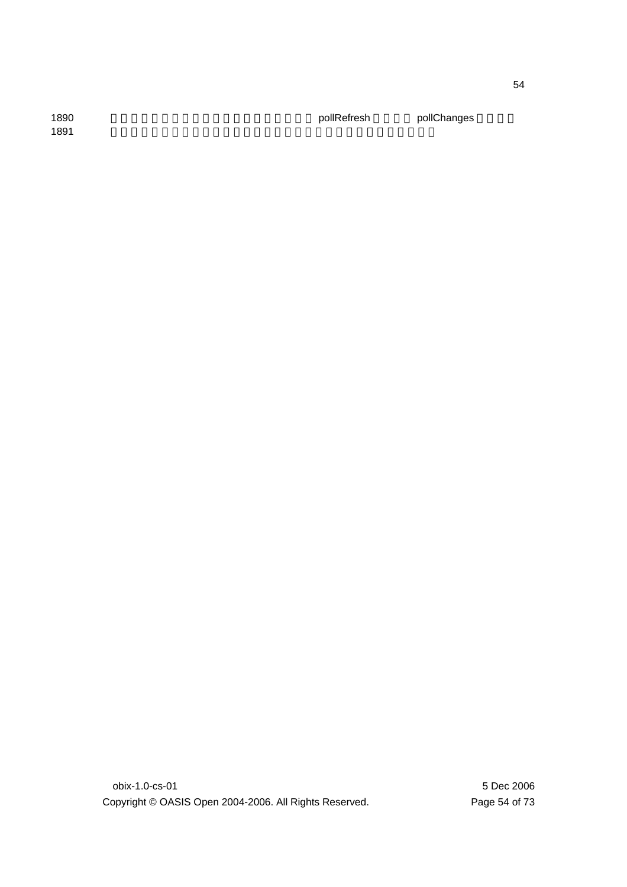1890 **1890 イベント**ナストリが利用されている。 pollRefresh pollChanges 1891  $\sim$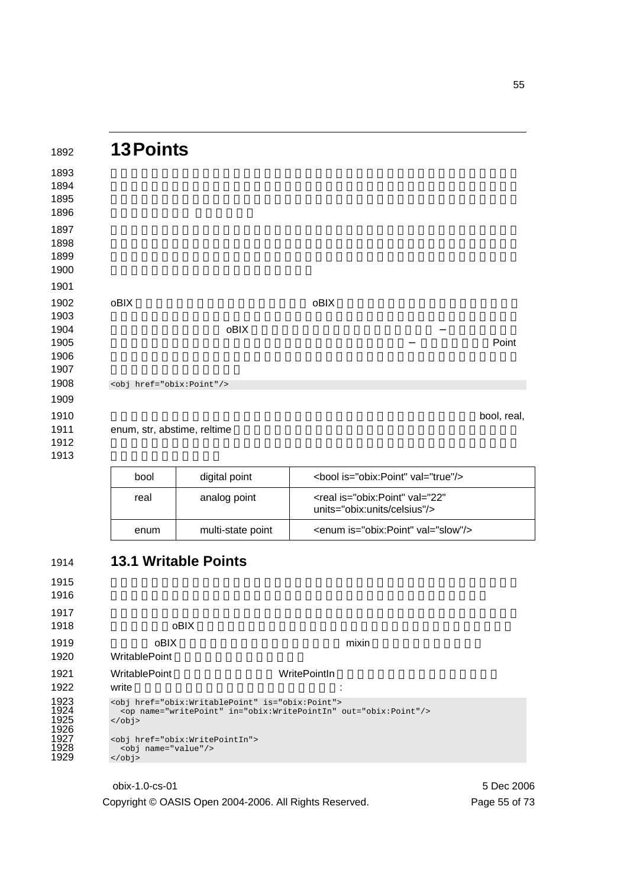| 1892 | <b>13 Points</b>              |      |      |             |
|------|-------------------------------|------|------|-------------|
| 1893 |                               |      |      |             |
| 1894 |                               |      |      |             |
| 1895 |                               |      |      |             |
|      |                               |      |      |             |
|      |                               |      |      |             |
|      |                               |      |      |             |
|      |                               |      |      |             |
|      |                               |      |      |             |
|      |                               |      |      |             |
|      | oBIX                          |      | oBIX |             |
|      |                               |      |      |             |
|      |                               | oBIX |      |             |
|      |                               |      |      | Point       |
|      |                               |      |      |             |
|      |                               |      |      |             |
|      | <obj href="obix:Point"></obj> |      |      |             |
|      |                               |      |      |             |
|      |                               |      |      | bool, real, |
|      | enum, str, abstime, reltime   |      |      |             |
|      |                               |      |      |             |
|      |                               |      |      |             |
|      | ┍                             |      |      |             |

| bool | digital point     | <bool is="obix:Point" val="true"></bool>                                     |
|------|-------------------|------------------------------------------------------------------------------|
| real | analog point      | <real <br="" is="obix:Point" val="22">units="obix:units/celsius"/&gt;</real> |
| enum | multi-state point | <enum is="obix:Point" val="slow"></enum>                                     |

| <b>oBIX</b>                         |                     |                                                                                                                                                                                                                                    |
|-------------------------------------|---------------------|------------------------------------------------------------------------------------------------------------------------------------------------------------------------------------------------------------------------------------|
| <b>oBIX</b><br><b>WritablePoint</b> | mixin               |                                                                                                                                                                                                                                    |
| <b>WritablePoint</b><br>write       | <b>WritePointIn</b> |                                                                                                                                                                                                                                    |
| $\langle$ obj><br>$\langle$ obj>    |                     |                                                                                                                                                                                                                                    |
|                                     |                     | <b>13.1 Writable Points</b><br><obj href="obix:WritablePoint" is="obix:Point"><br/><op in="obix:WritePointIn" name="writePoint" out="obix:Point"></op><br/><obj href="obix:WritePointIn"><br/><obj name="value"></obj></obj></obj> |

## obix-1.0-cs-01 5 Dec 2006 Copyright © OASIS Open 2004-2006. All Rights Reserved. Page 55 of 73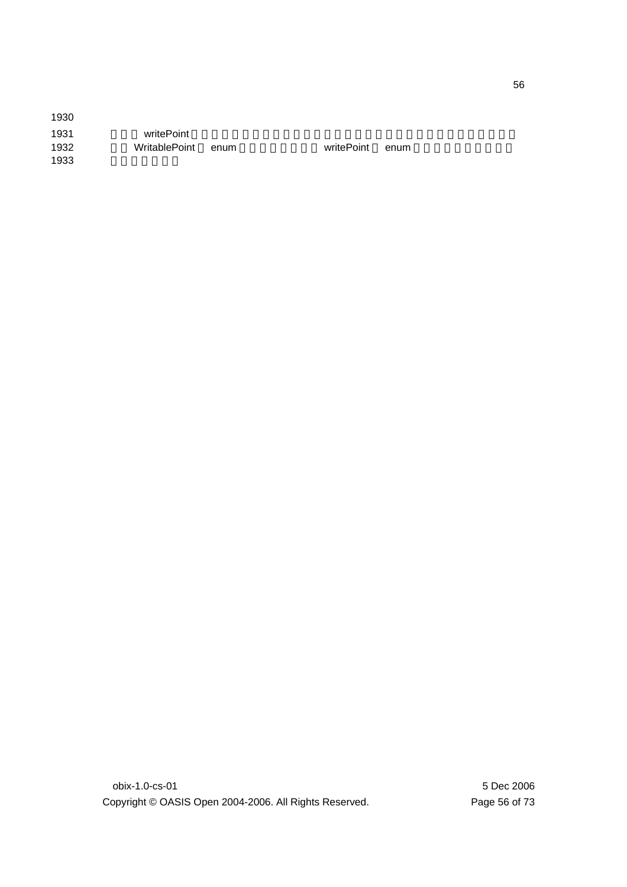| 1930 |               |      |            |      |
|------|---------------|------|------------|------|
| 1931 | writePoint    |      |            |      |
| 1932 | WritablePoint | enum | writePoint | enum |
| 1933 |               |      |            |      |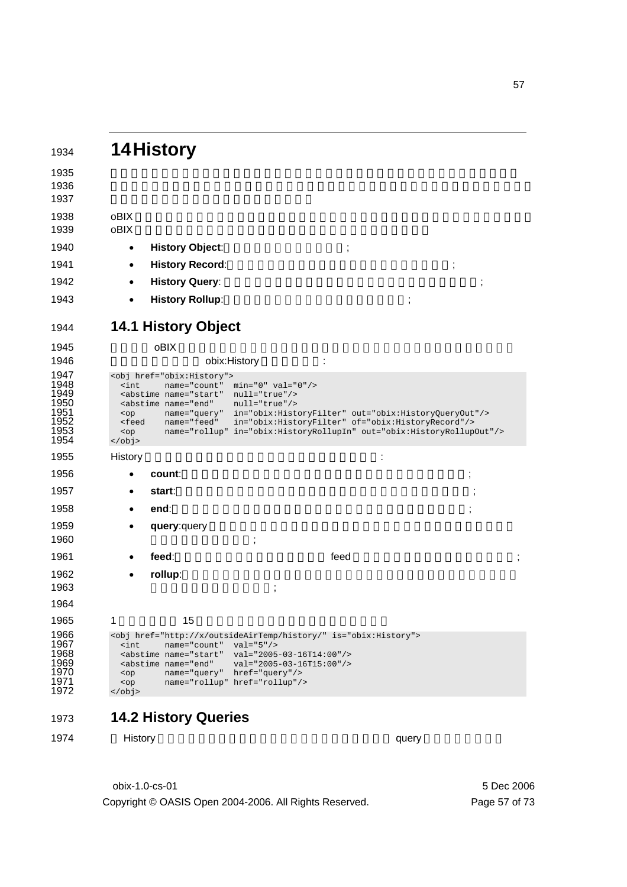|                                                                                  | <b>14History</b>                                                                                                                                                                                                                                                                                                           |                                                                                                                                                                                                       |      |  |
|----------------------------------------------------------------------------------|----------------------------------------------------------------------------------------------------------------------------------------------------------------------------------------------------------------------------------------------------------------------------------------------------------------------------|-------------------------------------------------------------------------------------------------------------------------------------------------------------------------------------------------------|------|--|
|                                                                                  |                                                                                                                                                                                                                                                                                                                            |                                                                                                                                                                                                       |      |  |
|                                                                                  |                                                                                                                                                                                                                                                                                                                            |                                                                                                                                                                                                       |      |  |
| oBIX                                                                             |                                                                                                                                                                                                                                                                                                                            |                                                                                                                                                                                                       |      |  |
| oBIX                                                                             |                                                                                                                                                                                                                                                                                                                            |                                                                                                                                                                                                       |      |  |
| $\bullet$                                                                        | <b>History Object:</b>                                                                                                                                                                                                                                                                                                     |                                                                                                                                                                                                       |      |  |
| $\bullet$                                                                        | <b>History Record:</b>                                                                                                                                                                                                                                                                                                     |                                                                                                                                                                                                       |      |  |
| $\bullet$                                                                        | <b>History Query:</b>                                                                                                                                                                                                                                                                                                      |                                                                                                                                                                                                       |      |  |
| $\bullet$                                                                        | <b>History Rollup:</b>                                                                                                                                                                                                                                                                                                     |                                                                                                                                                                                                       | ;    |  |
|                                                                                  | <b>14.1 History Object</b>                                                                                                                                                                                                                                                                                                 |                                                                                                                                                                                                       |      |  |
|                                                                                  | oBIX                                                                                                                                                                                                                                                                                                                       |                                                                                                                                                                                                       |      |  |
|                                                                                  |                                                                                                                                                                                                                                                                                                                            | obix: History                                                                                                                                                                                         |      |  |
| $<$ op<br><feed<br><math>&lt;</math>op<br/><math>\langle</math>obj&gt;</feed<br> | <abstime <br="" name="end">name="query"<br/>name="feed"</abstime>                                                                                                                                                                                                                                                          | $null="true*/>$<br>in="obix:HistoryFilter" out="obix:HistoryQueryOut"/><br>in="obix:HistoryFilter" of="obix:HistoryRecord"/><br>name="rollup" in="obix:HistoryRollupIn" out="obix:HistoryRollupOut"/> |      |  |
| History                                                                          |                                                                                                                                                                                                                                                                                                                            |                                                                                                                                                                                                       |      |  |
|                                                                                  | count:                                                                                                                                                                                                                                                                                                                     |                                                                                                                                                                                                       |      |  |
|                                                                                  | start:                                                                                                                                                                                                                                                                                                                     |                                                                                                                                                                                                       |      |  |
|                                                                                  | end:                                                                                                                                                                                                                                                                                                                       |                                                                                                                                                                                                       |      |  |
|                                                                                  | query: query                                                                                                                                                                                                                                                                                                               |                                                                                                                                                                                                       |      |  |
|                                                                                  | feed:                                                                                                                                                                                                                                                                                                                      |                                                                                                                                                                                                       | feed |  |
| $\bullet$                                                                        | rollup:                                                                                                                                                                                                                                                                                                                    |                                                                                                                                                                                                       |      |  |
|                                                                                  |                                                                                                                                                                                                                                                                                                                            |                                                                                                                                                                                                       |      |  |
| 1                                                                                | 15                                                                                                                                                                                                                                                                                                                         |                                                                                                                                                                                                       |      |  |
| $\sin t$                                                                         | name="count"<br><abstime <br="" name="start"><abstime <="" name="end" td=""><td><obj href="http://x/outsideAirTemp/history/" is="obix:History"><br/><math>val = "5"</math>/&gt;<br/><math>val="2005-03-16T14:00*/&gt;</math><br/><math>val="2005-03-16T15:00*/&gt;</math></obj></td><td></td><td></td></abstime></abstime> | <obj href="http://x/outsideAirTemp/history/" is="obix:History"><br/><math>val = "5"</math>/&gt;<br/><math>val="2005-03-16T14:00*/&gt;</math><br/><math>val="2005-03-16T15:00*/&gt;</math></obj>       |      |  |

**14.2 History Queries** 

1974 History **History 7 History 7 History 7 History 7 History 7 History 7 History 7 History 7 History 7 History** 

obix-1.0-cs-01 5 Dec 2006 Copyright © OASIS Open 2004-2006. All Rights Reserved. Page 57 of 73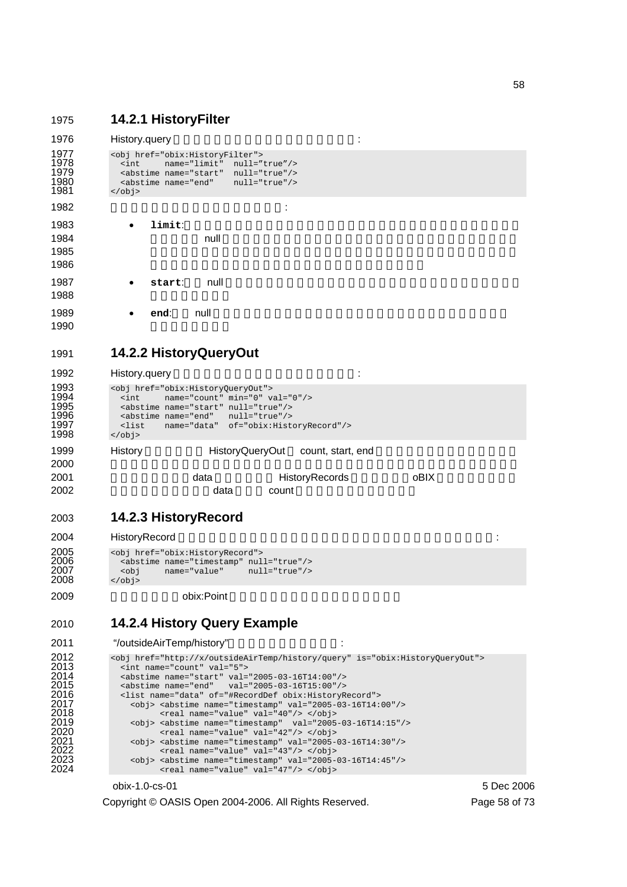## 1975 **14.2.1 HistoryFilter**

```
1976 History.query NACON TENDENTS:
1977 <obj href="obix:HistoryFilter"><br>1978 <int name="limit" null="t
1978 <int name="limit" null="true"/><br>1979 <abstime name="start" null="true"/><br>1980 <abstime name="end" null="true"/>
               1979 <abstime name="start" null="true"/> 
1980 \leq \leq \leq \leq \leq \leq \leq \leq \leq \leq \leq \leq \leq \leq \leq \leq \leq \leq \leq \leq \leq \leq \leq \leq \leq \leq \leq \leq \leq \leq \leq \leq \leq \leq \leq \leq 
             \langleobj>
1982 is a set of 1982 is a set of 1982 is a set of 1982 is a set of 1982 is a set of 1982 is a set of 1982 is a set of 1982 is a set of 1982 is a set of 1982 is a set of 1982 is a set of 1982 is a 
1983 • limit:戻されるべきレコード数の最大値を示す整数です。クライアントはこのフ
1984 and 19841985 \blacksquare19861987 • start: null Execute Executes
1988
1989 • end: null でんこのコマントルドは、このコマントは、同じ合わせ時間ではなければなりません。
1990
1991 14.2.2 HistoryQueryOut 
1992 History.query 2002 History.com History.com 2008 History.com 2008 History.com 2008 History.com 2008 History
1993 <obj href="obix:HistoryQueryOut"><br>1994 <int name="count" min="0" va
1994 <int name="count" min="0" val="0"/> 
1995 <abstime name="start" null="true"/> 
1996 <abstime name="end" null="true"/> 
1997 <list name="data" of="obix:HistoryRecord"/> 
1998 \lt/\text{obj}1999 History History HistoryQueryOut count, start, end
2000 to the state \sim2001 2001 2001 2001 2001 2001 RistoryRecords CON
2002 the count of the data count in the count of the count in the set of the count of the set of the count of the set of the set of the set of the set of the set of the set of the set of the set of the set of the set of th
2003 14.2.3 HistoryRecord 
2004 HistoryRecord Execute State Server Advanced Server Server Advanced Server Server Advanced Server Server Advanced Server Server Advanced Server Server Advanced Server Server Advanced Server Server Advanced Server Ser
```

```
2005 <obj href="obix:HistoryRecord"><br>2006 <abstime name="timestamp" nul
2006 <abstime name="timestamp" null="true"/> 
2007 \leftarrow \leftarrow \leftarrow \leftarrow \leftarrow \leftarrow \leftarrow \leftarrow \leftarrow \leftarrow \leftarrow \leftarrow \leftarrow \leftarrow \leftarrow \leftarrow \leftarrow \leftarrow \leftarrow \leftarrow \leftarrow \leftarrow \leftarrow \leftarrow \leftarrow \leftarrow \leftarrow \leftarrow \leftarrow \leftarrow \leftarrow \leftarrow \leftarrow \leftarrow \leftarrow \leftarrow\frac{1}{2}
```
2009 **bix:Point** obix:

## 2010 **14.2.4 History Query Example**

```
2011 "/outsideAirTemp/history"
```

```
2012 <obj href="http://x/outsideAirTemp/history/query" is="obix:HistoryQueryOut"> 
                      <int name="count" val="5">
2014 <abstime name="start" val="2005-03-16T14:00"/><br>2015 <abstime name="end" val="2005-03-16T15:00"/><br>2016 <list name="data" of="#RecordDef obix:HistoryR
                      2015 <abstime name="end" val="2005-03-16T15:00"/> 
2016 <list name="data" of="#RecordDef obix:HistoryRecord"><br>2017 <obj> <abstime name="timestamp" val="2005-03-16T14:<br>2018 <real name="value" val="40"/> </obi>
2017 <obj> <abstime name="timestamp" val="2005-03-16T14:00"/> 
2018 <real name="value" val="40"/> </obj> 
2019 \langleobj> <abstime name="timestamp" val="2005-03-16T14:15"/><br>2020 \langlereal name="value" val="42"/> \langle/obj>
2020 <real name="value" val="42"/> </obj><br>2021 <obj> <abstime name="timestamp" val="2005-<br>2022 <real name="value" val="43"/> </obj>
                         2021 <obj> <abstime name="timestamp" val="2005-03-16T14:30"/> 
2022 <real name="value" val="43"/> </obj><br>2023 <obj> <abstime name="timestamp" val="2005-
2023 \left\{\n \begin{array}{l}\n \text{cobj} < \text{abstime name} = \text{timestamp} \text{mm} \\
 \text{vali} = \text{2005-03-16T14:45} \text{''}\n \end{array}\n \right.\n \times \text{cobj}2024 <real name="value" val="47"/> </obj>
```

```
obix-1.0-cs-01 5 Dec 2006
```
Copyright © OASIS Open 2004-2006. All Rights Reserved. Page 58 of 73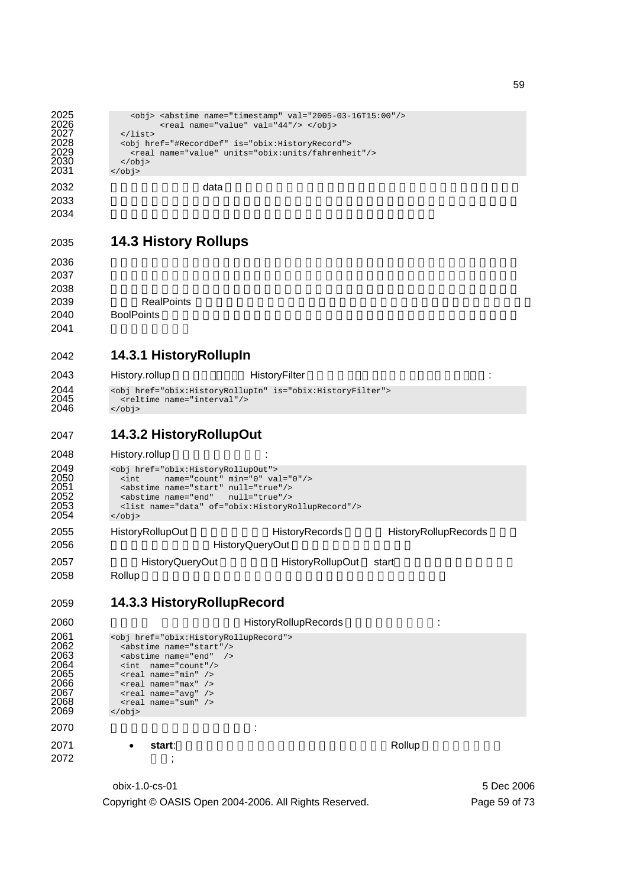```
2025 <br />
<br />
<br />
<br />
<br />
<br />
<<br />
<<br />
<<br />
<<br />
<<br />
<<br />
<<br />
<<br />
<<br />
<<br />
<<br />
<<br />
<<br />
<<br />
<<br />
<<br />
<<br />
<<br />
<<br />
<<br />
<<br />
<<br /
2026 \langle real name="value" val=44"/> \langle/obj>2027 \langle/ist>
2027 </list><br>2028 </list>
2028 <obj href="#RecordDef" is="obix:HistoryRecord"><br>2029 <real name="value" units="obix:units/fahrenhe
2029 <real name="value" units="obix:units/fahrenheit"/> 
2030 </obj><br>2031 </obj>
            \langleobj>
2032 head at a later was detailed at a later than the contract of the contract of the contract of the contract of the contract of the contract of the contract of the contract of the contract of the contract of the contrac
203320342035 14.3 History Rollups 
2036 \blacksquare20372038 しょうしょう しょうしゅうしょく しゅうしゅうしゅう しゅうしゅうしゅうしゅうしゅうしゅうしゅうしゅうしゅうしゅうしょく
2039 プは、RealPoints のリストとして数値情報を持つようなヒストリに対してのみ適用します。
2040 BoolPoints BoolPoints
2041
2042 14.3.1 HistoryRollupIn 
2043 History.rollup HistoryFilter に関することによります。
2044 <obj href="obix:HistoryRollupIn" is="obix:HistoryFilter"><br>2045 <reltime name="interval"/><br>2046 </obj>
              <reltime name="interval"/>
             \langleobj>
2047 14.3.2 HistoryRollupOut 
2048 History.rollup
2049 <obj href="obix:HistoryRollupOut"><br>2050 <int name="count" min="0" va<br>2051 <abstime name="start" null="true
2050 <int name="count" min="0" val="0"/> 
2051 <abstime name="start" null="true"/> 
2052 <abstime name="end" null="true"/><br>2053 <list name="data" of="obix:HistoryR
2053 <list name="data" of="obix:HistoryRollupRecord"/><br>2054 </obi>
            2054 </obj> 
2055 HistoryRollupOut HistoryRecords HistoryRollupRecords HistoryRollupRecords
2056 https://www.francheeduarter.com<br>
HistoryQueryOut
2057 HistoryQueryOut HistoryRollupOut start
2058 Rollup れます。この話題は、次の詞には、次の項目では、次の項目ではないます。この話題は、次の項目では、次の項目では、次の項目ではないます。この話題は、次の項目では、次の項目ではないます。
2059 14.3.3 HistoryRollupRecord 
2060 Example 2060 HistoryRollupRecords COVID-100
2061 <obj href="obix:HistoryRollupRecord"><br>2062 <abstime name="start"/><br>2063 <abstime name="end" />
              <abstime name="start"/>
2063 <abstime name="end" /><br>2064 <int name="count"/><br>2065 <real name="min" />
              2064 <int name="count"/> 
2065 <real name="min" /> 
2066 \leq real name="max" />
2006 <br>
2066 <br>
2067 <br>
2067 <br>
2068 <br>
2068 <br>
2068 <br>
2068 <br>
2068 <br>
2068 <br>
2068 <br>
2068 <br>
2068 <br>
2068 <br>
2068 <br>
2068 <br>
2068 <br>
2068 <br>
2068 <br>
2068 <br>
2068 <br>
2068 <br>
2068 <br>
2068 <br>
2068 <br>
2068 <br>
2068 <br>
2068 <br>
2068 <br>
2068 <br>
2068 <br>
2068 
2068 <real name="sum" /> 
            \langleobj>
2070 \vdots2071 • start:レコードロールアップ期間の排他的開始時刻(Rollup 処理に使われませ
2072 :
```
obix-1.0-cs-01 5 Dec 2006 Copyright © OASIS Open 2004-2006. All Rights Reserved. Page 59 of 73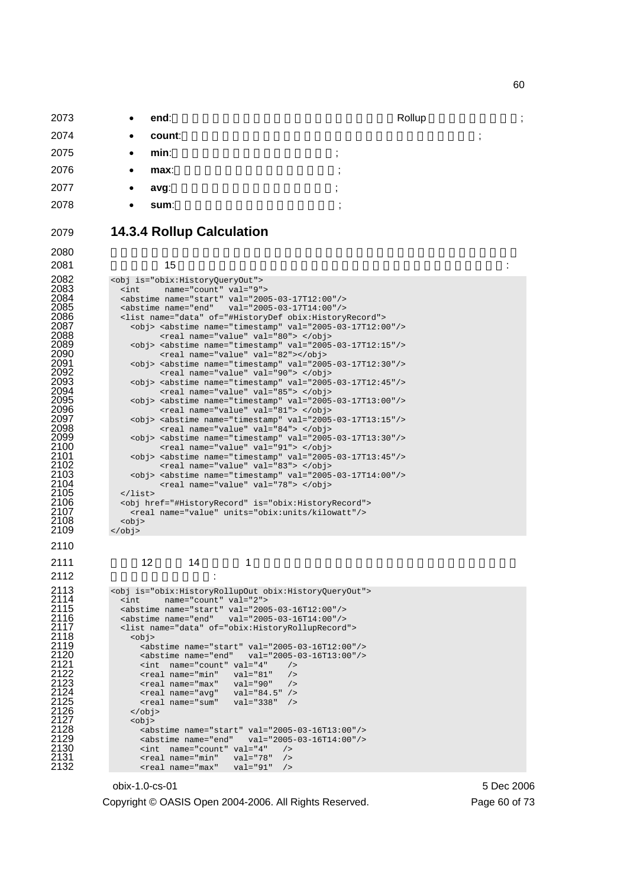| 2073 | $\bullet$ | end:   | Rollup |                                       |   |  |
|------|-----------|--------|--------|---------------------------------------|---|--|
| 2074 | $\bullet$ | count: |        |                                       | ٠ |  |
| 2075 | $\bullet$ | min:   |        | ٠<br>л.                               |   |  |
| 2076 | $\bullet$ | max:   |        | $\bullet$<br>$\overline{\phantom{a}}$ |   |  |
| 2077 | $\bullet$ | avg:   |        | $\bullet$<br>л.                       |   |  |
| 2078 | $\bullet$ | sum:   |        | $\cdot$                               |   |  |
|      |           |        |        |                                       |   |  |

**ロールアップ** 

2082<br>2083<br>2084<br>2085<br>2086

2101<br>2102<br>2102<br>2103<br>2104<br>2105<br>2106<br>2107

<obj>

## **14.3.4 Rollup Calculation**

### ワット値を 15 分ごとに読んで2時間取得した計量データのヒストリについて考えます:

| <obj is="obix:HistoryQueryOut"></obj>                                   |
|-------------------------------------------------------------------------|
| name="count" val="9"><br>$\sin t$                                       |
| <abstime name="start" val="2005-03-17T12:00"></abstime>                 |
| <abstime name="end" val="2005-03-17T14:00"></abstime>                   |
| <list name="data" of="#HistoryDef obix:HistoryRecord"></list>           |
| <obj> <abstime name="timestamp" val="2005-03-17T12:00"></abstime></obj> |
| <real name="value" val="80"> </real>                                    |
| <obj> <abstime name="timestamp" val="2005-03-17T12:15"></abstime></obj> |
| <real name="value" val="82"></real>                                     |
| <obj> <abstime name="timestamp" val="2005-03-17T12:30"></abstime></obj> |
| <real name="value" val="90"> </real>                                    |
| <obj> <abstime name="timestamp" val="2005-03-17T12:45"></abstime></obj> |
| <real name="value" val="85"> </real>                                    |
| <obj> <abstime name="timestamp" val="2005-03-17T13:00"></abstime></obj> |
| <real name="value" val="81"> </real>                                    |
| <obj> <abstime name="timestamp" val="2005-03-17T13:15"></abstime></obj> |
| <real name="value" val="84"> </real>                                    |
| <obj> <abstime name="timestamp" val="2005-03-17T13:30"></abstime></obj> |
| <real name="value" val="91"> </real>                                    |
| <obj> <abstime name="timestamp" val="2005-03-17T13:45"></abstime></obj> |
| <real name="value" val="83"> </real>                                    |
| $obj > subtime name="timestamp" val="2005-03-17T14:00$                  |
| <real name="value" val="78"> </real>                                    |
| $\langle$ list>                                                         |
| <obj href="#HistoryRecord" is="obix:HistoryRecord"></obj>               |
| <real name="value" units="obix:units/kilowatt"></real>                  |
| $<$ obj>                                                                |
| $<$ /obj>                                                               |
|                                                                         |

 $12$   $14$   $1$ 

2113 <br>
2114 cint name="count" val="2"><br>
2115 cabstime name="start" val="2005-03-16T12:00"/><br>
2116 cabstime name="end" val="2005-03-16T14:00"/> zint name="count" val="2"> <abstime name="start" val="2005-03-16T12:00"/> <abstime name="end" val="2005-03-16T14:00"/> <list name="data" of="obix:HistoryRollupRecord"> <abstime name="start" val="2005-03-16T12:00"/> <abstime name="end" val="2005-03-16T13:00"/>  $\frac{2}{12}$  <int name="count" val="4" /><br> $\frac{2}{12}$  <real name="min" val="81" /> <real name="min" val="81" /> <real name="max" val="90" /> <real name="avg" val="84.5" /> <real name="sum" val="338" /> </obj>  $\text{cobj}$ <abstime name="start" val="2005-03-16T13:00"/> <abstime name="end" val="2005-03-16T14:00"/>  $\frac{21326 \text{ m}}{\text{m}} \cdot \frac{21116 \text{ m}}{\text{m}} \cdot \frac{21116 \text{ m}}{\text{m}} \cdot \frac{21116 \text{ m}}{\text{m}} \cdot \frac{21116 \text{ m}}{\text{m}} \cdot \frac{21116 \text{ m}}{\text{m}} \cdot \frac{21116 \text{ m}}{\text{m}} \cdot \frac{21116 \text{ m}}{\text{m}} \cdot \frac{21116 \text{ m}}{\text{m}} \cdot \frac{21116 \text{ m}}{\text{m}} \cdot \frac{21116 \text{ m}}{\text{m}} \cdot$ <real name="min" val="78" /> <real name="max" val="91" />

#### obix-1.0-cs-01 5 Dec 2006

:

Copyright © OASIS Open 2004-2006. All Rights Reserved. Page 60 of 73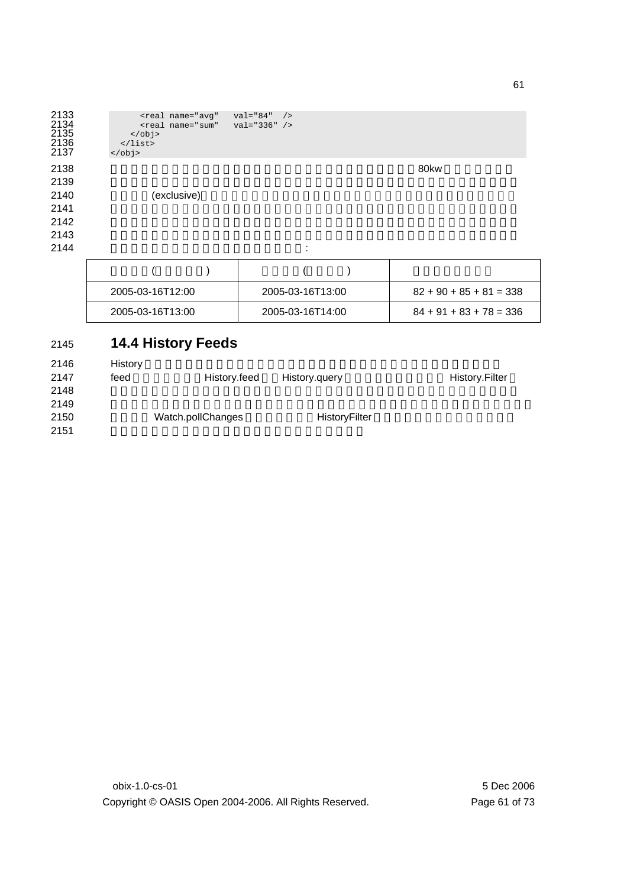```
2133 <real name="avg" val="84" /> 
2134 <real name="sum" val="336" /> 
2135 \leq /obj>
2136 </list> 
2133<br>
2134<br>
2135<br>
2135<br>
2136<br>
2137<br>
2137<br>
2137
2138 80 \text{kw}2139 \blacksquare2140 (exclusive)
2141 <u>2008 \frac{1}{2} 140 \frac{1}{2} 140 \frac{1}{2} 140 \frac{1}{2} 140 \frac{1}{2} 140 \frac{1}{2} 140 \frac{1}{2} 140 \frac{1}{2} 140 \frac{1}{2} 140 \frac{1}{2} 140 \frac{1}{2} 140 \frac{1}{2} 140 \frac{1}{2} 140 \frac{1}{2} 140 \frac{1}{2} 140</u>
2142 \blacksquare2143 \sim
```
 $2144$ 

| 2005-03-16T12:00 | 2005-03-16T13:00 | $82 + 90 + 85 + 81 = 338$ |
|------------------|------------------|---------------------------|
| 2005-03-16T13:00 | 2005-03-16T14:00 | $84 + 91 + 83 + 78 = 336$ |

# 2145 **14.4 History Feeds**

| 2146 | History |                   |               |                       |
|------|---------|-------------------|---------------|-----------------------|
| 2147 | feed    | History.feed      | History.query | <b>History.Filter</b> |
| 2148 |         |                   |               |                       |
| 2149 |         |                   |               |                       |
| 2150 |         | Watch.pollChanges | HistoryFilter |                       |
| 2151 |         |                   |               |                       |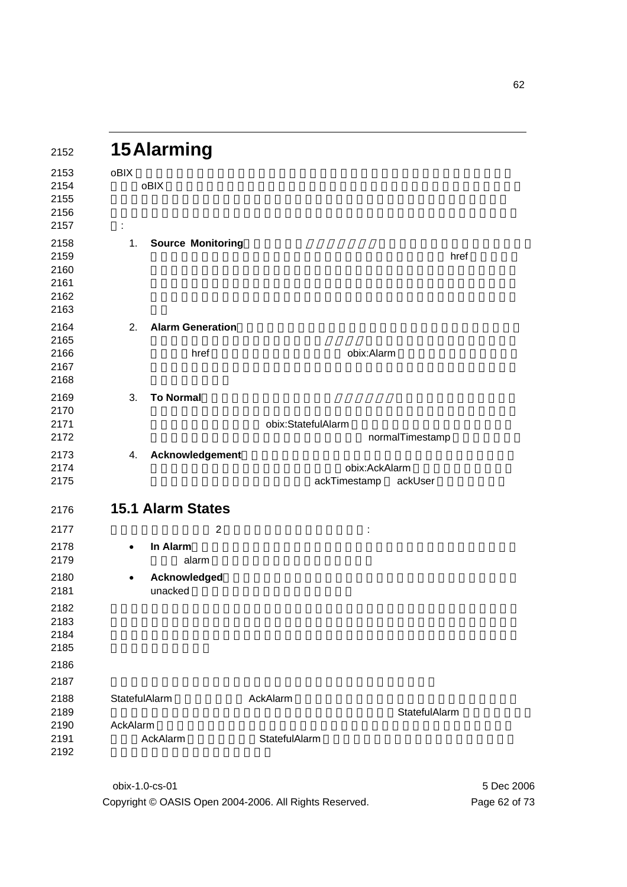| 2152                                         | <b>15 Alarming</b>                    |                               |                 |
|----------------------------------------------|---------------------------------------|-------------------------------|-----------------|
| 2153<br>2154<br>2155<br>2156<br>2157         | oBIX<br>oBIX<br>÷                     |                               |                 |
| 2158<br>2159<br>2160<br>2161<br>2162<br>2163 | <b>Source Monitoring</b><br>1.        |                               | href            |
| 2164<br>2165<br>2166<br>2167<br>2168         | <b>Alarm Generation</b><br>2.<br>href | obix:Alarm                    |                 |
| 2169<br>2170<br>2171<br>2172                 | <b>To Normal</b><br>3.                | obix:StatefulAlarm            | normalTimestamp |
| 2173<br>2174<br>2175                         | Acknowledgement<br>4.                 | obix:AckAlarm<br>ackTimestamp | ackUser         |
| 2176                                         | <b>15.1 Alarm States</b>              |                               |                 |
| 2177                                         | $\overline{2}$                        | ÷                             |                 |
| 2178<br>2179                                 | In Alarm<br>$\bullet$<br>alarm        |                               |                 |
| 2180<br>2181                                 | Acknowledged<br>$\bullet$<br>unacked  |                               |                 |
| 2182<br>2183<br>2184<br>2185                 |                                       |                               |                 |
| 2186                                         |                                       |                               |                 |
| 2187                                         |                                       |                               |                 |
| 2188<br>2189<br>2190<br>2191<br>2192         | StatefulAlarm<br>AckAlarm<br>AckAlarm | AckAlarm<br>StatefulAlarm     | StatefulAlarm   |

obix-1.0-cs-01 5 Dec 2006 Copyright © OASIS Open 2004-2006. All Rights Reserved. Page 62 of 73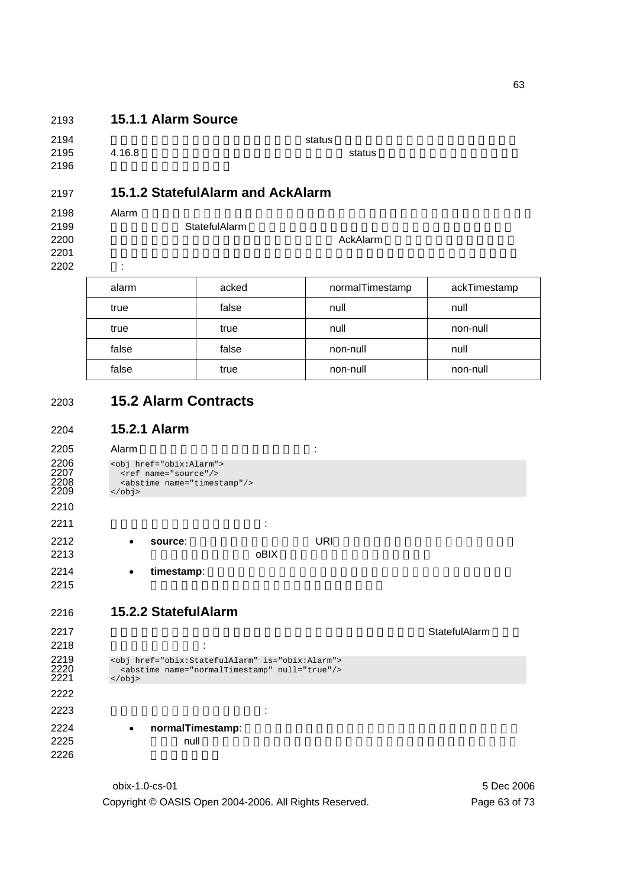## **15.1.1 Alarm Source**

| 2194 |        | status |        |
|------|--------|--------|--------|
| 2195 | 4.16.8 |        | status |
| 2196 |        |        |        |

## **15.1.2 StatefulAlarm and AckAlarm**

### 2198 Alarm レコード ようしょく みんしゃ みんしゃ みんしゅう しんしゅう しんしゅう しんしゅう しんしゅう しんしゅう しんしゅう しんしゅう しんしゅう しんしゅう しんしゅう しんしゅう しんしゅう **StatefulAlarm StatefulAlarm**

2200 External State State State State State State AckAlarm との姿態を発見する。また、アラームは、アラームは、アラームは、アラームは、アラームは、アラームは、アラームは、アラームは、アラームは、アラームは、アラームは、アラームは、アラームは、アラームは、アラームは、アラームは、アラームは、アラームは、アラームは、アラームは、アラームは、アラームは、アラームは、アラームは、アラームは、

2201 **1 よんな**<br>2201 <del>1</del> 2202 :

| alarm | acked | normalTimestamp | ackTimestamp |
|-------|-------|-----------------|--------------|
| true  | false | null            | null         |
| true  | true  | null            | non-null     |
| false | false | non-null        | null         |
| false | true  | non-null        | non-null     |

# **15.2 Alarm Contracts**

## **15.2.1 Alarm**

2205 Alarm 1 2206 <obj href="obix:Alarm"><br>2207 <ref name="source"/><br>2208 <abstime name="timest <ref name="source"/> 2208 <abstime name="timestamp"/> </br/>/obj> </obj>  $\vdots$ • **source**: アラームソースを特定する URI。ソースは、アラームを生成したエンテ  $0BIX$ **• timestamp**: **15.2.2 StatefulAlarm**  2217 7 Particularly 2217 Particularly 2217 Particularly 2217 Particularly 2217 Particularly 2317 : 2219 <obj href="obix:StatefulAlarm" is="obix:Alarm"><br>2220 <abstime name="normalTimestamp" null="true"/><br>2221 </obj> <abstime name="normalTimestamp" null="true"/> </obj>  $\qquad \qquad \qquad$ : **• normalTimestamp**:  $null$ 

> obix-1.0-cs-01 5 Dec 2006 Copyright © OASIS Open 2004-2006. All Rights Reserved. Page 63 of 73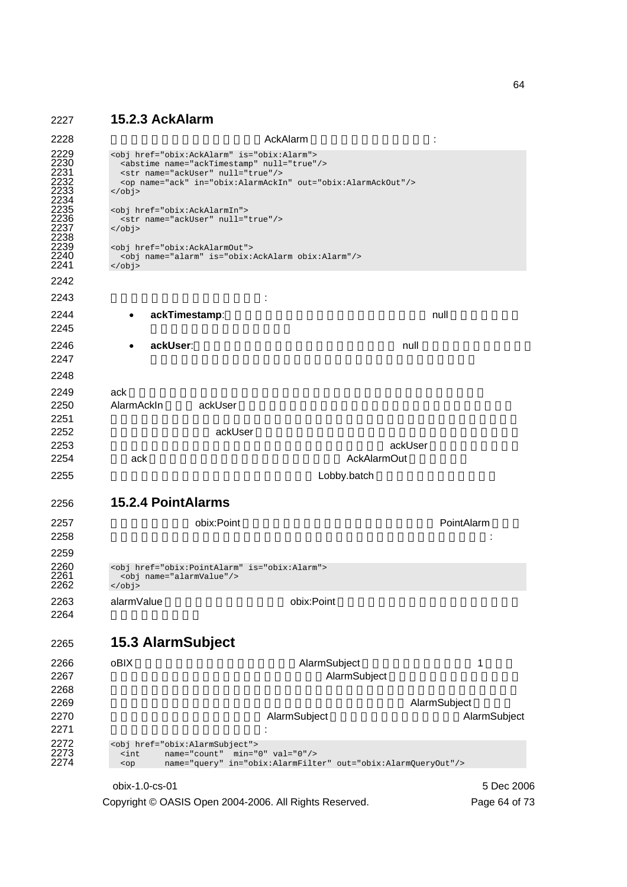### 2227 **15.2.3 AckAlarm**

2228 at the state of the state of the AckAlarm and Table 2228 at the state of the state of the state of the state of the state of the state of the state of the state of the state of the state of the state of the state of t 2229 <obj href="obix:AckAlarm" is="obix:Alarm"><br>2230 <abstime name="ackTimestamp" null="true"<br>2231 <str name="ackUser" null="true"/><br>2232 <op name="ack" in="obix:AlarmAckIn" out= 2230 <abstime name="ackTimestamp" null="true"/> 2231 <str name="ackUser" null="true"/> 2232 <op name="ack" in="obix:AlarmAckIn" out="obix:AlarmAckOut"/>  $\langle$ obj> 2232<br>2233<br>2234<br>2235<br>2236<br>2237 2235 <obj href="obix:AckAlarmIn"> 2236 <str name="ackUser" null="true"/>  $z/obj$ 2238<br>2238<br>2239<br>2240<br>2241 2239 <obj href="obix:AckAlarmOut"> 2240 <obj name="alarm" is="obix:AckAlarm obix:Alarm"/>  $\langle$ obj> 2242  $2243$   $\vdots$ **2244 • ackTimestamp:** The manual of the state of the state of the state of the state of the state of the state of the state of the state of the state of the state of the state of the state of the state of the state of the  $2245$ 2246 • **ackUser**:アラームが未確認の場合、このフィールドは null です。そうでない場合、  $2247$ 2248 2249 ack  $\sim$ 2250 AlarmAckIn ackUser  $2251$ 2252 **Server ackUser ackUser でき**ますが、信頼性の低いクライアントなどが許されます。 <mark>2253 トはプロトコルバインドの認証証</mark>書を行うことに定義された ackUser ところに定義された ackUser ところに定義された ackUser ところに定義された ackUser ところに定義された ackUser 2254 ack ack example ack the ack that ack the example ack AckAlarmOut example ack AckAlarmOut example ack AckAlarmOut example ack AckAlarmOut example ack AckAlarmOut example ack AckAlarmOut example ack AckAlarmOut example 2255 Research Expediance Communications and Lobby.batch Lobby.batch Music Section 2015 2256 **15.2.4 PointAlarms**  2257 **Community obix:Point Community object** to the extension of the PointAlarm PointAlarm  $2258$   $\hspace{1.5cm}$   $\hspace{1.5cm}$   $\hspace{1.5cm}$   $\hspace{1.5cm}$   $\hspace{1.5cm}$   $\hspace{1.5cm}$   $\hspace{1.5cm}$   $\hspace{1.5cm}$   $\hspace{1.5cm}$   $\hspace{1.5cm}$   $\hspace{1.5cm}$   $\hspace{1.5cm}$   $\hspace{1.5cm}$   $\hspace{1.5cm}$   $\hspace{1.5cm}$   $\hspace{1.5cm}$   $\hspace{1.5cm}$   $\hspace{1.5cm}$ 2259 2260 <obj href="obix:PointAlarm" is="obix:Alarm"><br>2261 <obj name="alarmValue"/>  $2261$  <  $\overline{3}$  cobj name="alarmValue"/><br>2262 </  $\overline{3}$  </ obj>  $z$ / $\phi$ 2263 alarmValue bix:Point 2264 2265 **15.3 AlarmSubject**  2266 oBIX 7 2267 **CONTROLLATE ALARMSUBJECT ALARMSUBJECT** AlarmSubject 2267  $2268$ 2269 **Law Subject 、そのアラームに対することに対する**と、プラームに対する人はAlarmSubject と、 2270 **The AlarmSubject State AlarmSubject** AlarmSubject AlarmSubject AlarmSubject AlarmSubject AlarmSubject AlarmSubject AlarmSubject AlarmSubject AlarmSubject AlarmSubject AlarmSubject AlarmSubject AlarmSubject AlarmSubje  $2271$  : 2272 <obj href="obix:AlarmSubject"><br>2273 <int name="count" min="<br>2274 <op name="query" in="ob  $\frac{2}{\pi}$  and  $\frac{2}{\pi}$  name="count" min="0" val="0"/> 2274 <op name="query" in="obix:AlarmFilter" out="obix:AlarmQueryOut"/>

Copyright © OASIS Open 2004-2006. All Rights Reserved. Page 64 of 73

obix-1.0-cs-01 5 Dec 2006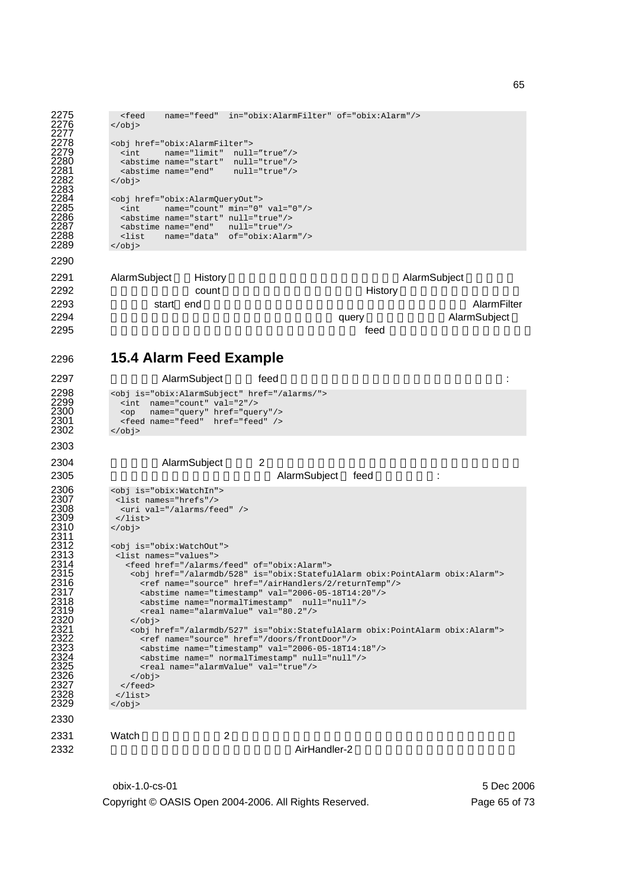```
2275 <feed name="feed" in="obix:AlarmFilter" of="obix:Alarm"/><br>2276 </obi>
             z/obj2277<br>2278<br>2279<br>2281<br>2282<br>2282
             2278 <obj href="obix:AlarmFilter"> 
2279 <int name="limit" null="true"/> 
2280 <abstime name="start" null="true"/> 
              2281 <abstime name="end" null="true"/> 
             \langleobj>
2283<br>2284
2284 <obj href="obix:AlarmQueryOut"><br>2285 <int name="count" min="0"<br>2286 <abstime name="start" null="t
2285 <int name="count" min="0" val="0"/> 
2286 <abstime name="start" null="true"/> 
2287 <abstime name="end" null="true"/><br>2288 <abstime name="end" null="true"/>
2288 <list name="data" of="obix:Alarm"/><br>2289 </obj>
            2289 </obj> 
2290 
2291 AlarmSubject History Contract the AlarmSubject of History AlarmSubject the AlarmSubject that the AlarmSubject
2292 Count count example in the History History 2292
2293 が付いた start end を用意していません。それは、時刻の境界でフィルタする AlarmFilter
2294 Example 2294 CONSULTER ALARMSUDE CONSULTER ALARMSUDE CONSULTER ALARMSUDE CONSULTER ALARMSUDE CONSULTER A
2295 feed \overline{z}2296 15.4 Alarm Feed Example 
2297 AlarmSubject feed the technical state of the technical state of the technical state of technical state of technical state of technical state of technical state of technical state of technical state of technical state 
2298 \leq \frac{1}{2299} \leq \frac{1}{2299} \leq \frac{1}{211} name="count" val="2"/>
2299 <int name="count" val="2"/> 
2300 <op name="query" href="query"/> 
2301 <feed name="feed" href="feed" /> 
2302 </obj>
2303 
2304 AlarmSubject 2
2305 and AlarmSubject feed and the AlarmSubject feed and the state of the state of the state \sim2306 <obj is="obix:WatchIn"> 
             2307 <list names="hrefs"/> 
              2308 <uri val="/alarms/feed" /> 
             \epsilon/list>
            2310 </obj> 
2311 
             2312 <obj is="obix:WatchOut"> 
             2313 <list names="values"> 
               2314 <feed href="/alarms/feed" of="obix:Alarm"> 
                 2315 <obj href="/alarmdb/528" is="obix:StatefulAlarm obix:PointAlarm obix:Alarm"> 
                  2316 <ref name="source" href="/airHandlers/2/returnTemp"/> 
                   <abstime name="timestamp" val="2006-05-18T14:20"/>
                   2318 <abstime name="normalTimestamp" null="null"/> 
                 \epsilon <real name="alarmValue" val="80.2"/>\epsilon/obi>
2320 </obj> 
                2321 <obj href="/alarmdb/527" is="obix:StatefulAlarm obix:PointAlarm obix:Alarm"> 
                  2322 <ref name="source" href="/doors/frontDoor"/> 
                   2323 <abstime name="timestamp" val="2006-05-18T14:18"/> 
                   2324 <abstime name=" normalTimestamp" null="null"/> 
2325 <real name="alarmValue" val="true"/><br>2326 </b>>>
                 \langleobj>
              \langle / feed>
            \langlelist><br>\langleobi>
2327<br>2328<br>2329
2330 
2331 Watch 2 and \alpha2332 AirHandler-2
```
obix-1.0-cs-01 5 Dec 2006 Copyright © OASIS Open 2004-2006. All Rights Reserved. Page 65 of 73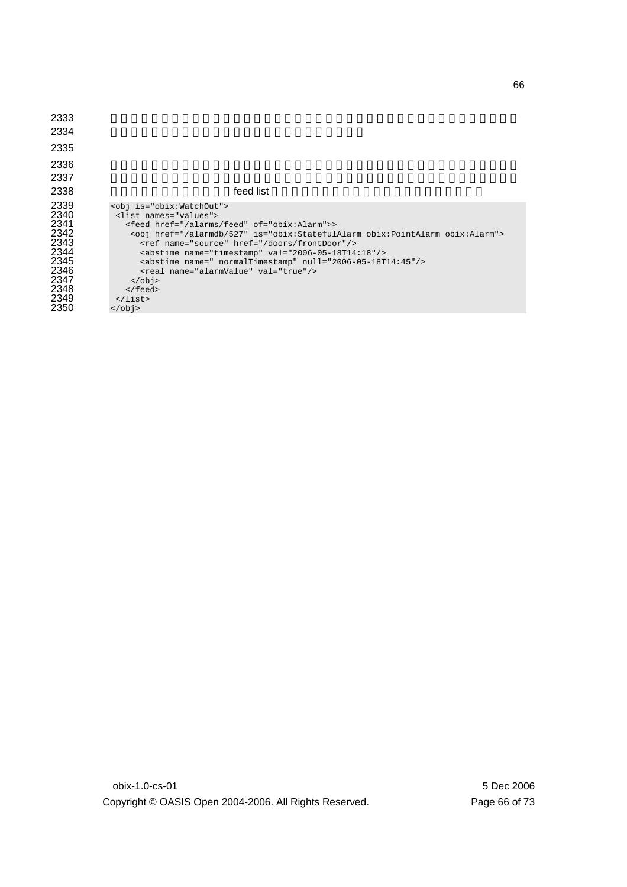| 2333         |                                                                                    |
|--------------|------------------------------------------------------------------------------------|
| 2334         |                                                                                    |
| 2335         |                                                                                    |
| 2336         |                                                                                    |
| 2337         |                                                                                    |
| 2338         | feed list                                                                          |
| 2339<br>2340 | <obj is="obix:WatchOut"><br/><list names="values"></list></obj>                    |
| 2341         | <feed href="/alarms/feed" of="obix:Alarm">&gt;</feed>                              |
| 2342         | <obj href="/alarmdb/527" is="obix:StatefulAlarm obix:PointAlarm obix:Alarm"></obj> |
| 2343         | <ref href="/doors/frontDoor" name="source"></ref>                                  |
| 2344         | <abstime name="timestamp" val="2006-05-18T14:18"></abstime>                        |
| 2345         | <abstime name=" normalTimestamp" null="2006-05-18T14:45"></abstime>                |
| 2346         | <real name="alarmValue" val="true"></real>                                         |
| 2347         | $\langle$ obj>                                                                     |
| 2348         | $\langle$ feed>                                                                    |
| 2349         | $\langle$ /list>                                                                   |
| 2350         | $\langle$ obj>                                                                     |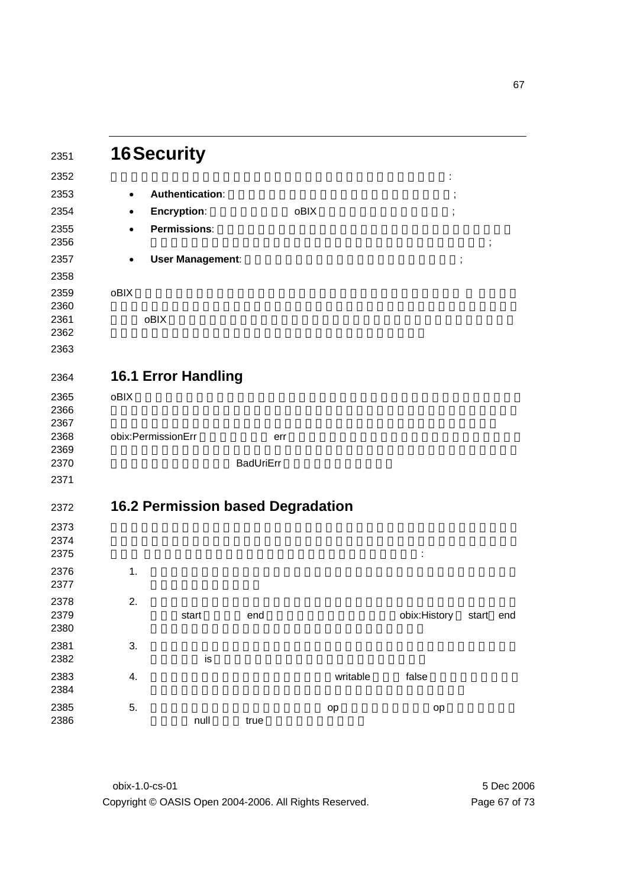|              | <b>16 Security</b> |                            |                                          |          |              |                      |  |
|--------------|--------------------|----------------------------|------------------------------------------|----------|--------------|----------------------|--|
|              |                    |                            |                                          |          | İ            |                      |  |
|              | $\bullet$          | <b>Authentication:</b>     |                                          |          | $\, ,$       |                      |  |
|              | $\bullet$          | <b>Encryption:</b>         |                                          | oBIX     | ,            |                      |  |
|              | $\bullet$          | Permissions:               |                                          |          |              | $\ddot{\phantom{0}}$ |  |
|              | $\bullet$          | <b>User Management:</b>    |                                          |          |              | ;                    |  |
|              |                    |                            |                                          |          |              |                      |  |
|              | oBIX<br>oBIX       |                            |                                          |          |              |                      |  |
|              |                    |                            |                                          |          |              |                      |  |
|              |                    | <b>16.1 Error Handling</b> |                                          |          |              |                      |  |
|              | oBIX               |                            |                                          |          |              |                      |  |
|              |                    |                            |                                          |          |              |                      |  |
| 2366<br>2367 |                    |                            |                                          |          |              |                      |  |
| 2368         | obix:PermissionErr |                            | err                                      |          |              |                      |  |
| 2369<br>2370 |                    |                            |                                          |          |              |                      |  |
|              |                    |                            | <b>BadUriErr</b>                         |          |              |                      |  |
|              |                    |                            |                                          |          |              |                      |  |
|              |                    |                            | <b>16.2 Permission based Degradation</b> |          |              |                      |  |
|              |                    |                            |                                          |          |              |                      |  |
|              |                    |                            |                                          |          |              |                      |  |
|              |                    |                            |                                          |          |              |                      |  |
|              | 1.                 |                            |                                          |          |              |                      |  |
|              | 2.                 |                            |                                          |          |              |                      |  |
| 2378<br>2379 |                    | start                      | end                                      |          | obix:History | start end            |  |
| 2380         |                    |                            |                                          |          |              |                      |  |
|              | 3.                 |                            |                                          |          |              |                      |  |
|              |                    | is                         |                                          |          |              |                      |  |
|              | 4.                 |                            |                                          | writable | false        |                      |  |
|              |                    |                            |                                          |          |              |                      |  |
|              | 5.                 |                            |                                          | op       | op           |                      |  |
|              |                    | null                       | true                                     |          |              |                      |  |
|              |                    |                            |                                          |          |              |                      |  |

obix-1.0-cs-01 5 Dec 2006 Copyright © OASIS Open 2004-2006. All Rights Reserved. Page 67 of 73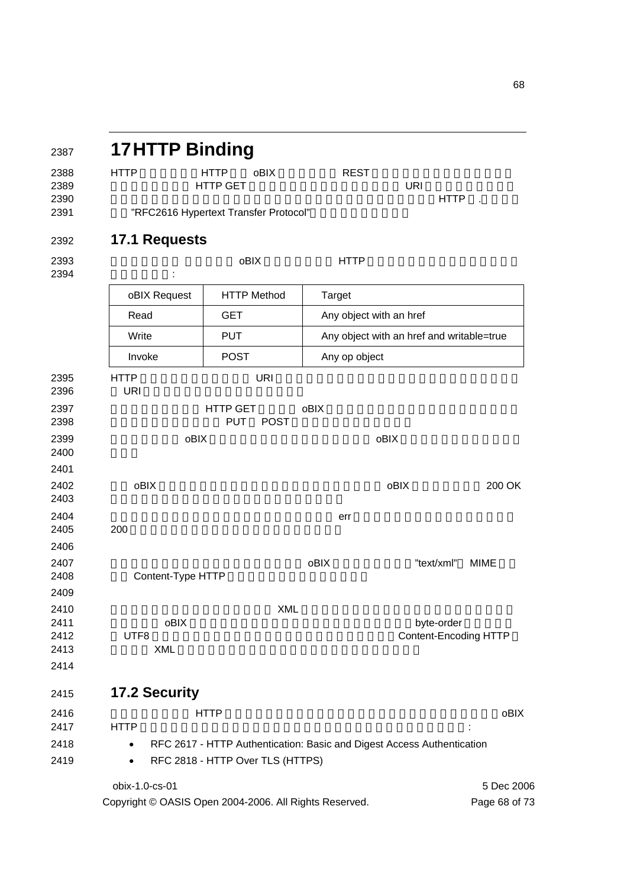|                           | <b>17HTTP Binding</b>          |                                              |                                                        |                                                                        |                             |
|---------------------------|--------------------------------|----------------------------------------------|--------------------------------------------------------|------------------------------------------------------------------------|-----------------------------|
| <b>HTTP</b>               | <b>HTTP</b><br><b>HTTP GET</b> | oBIX                                         | <b>REST</b>                                            | <b>URI</b><br><b>HTTP</b>                                              |                             |
|                           |                                | "RFC2616 Hypertext Transfer Protocol"        |                                                        |                                                                        |                             |
| <b>17.1 Requests</b>      |                                |                                              |                                                        |                                                                        |                             |
|                           |                                | oBIX                                         | <b>HTTP</b>                                            |                                                                        |                             |
| oBIX Request              |                                | <b>HTTP Method</b>                           | Target                                                 |                                                                        |                             |
| Read                      |                                | <b>GET</b>                                   | Any object with an href                                |                                                                        |                             |
| Write                     |                                | <b>PUT</b>                                   |                                                        | Any object with an href and writable=true                              |                             |
| Invoke                    |                                | <b>POST</b>                                  | Any op object                                          |                                                                        |                             |
| <b>HTTP</b><br><b>URI</b> |                                | <b>URI</b>                                   |                                                        |                                                                        |                             |
|                           |                                | <b>HTTP GET</b><br><b>PUT</b><br><b>POST</b> | oBIX                                                   |                                                                        |                             |
|                           | oBIX                           |                                              |                                                        | oBIX                                                                   |                             |
| oBIX                      |                                |                                              |                                                        | oBIX                                                                   | 200 OK                      |
| 200                       |                                |                                              | err                                                    |                                                                        |                             |
|                           | Content-Type HTTP              |                                              | oBIX                                                   | "text/xml"                                                             | <b>MIME</b>                 |
|                           |                                | XML                                          |                                                        |                                                                        |                             |
| UTF8                      | oBIX<br><b>XML</b>             |                                              |                                                        | byte-order<br>Content-Encoding HTTP                                    |                             |
| <b>17.2 Security</b>      |                                |                                              |                                                        |                                                                        |                             |
| <b>HTTP</b>               | <b>HTTP</b>                    |                                              |                                                        |                                                                        | oBIX                        |
| $\bullet$<br>$\bullet$    |                                | RFC 2818 - HTTP Over TLS (HTTPS)             |                                                        | RFC 2617 - HTTP Authentication: Basic and Digest Access Authentication |                             |
| obix-1.0-cs-01            |                                |                                              | Copyright © OASIS Open 2004-2006. All Rights Reserved. |                                                                        | 5 Dec 2006<br>Page 68 of 73 |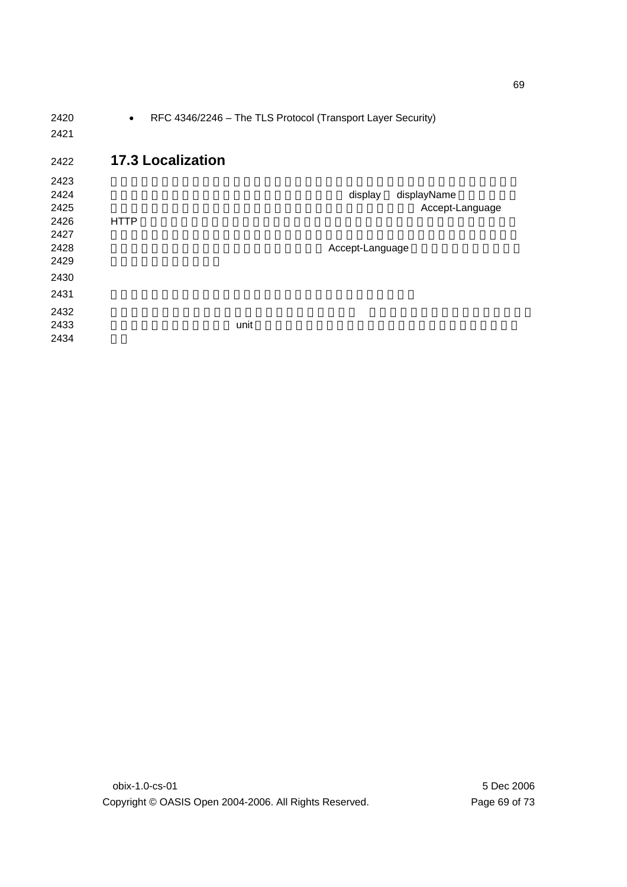| 2420 | $\bullet$                | RFC 4346/2246 - The TLS Protocol (Transport Layer Security) |                 |
|------|--------------------------|-------------------------------------------------------------|-----------------|
| 2421 |                          |                                                             |                 |
| 2422 | <b>17.3 Localization</b> |                                                             |                 |
| 2423 |                          |                                                             |                 |
| 2424 |                          | display                                                     | displayName     |
| 2425 |                          |                                                             | Accept-Language |
| 2426 | <b>HTTP</b>              |                                                             |                 |
| 2427 |                          |                                                             |                 |
| 2428 |                          | Accept-Language                                             |                 |
| 2429 |                          |                                                             |                 |
| 2430 |                          |                                                             |                 |
| 2431 |                          |                                                             |                 |
| 2432 |                          |                                                             |                 |
| 2433 | unit                     |                                                             |                 |
| 2434 |                          |                                                             |                 |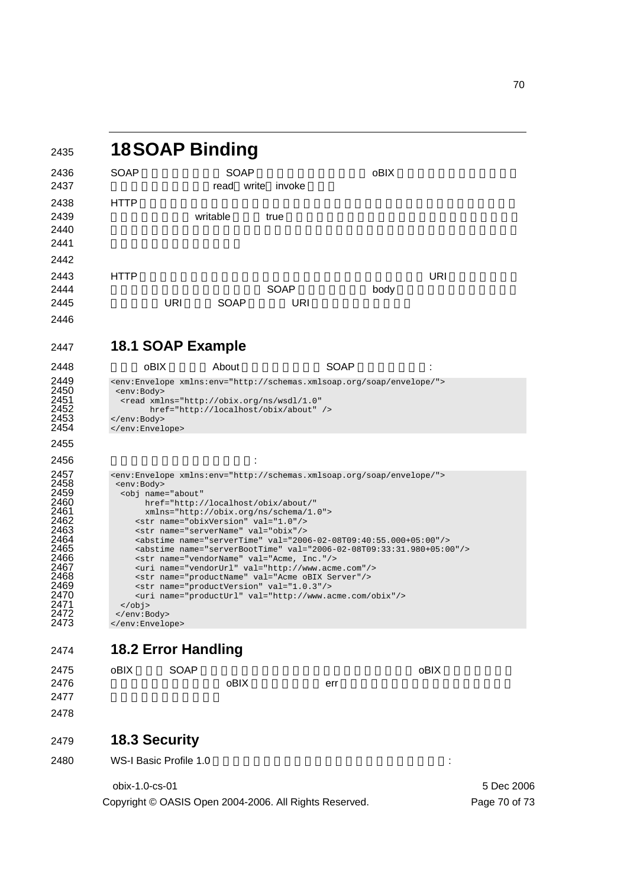| 2435                                                                                                                                 | <b>18SOAP Binding</b>                                                                                                                                                                                                                                                                                                                                                                                                                                                                                                                                                                                                                                                                                                                                                                                  |             |                   |                                                                                                                                                                                          |      |      |            |
|--------------------------------------------------------------------------------------------------------------------------------------|--------------------------------------------------------------------------------------------------------------------------------------------------------------------------------------------------------------------------------------------------------------------------------------------------------------------------------------------------------------------------------------------------------------------------------------------------------------------------------------------------------------------------------------------------------------------------------------------------------------------------------------------------------------------------------------------------------------------------------------------------------------------------------------------------------|-------------|-------------------|------------------------------------------------------------------------------------------------------------------------------------------------------------------------------------------|------|------|------------|
| 2436                                                                                                                                 | <b>SOAP</b>                                                                                                                                                                                                                                                                                                                                                                                                                                                                                                                                                                                                                                                                                                                                                                                            |             | <b>SOAP</b>       |                                                                                                                                                                                          |      | oBIX |            |
| 2437                                                                                                                                 |                                                                                                                                                                                                                                                                                                                                                                                                                                                                                                                                                                                                                                                                                                                                                                                                        |             | read write invoke |                                                                                                                                                                                          |      |      |            |
| 2438<br>2439<br>2440<br>2441                                                                                                         | <b>HTTP</b>                                                                                                                                                                                                                                                                                                                                                                                                                                                                                                                                                                                                                                                                                                                                                                                            |             | writable          | true                                                                                                                                                                                     |      |      |            |
| 2442                                                                                                                                 |                                                                                                                                                                                                                                                                                                                                                                                                                                                                                                                                                                                                                                                                                                                                                                                                        |             |                   |                                                                                                                                                                                          |      |      |            |
| 2443<br>2444                                                                                                                         | <b>HTTP</b>                                                                                                                                                                                                                                                                                                                                                                                                                                                                                                                                                                                                                                                                                                                                                                                            |             |                   | <b>SOAP</b>                                                                                                                                                                              |      |      | <b>URI</b> |
| 2445                                                                                                                                 |                                                                                                                                                                                                                                                                                                                                                                                                                                                                                                                                                                                                                                                                                                                                                                                                        | URI         | SOAP              | URI                                                                                                                                                                                      |      | body |            |
| 2446                                                                                                                                 |                                                                                                                                                                                                                                                                                                                                                                                                                                                                                                                                                                                                                                                                                                                                                                                                        |             |                   |                                                                                                                                                                                          |      |      |            |
| 2447                                                                                                                                 | 18.1 SOAP Example                                                                                                                                                                                                                                                                                                                                                                                                                                                                                                                                                                                                                                                                                                                                                                                      |             |                   |                                                                                                                                                                                          |      |      |            |
| 2448                                                                                                                                 | oBIX                                                                                                                                                                                                                                                                                                                                                                                                                                                                                                                                                                                                                                                                                                                                                                                                   |             | About             |                                                                                                                                                                                          | SOAP |      |            |
| 2449<br>2450<br>2451<br>2452<br>2453<br>2454                                                                                         | <env:body><br/></env:body><br>                                                                                                                                                                                                                                                                                                                                                                                                                                                                                                                                                                                                                                                                                                                                                                         |             |                   | <env:envelope xmlns:env="http://schemas.xmlsoap.org/soap/envelope/"><br/><read <br="" xmlns="http://obix.org/ns/wsdl/1.0">href="http://localhost/obix/about" /&gt;</read></env:envelope> |      |      |            |
| 2455                                                                                                                                 |                                                                                                                                                                                                                                                                                                                                                                                                                                                                                                                                                                                                                                                                                                                                                                                                        |             |                   |                                                                                                                                                                                          |      |      |            |
| 2456                                                                                                                                 |                                                                                                                                                                                                                                                                                                                                                                                                                                                                                                                                                                                                                                                                                                                                                                                                        |             |                   |                                                                                                                                                                                          |      |      |            |
| 2457<br>2458<br>2459<br>2460<br>2461<br>2462<br>2463<br>2464<br>2465<br>2466<br>2467<br>2468<br>2469<br>2470<br>2471<br>2472<br>2473 | <env:envelope xmlns:env="http://schemas.xmlsoap.org/soap/envelope/"><br/><env:body><br/><obj <br="" name="about">href="http://localhost/obix/about/"<br/>xmlns="http://obix.org/ns/schema/1.0"&gt;<br/><str name="obixVersion" val="1.0"></str><br/><str name="serverName" val="obix"></str><br/><abstime name="serverTime" val="2006-02-08T09:40:55.000+05:00"></abstime><br/><abstime name="serverBootTime" val="2006-02-08T09:33:31.980+05:00"></abstime><br/><str name="vendorName" val="Acme, Inc."></str><br/><uri name="vendorUrl" val="http://www.acme.com"></uri><br/><str name="productName" val="Acme oBIX Server"></str><br/><str name="productVersion" val="1.0.3"></str><br/><uri name="productUrl" val="http://www.acme.com/obix"></uri><br/></obj><br/></env:body><br/></env:envelope> |             |                   |                                                                                                                                                                                          |      |      |            |
| 2474                                                                                                                                 | <b>18.2 Error Handling</b>                                                                                                                                                                                                                                                                                                                                                                                                                                                                                                                                                                                                                                                                                                                                                                             |             |                   |                                                                                                                                                                                          |      |      |            |
| 2475<br>2476<br>2477                                                                                                                 | oBIX                                                                                                                                                                                                                                                                                                                                                                                                                                                                                                                                                                                                                                                                                                                                                                                                   | <b>SOAP</b> | oBIX              |                                                                                                                                                                                          | err  |      | oBIX       |
| 2478                                                                                                                                 |                                                                                                                                                                                                                                                                                                                                                                                                                                                                                                                                                                                                                                                                                                                                                                                                        |             |                   |                                                                                                                                                                                          |      |      |            |
| 2479                                                                                                                                 | <b>18.3 Security</b>                                                                                                                                                                                                                                                                                                                                                                                                                                                                                                                                                                                                                                                                                                                                                                                   |             |                   |                                                                                                                                                                                          |      |      |            |
| 2480                                                                                                                                 | WS-I Basic Profile 1.0                                                                                                                                                                                                                                                                                                                                                                                                                                                                                                                                                                                                                                                                                                                                                                                 |             |                   |                                                                                                                                                                                          |      |      | ÷          |

obix-1.0-cs-01 5 Dec 2006

Copyright © OASIS Open 2004-2006. All Rights Reserved. Page 70 of 73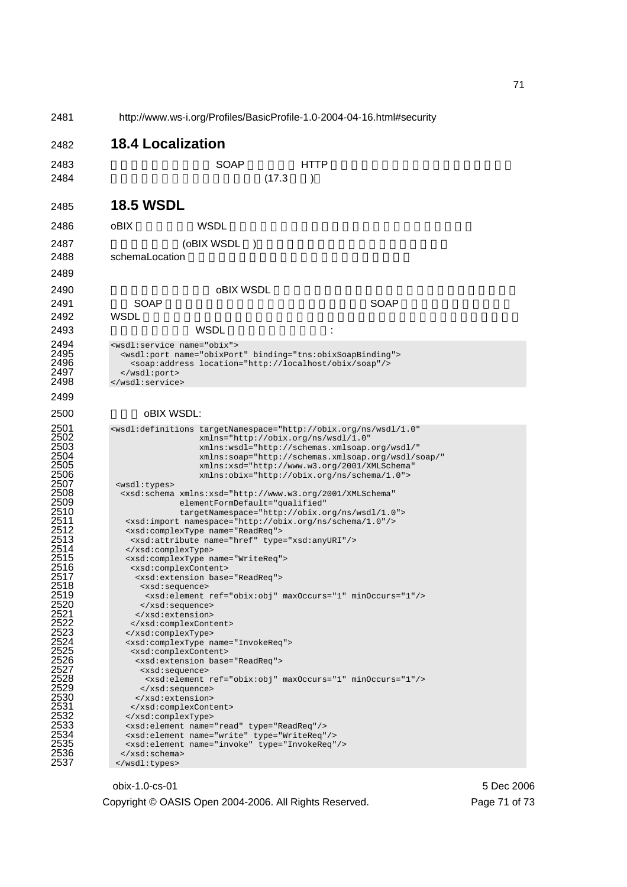2481 http://www.ws-i.org/Profiles/BasicProfile-1.0-2004-04-16.html#security 2482 **18.4 Localization**  2483 適用可能であるとき、 SOAP バインドは HTTP バインドのために定義されたローカリゼ 2484 (17.3 ) 2485 **18.5 WSDL**  2486 oBIX WSDL トライプセクションでは、WSDL トライプセクションではない。 2487 (oBIX WSDL) 2488 schemaLocation 2489 2490 **below the object object was** the object of  $\theta$ 2491 スと SOAP サーバのインスタンスを紐付けします。各(SOAP サーバ)インスタンスは 2492 WSDL トランスタンスタンスならない 2493 でしょう。以下は WSDL サービス要素の例です: 2494 <wsdl:service name="obix"> 2495 <wsdl:port name="obixPort" binding="tns:obixSoapBinding"><br>2496 <soap:address location="http://localhost/obix/soap"/> 2496 <soap:address location="http://localhost/obix/soap"/> 2497 </wsdl:port><br>2498 </wsdl:service </wsdl:service> 2499 2500 oBIX WSDL: 2501 <wsdl:definitions targetNamespace="http://obix.org/ns/wsdl/1.0"<br>2502 xmlns="http://obix.org/ns/wsdl/1.0"<br>2503 xmlns:wsdl="http://schemas.xmlsoap.org/wsdl/" 2502 xmlns="http://obix.org/ns/wsdl/1.0" 2503<br>
xmlns:wsdl="http://schemas.xmlsoap.org/wsdl/"<br>
2504<br>
xmlns:soap="http://schemas.xmlsoap.org/wsdl/s<br>
2505<br>
xmlns:xsd="http://www.w3.org/2001/XMLSchema"<br>
xmlns:obix="http://obix.org/ns/schema/1.0"><br>
2507<br>
<xsd:schema x 2504 xmlns:soap="http://schemas.xmlsoap.org/wsdl/soap/" 2505 xmlns:xsd="http://www.w3.org/2001/XMLSchema" 2506 xmlns:obix="http://obix.org/ns/schema/1.0"> <wsdl:types> 2508 <xsd:schema xmlns:xsd="http://www.w3.org/2001/XMLSchema" elementFormDefault="qualified" 2510 targetNamespace="http://obix.org/ns/wsdl/1.0"><br>2511 cxsd:import namespace="http://obix.org/ns/schema/1.0"/><br>2512 cxsd:complexType name="ReadReq"><br>2513 cxsd:attribute name="href" type="xsd:anyURI"/><br>2514 c/xsd:complexT  $<$ xsd:import namespace="http://obix.org/ns/schema/1.0"/> 2512 <xsd:complexType name="ReadReq"> 2513 <xsd:attribute name="href" type="xsd:anyURI"/> 2514 </xsd:complexType> 2515 <xsd:complexType name="WriteReq"> 2516 <xsd:complexContent> <xsd:extension base="ReadReq"> 2518 <xsd:sequence> 2519 <xsd:element ref="obix:obj" maxOccurs="1" minOccurs="1"/><br>2520 </xsd:sequence><br>2521 </xsd:extension><br>2522 </xsd:complexContent><br>2523 </xsd:complexType><br>2524 <xsd:complexType name="InvokeReq"> 2520 </xsd:sequence> </xsd:extension> 2522 </xsd:complexContent> 2523 </xsd:complexType> 2524 <br>
2525 <br>
2525 <br>
2525 <br>
2527 <br>
2527 <br>
2527 <br>
2528 <br>
2528 <br>
2528 <br>
2529 <br>
2530 <br>
278 <br>
278 <br>
278 <br>
278 <br>
278 <br>
278 <br>
278 <br>
278 <br>
278 <br>
278 <br>
278 <br>
278 <br>
278 <br>
278 <br>
278 <br>
278 <br>
278 <br>
278 <br>
278 <br>
278 <br>
278 <br>
278 <br>
278 <br> 2525 <xsd:complexContent> <xsd:extension base="ReadReq"> <xsd:sequence> 2528 <xsd:element ref="obix:obj" maxOccurs="1" minOccurs="1"/> 2529 </xsd:sequence> </xsd:extension> 2531 </xsd:complexContent><br>2532 </xsd:complexType><br>2533 <xsd:element name="rea<br>2534 <xsd:element name="wri 2532 </xsd:complexType> 2533 <xsd:element name="read" type="ReadReq"/> 2534 <xsd:element name="write" type="WriteReq"/> 2535 <xsd:element name="invoke" type="InvokeReq"/><br>2536 </xsd:schema><br>2537 </wsdl:types> </xsd:schema> </wsdl:types>

## obix-1.0-cs-01 5 Dec 2006 Copyright © OASIS Open 2004-2006. All Rights Reserved. Page 71 of 73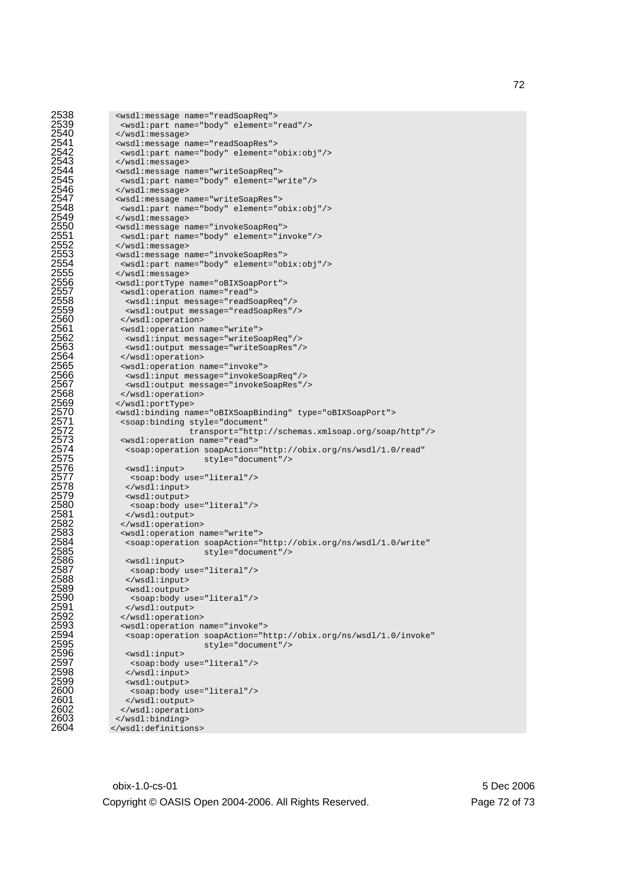```
2538 <wsdl:message name="readSoapReq"> 
2539 <wsdl:part name="body" element="read"/> 
2540 </wsdl:message> 
2541 <wsdl:message name="readSoapRes"> 
2542 <wsdl:part name="body" element="obix:obj"/><br>2543 </wsdl:message><br>2544 <wsdl:message name="writeSoapReq"><br>2545 <wsdl:part name="body" element="write"/>
                     </wsdl:message>
                     2544 <wsdl:message name="writeSoapReq"> 
2545 <wsdl:part name="body" element="write"/> 
2546 </wsdl:message><br>2547 <wsdl:message n
2547 <wsdl:message name="writeSoapRes"><br>2548 <wsdl:part name="body" element="c<br>2549 </wsdl:message>
                      2548 <wsdl:part name="body" element="obix:obj"/> 
2549 </wsdl:message><br>2550 <wsdl:message n
2550 <wsdl:message name="invokeSoapReq"><br>2551 <wsdl:part name="body" element="in<br>2552 </wsdl:message><br>2553 <wsdl:message name="invokeSoapRes">
                      2551 <wsdl:part name="body" element="invoke"/> 
                     </wsdl:message>
2553 <wsdl:message name="invokeSoapRes"> 
2554 <wsdl:part name="body" element="obix:obj"/> 
2555 </wsdl:message><br>2556 <wsdl:portType :<br>2557 <wsdl:operatio
                     2556 <wsdl:portType name="oBIXSoapPort"> 
2557 <wsdl:operation name="read"><br>2558 <wsdl:input message="readSc<br>2559 <wsdl:output message="reads
                        2558 <wsdl:input message="readSoapReq"/> 
2559 <wsdl:output message="readSoapRes"/><br>2560 </wsdl:operation><br>2561 <wsdl:operation name="write">
                      2560 </wsdl:operation> 
2561 <wsdl:operation name="write"><br>2562 <wsdl:input message="writeSo<br>2563 <wsdl:output message="writeSo<br>2564 </wsdl:operation><br>2565 <wsdl:operation name="invoke"
                       2562 <wsdl:input message="writeSoapReq"/> 
                        2563 <wsdl:output message="writeSoapRes"/> 
                      </wsdl:operation>
2565 <wsdl:operation name="invoke"><br>2566 <wsdl:input message="invokeSc<br>2567 <wsdl:output message="invokeS
                       2566 <wsdl:input message="invokeSoapReq"/> 
2567 <wsdl:output message="invokeSoapRes"/><br>2568 </wsdl:operation><br>2569 </wsdl:portType>
                      </wsdl:operation>
2569 </wsdl:portType><br>2570 <wsdl:binding na
2570 <wsdl:binding name="oBIXSoapBinding" type="oBIXSoapPort"><br>2571 <soap:binding style="document"
2571 <soap:binding style="document"<br>2572 transport="http:<br>2573 <wsdl:operation name="read"><br>2574 <soap:operation soapAction="h<br>2575 style="docume
                                            2572 transport="http://schemas.xmlsoap.org/soap/http"/> 
                      2573 <wsdl:operation name="read"> 
                       2574 <soap:operation soapAction="http://obix.org/ns/wsdl/1.0/read" 
2575 style="document"/><br>2576 swsdl:input><br>2577 soap:body use="literal"/><br>2578 s/wsdl:input>
                       <wsdl:input>
                         2577 <soap:body use="literal"/> 
2578 </wsdl:input><br>2579 <wsdl:output><br>2580 <soap:body_u<br>2581 </wsdl:output<br>2582 </wsdl:operati
                       <wsdl:output>
                         2580 <soap:body use="literal"/> 
                       2581 </wsdl:output> 
2582 </wsdl:operation><br>2583 <wsdl:operation n
2583 <wsdl:operation name="write"><br>2584 <soap:operation soapAction="<br>2585 style="docum"<br>2586 <wsdl:input>
                        2584 <soap:operation soapAction="http://obix.org/ns/wsdl/1.0/write" 
                                                 style="document"/>
2586 <wsdl:input><br>2587 <soap:body<br>2588 </wsdl:input
                        2587 <soap:body use="literal"/> 
2588 </wsdl:input><br>2589 <wsdl:output><br>2590 <soap:body_u
                       2589 <wsdl:output> 
2590 <soap:body use="literal"/><br>2591 </wsdl:output>
2591 </wsdl:output><br>2592 </wsdl:operatio<br>2593 <wsdl:operation
                      </wsdl:operation>
2593 <br>
2594 spectrum name="invoke"><br>
2595 spectrum scape of the style="docume<br>
2596 style="docume">
                       2594 <soap:operation soapAction="http://obix.org/ns/wsdl/1.0/invoke" 
                                                 style="document"/>
2596 <wsdl:input> 
                         2597 <soap:body use="literal"/> 
2598 </wsdl:input><br>2599 <wsdl:output>
2599 <wsdl:output><br>2600 <soap:body u
2600 <soap:body use="literal"/><br>2601 </wsdl:output><br>2602 </wsdl:operation>
                        </wsdl:output>
2602 </wsdl:operation><br>2603 </wsdl:binding>
2603 </wsdl:binding><br>2604 </wsdl:definitio
                   </wsdl:definitions>
```
obix-1.0-cs-01 5 Dec 2006 Copyright © OASIS Open 2004-2006. All Rights Reserved. Page 72 of 73